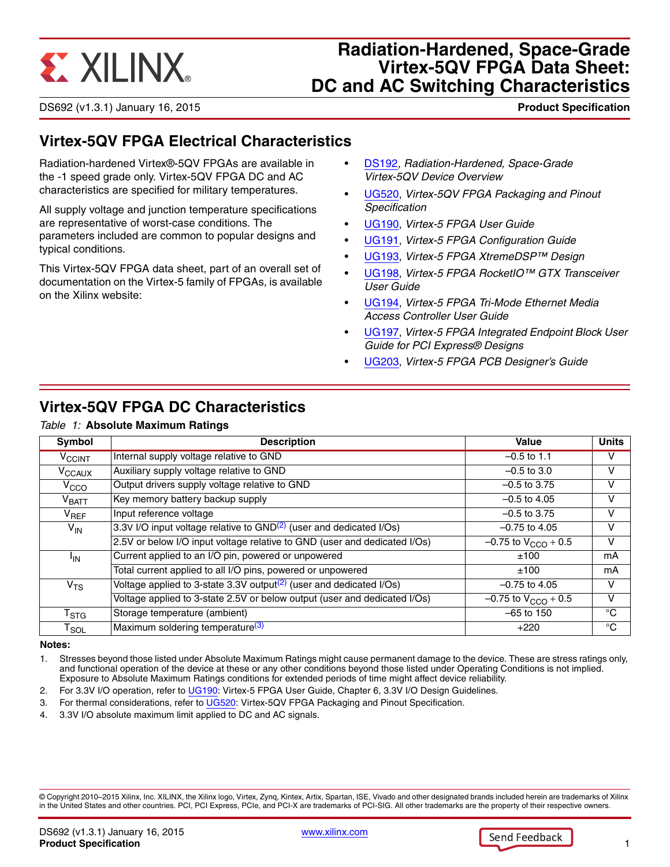# **EXALINX**

## **Radiation-Hardened, Space-Grade Virtex-5QV FPGA Data Sheet: DC and AC Switching Characteristics**

DS692 (v1.3.1) January 16, 2015 **0 0 Product Specification**

## **Virtex-5QV FPGA Electrical Characteristics**

Radiation-hardened Virtex®-5QV FPGAs are available in the -1 speed grade only. Virtex-5QV FPGA DC and AC characteristics are specified for military temperatures.

All supply voltage and junction temperature specifications are representative of worst-case conditions. The parameters included are common to popular designs and typical conditions.

This Virtex-5QV FPGA data sheet, part of an overall set of documentation on the Virtex-5 family of FPGAs, is available on the Xilinx website:

- [DS192](http://www.xilinx.com/support/documentation/data_sheets/ds192_V5QV_Device_Overview.pdf)*, Radiation-Hardened, Space-Grade Virtex-5QV Device Overview*
- [UG520,](http://www.xilinx.com/support/documentation/user_guides/ug520_V5QV_Packaging_and_Pinout.pdf) *Virtex-5QV FPGA Packaging and Pinout Specification*
- [UG190,](http://www.xilinx.com/support/documentation/user_guides/ug190.pdf) *Virtex-5 FPGA User Guide*
- [UG191,](http://www.xilinx.com/support/documentation/user_guides/ug191.pdf) *Virtex-5 FPGA Configuration Guide*
- [UG193,](http://www.xilinx.com/support/documentation/user_guides/ug193.pdf) *Virtex-5 FPGA XtremeDSP™ Design*
- [UG198,](http://www.xilinx.com/support/documentation/user_guides/ug198.pdf) *Virtex-5 FPGA RocketIO™ GTX Transceiver User Guide*
- [UG194,](http://www.xilinx.com/support/documentation/user_guides/ug194.pdf) *Virtex-5 FPGA Tri-Mode Ethernet Media Access Controller User Guide*
- [UG197,](http://www.xilinx.com/support/documentation/user_guides/ug197.pdf) *Virtex-5 FPGA Integrated Endpoint Block User Guide for PCI Express® Designs*
- [UG203,](http://www.xilinx.com/support/documentation/user_guides/ug203.pdf) *Virtex-5 FPGA PCB Designer's Guide*

## **Virtex-5QV FPGA DC Characteristics**

#### *Table 1:* **Absolute Maximum Ratings**

| Symbol                       | <b>Description</b>                                                                 | Value                      | <b>Units</b> |
|------------------------------|------------------------------------------------------------------------------------|----------------------------|--------------|
| $V_{\rm CCINT}$              | Internal supply voltage relative to GND                                            | $-0.5$ to 1.1              | v            |
| V <sub>CCAUX</sub>           | Auxiliary supply voltage relative to GND                                           | $-0.5$ to 3.0              | V            |
| V <sub>CCO</sub>             | Output drivers supply voltage relative to GND                                      | $-0.5$ to 3.75             | v            |
| $\mathsf{V}_{\mathsf{BATT}}$ | Key memory battery backup supply                                                   | $-0.5$ to 4.05             | v            |
| $V_{REF}$                    | Input reference voltage                                                            | $-0.5$ to 3.75             | $\vee$       |
| $V_{\text{IN}}$              | 3.3V I/O input voltage relative to $GND(2)$ (user and dedicated I/Os)              | $-0.75$ to 4.05            | V            |
|                              | 2.5V or below I/O input voltage relative to GND (user and dedicated I/Os)          | $-0.75$ to $V_{CCO}$ + 0.5 | v            |
| $I_{IN}$                     | Current applied to an I/O pin, powered or unpowered                                | ±100                       | mA           |
|                              | Total current applied to all I/O pins, powered or unpowered                        | ±100                       | mA           |
| V <sub>TS</sub>              | Voltage applied to 3-state 3.3V output <sup>(2)</sup> (user and dedicated $I/Os$ ) | $-0.75$ to 4.05            | V            |
|                              | Voltage applied to 3-state 2.5V or below output (user and dedicated I/Os)          | $-0.75$ to $V_{CCO}$ + 0.5 | v            |
| $\mathsf{T}_{\textsf{STG}}$  | Storage temperature (ambient)                                                      | $-65$ to 150               | °C           |
| $\mathsf{T}_{\mathsf{SOL}}$  | Maximum soldering temperature <sup>(3)</sup>                                       | $+220$                     | °C           |

#### **Notes:**

1. Stresses beyond those listed under Absolute Maximum Ratings might cause permanent damage to the device. These are stress ratings only, and functional operation of the device at these or any other conditions beyond those listed under Operating Conditions is not implied. Exposure to Absolute Maximum Ratings conditions for extended periods of time might affect device reliability.

<span id="page-0-1"></span>2. For 3.3V I/O operation, refer to [UG190:](http://www.xilinx.com/support/documentation/user_guides/ug190.pdf) Virtex-5 FPGA User Guide, Chapter 6, 3.3V I/O Design Guidelines.

<span id="page-0-0"></span>3. For thermal considerations, refer to [UG520:](http://www.xilinx.com/support/documentation/user_guides/ug520_V5QV_Packaging_and_Pinout.pdf) Virtex-5QV FPGA Packaging and Pinout Specification.

4. 3.3V I/O absolute maximum limit applied to DC and AC signals.

© Copyright 2010–2015 Xilinx, Inc. XILINX, the Xilinx logo, Virtex, Zynq, Kintex, Artix, Spartan, ISE, Vivado and other designated brands included herein are trademarks of Xilinx in the United States and other countries. PCI, PCI Express, PCIe, and PCI-X are trademarks of PCI-SIG. All other trademarks are the property of their respective owners.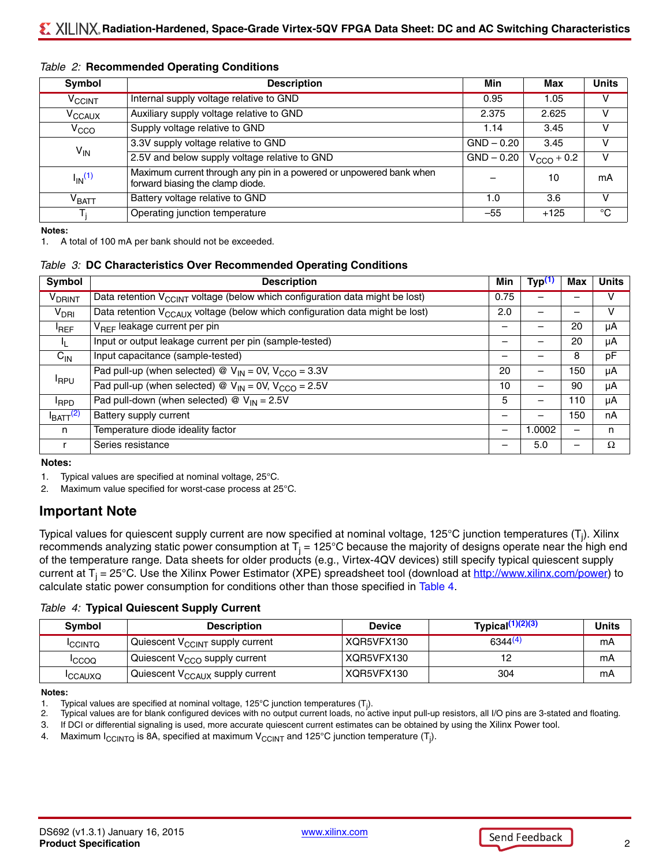| Symbol                  | <b>Description</b>                                                                                      | Min          | Max             | <b>Units</b> |
|-------------------------|---------------------------------------------------------------------------------------------------------|--------------|-----------------|--------------|
| $V_{\rm CCINT}$         | Internal supply voltage relative to GND                                                                 | 0.95         | 1.05            | v            |
| $V_{\text{CCAUX}}$      | Auxiliary supply voltage relative to GND                                                                | 2.375        | 2.625           | v            |
| V <sub>CCO</sub>        | Supply voltage relative to GND                                                                          | 1.14         | 3.45            | v            |
| $V_{IN}$                | 3.3V supply voltage relative to GND                                                                     | $GND - 0.20$ | 3.45            | V            |
|                         | 2.5V and below supply voltage relative to GND                                                           | $GND - 0.20$ | $V_{CCO}$ + 0.2 | v            |
| $I_{IN}$ <sup>(1)</sup> | Maximum current through any pin in a powered or unpowered bank when<br>forward biasing the clamp diode. |              | 10              | mА           |
| $\rm{V}_{BAT}$          | Battery voltage relative to GND                                                                         | 1.0          | 3.6             | $\mathsf{V}$ |
|                         | Operating junction temperature                                                                          | $-55$        | $+125$          | °C           |

#### <span id="page-1-8"></span>*Table 2:* **Recommended Operating Conditions**

**Notes:** 

<span id="page-1-6"></span>1. A total of 100 mA per bank should not be exceeded.

#### <span id="page-1-10"></span>*Table 3:* **DC Characteristics Over Recommended Operating Conditions**

| Symbol                   | <b>Description</b>                                                                       | Min  | Typ <sup>(1)</sup> | Max                      | <b>Units</b> |
|--------------------------|------------------------------------------------------------------------------------------|------|--------------------|--------------------------|--------------|
| <b>V<sub>DRINT</sub></b> | Data retention $V_{CCINT}$ voltage (below which configuration data might be lost)        | 0.75 |                    |                          | v            |
| V <sub>DRI</sub>         | Data retention V <sub>CCAUX</sub> voltage (below which configuration data might be lost) | 2.0  |                    |                          | v            |
| <sup>I</sup> REF         | V <sub>REF</sub> leakage current per pin                                                 |      |                    | 20                       | μA           |
| 4                        | Input or output leakage current per pin (sample-tested)                                  |      |                    | 20                       | μA           |
| $C_{IN}$                 | Input capacitance (sample-tested)                                                        |      |                    | 8                        | pF           |
|                          | Pad pull-up (when selected) @ $V_{IN} = 0V$ , $V_{CCO} = 3.3V$                           | 20   | —                  | 150                      | μA           |
| <b>I</b> RPU             | Pad pull-up (when selected) @ $V_{IN} = 0V$ , $V_{CCO} = 2.5V$                           | 10   |                    | 90                       | μA           |
| <sup>I</sup> RPD         | Pad pull-down (when selected) $\textcircled{v}_{IN} = 2.5V$                              | 5    | —                  | 110                      | μA           |
| I <sub>BATT</sub> (2)    | Battery supply current                                                                   |      | —                  | 150                      | nA           |
| n                        | Temperature diode ideality factor                                                        |      | 1.0002             | $\overline{\phantom{0}}$ | n            |
| r                        | Series resistance                                                                        |      | 5.0                | —                        | Ω            |

**Notes:** 

<span id="page-1-3"></span>1. Typical values are specified at nominal voltage, 25°C.

<span id="page-1-1"></span>2. Maximum value specified for worst-case process at 25°C.

## <span id="page-1-9"></span>**Important Note**

Typical values for quiescent supply current are now specified at nominal voltage, 125°C junction temperatures (T<sub>j</sub>). Xilinx recommends analyzing static power consumption at  $T_i = 125^{\circ}$ C because the majority of designs operate near the high end of the temperature range. Data sheets for older products (e.g., Virtex-4QV devices) still specify typical quiescent supply current at  $T_i = 25^{\circ}$ C. Use the Xilinx Power Estimator (XPE) spreadsheet tool (download at<http://www.xilinx.com/power>) to calculate static power consumption for conditions other than those specified in [Table 4](#page-1-2).

<span id="page-1-2"></span>*Table 4:* **Typical Quiescent Supply Current**

| Symbol         | <b>Description</b>                          | <b>Device</b> | Typica $(1)(2)(3)$  | Units |
|----------------|---------------------------------------------|---------------|---------------------|-------|
| <b>ICCINTO</b> | Quiescent V <sub>CCINT</sub> supply current | XQR5VFX130    | 6344 <sup>(4)</sup> | mA    |
| <b>ICCOQ</b>   | Quiescent $V_{CCO}$ supply current          | XQR5VFX130    |                     | mA    |
| <b>ICCAUXQ</b> | Quiescent V <sub>CCAUX</sub> supply current | XQR5VFX130    | 304                 | mA    |

**Notes:** 

<span id="page-1-0"></span><sup>1.</sup> Typical values are specified at nominal voltage, 125°C junction temperatures  $(T_j)$ .

<span id="page-1-4"></span><sup>2.</sup> Typical values are for blank configured devices with no output current loads, no active input pull-up resistors, all I/O pins are 3-stated and floating.

<span id="page-1-5"></span><sup>3.</sup> If DCI or differential signaling is used, more accurate quiescent current estimates can be obtained by using the Xilinx Power tool.

<span id="page-1-7"></span><sup>4.</sup> Maximum I $_{\rm CCINTQ}$  is 8A, specified at maximum V $_{\rm CCINT}$  and 125°C junction temperature (T<sub>j</sub>).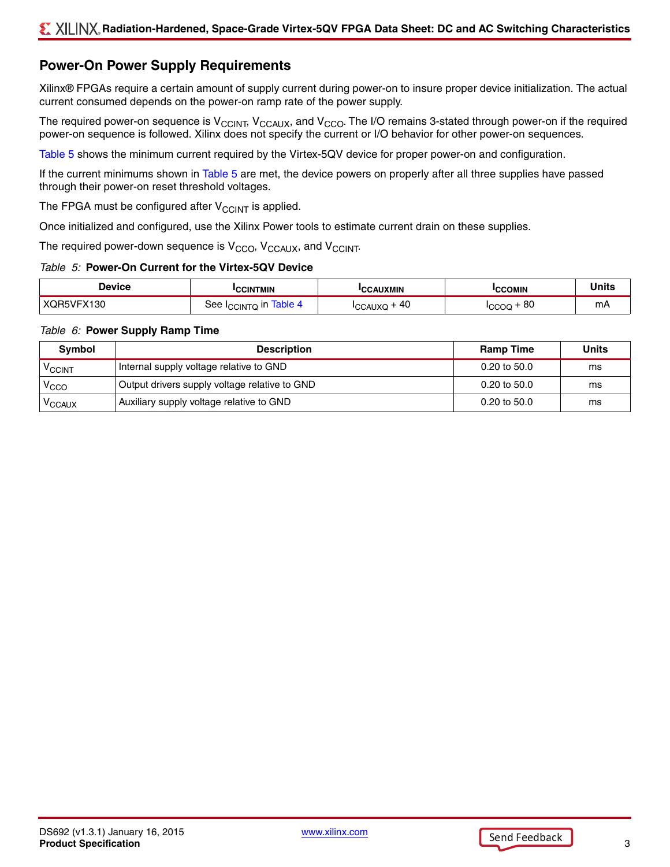## <span id="page-2-1"></span>**Power-On Power Supply Requirements**

Xilinx® FPGAs require a certain amount of supply current during power-on to insure proper device initialization. The actual current consumed depends on the power-on ramp rate of the power supply.

The required power-on sequence is  $V_{CCI\cup T}$ ,  $V_{CCAUX}$ , and  $V_{CCO}$ . The I/O remains 3-stated through power-on if the required power-on sequence is followed. Xilinx does not specify the current or I/O behavior for other power-on sequences.

[Table 5](#page-2-0) shows the minimum current required by the Virtex-5QV device for proper power-on and configuration.

If the current minimums shown in [Table 5](#page-2-0) are met, the device powers on properly after all three supplies have passed through their power-on reset threshold voltages.

The FPGA must be configured after  $V_{\text{CCINT}}$  is applied.

Once initialized and configured, use the Xilinx Power tools to estimate current drain on these supplies.

The required power-down sequence is  $V_{CCO}$ ,  $V_{CCAUX}$ , and  $V_{CCINT}$ .

#### <span id="page-2-0"></span>*Table 5:* **Power-On Current for the Virtex-5QV Device**

| Jevice                | `INTMIN     | <b>AUXMIN</b>                  | `OMIN | .  |
|-----------------------|-------------|--------------------------------|-------|----|
| $\lambda$<br>⊶ו<br>υv | <b>CINT</b> | 40<br>$\lambda$<br>$\sim$<br>ハ | 80    | mА |

#### *Table 6:* **Power Supply Ramp Time**

| Symbol           | <b>Description</b>                            | <b>Ramp Time</b>        | <b>Units</b> |
|------------------|-----------------------------------------------|-------------------------|--------------|
| <b>VCCINT</b>    | Internal supply voltage relative to GND       | $0.20 \text{ to } 50.0$ | ms           |
| V <sub>CCO</sub> | Output drivers supply voltage relative to GND | $0.20$ to $50.0$        | ms           |
| <b>VCCAUX</b>    | Auxiliary supply voltage relative to GND      | $0.20$ to $50.0$        | ms           |

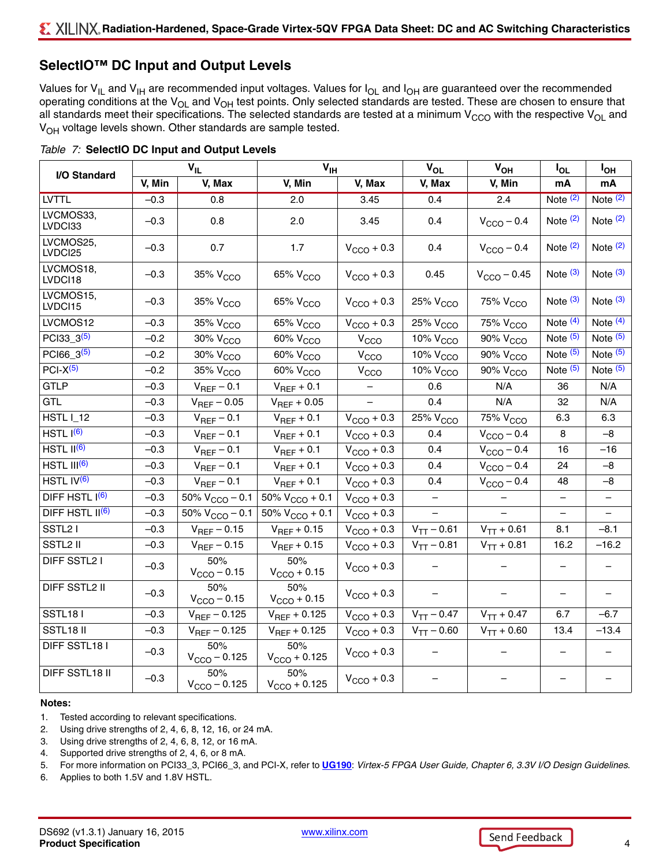## **SelectIO™ DC Input and Output Levels**

Values for  $V_{IL}$  and  $V_{IH}$  are recommended input voltages. Values for  $I_{OL}$  and  $I_{OH}$  are guaranteed over the recommended operating conditions at the  $V_{OL}$  and  $V_{OH}$  test points. Only selected standards are tested. These are chosen to ensure that all standards meet their specifications. The selected standards are tested at a minimum  $V_{CCO}$  with the respective  $V_{OL}$  and V<sub>OH</sub> voltage levels shown. Other standards are sample tested.

| I/O Standard                |        | $\mathbf{V}_{\mathsf{IL}}$              | $V_{IH}$                           |                        | <b>V<sub>OL</sub></b>              | $V_{OH}$               | $I_{OL}$              | <b>I<sub>OH</sub></b> |
|-----------------------------|--------|-----------------------------------------|------------------------------------|------------------------|------------------------------------|------------------------|-----------------------|-----------------------|
|                             | V, Min | V, Max                                  | V, Min                             | V, Max                 | V, Max                             | V, Min                 | mA                    | mA                    |
| <b>LVTTL</b>                | $-0.3$ | 0.8                                     | 2.0                                | 3.45                   | 0.4                                | 2.4                    | Note $(2)$            | Note $(2)$            |
| LVCMOS33,<br>LVDCI33        | $-0.3$ | 0.8                                     | 2.0                                | 3.45                   | 0.4                                | $V_{\text{CCO}} - 0.4$ | Note $(2)$            | Note $(2)$            |
| LVCMOS25,<br>LVDCI25        | $-0.3$ | 0.7                                     | 1.7                                | $V_{\text{CCO}} + 0.3$ | 0.4                                | $V_{CCO}$ – 0.4        | Note $(2)$            | Note $(2)$            |
| LVCMOS18,<br>LVDCI18        | $-0.3$ | 35% V <sub>CCO</sub>                    | 65% V <sub>CCO</sub>               | $V_{CCO}$ + 0.3        | 0.45                               | $V_{CCO} - 0.45$       | Note $(3)$            | Note $(3)$            |
| LVCMOS15,<br>LVDCI15        | $-0.3$ | 35% V <sub>CCO</sub>                    | 65% V <sub>CCO</sub>               | $V_{\text{CCO}} + 0.3$ | 25% V <sub>CCO</sub>               | 75% V <sub>CCO</sub>   | Note $(3)$            | Note $(3)$            |
| LVCMOS12                    | $-0.3$ | 35% V <sub>CCO</sub>                    | $65\%$ $V_{CCO}$                   | $V_{CCO}$ + 0.3        | 25% V <sub>CCO</sub>               | 75% V <sub>CCO</sub>   | Note $\overline{(4)}$ | Note $\overline{(4)}$ |
| PCI33_3 <sup>(5)</sup>      | $-0.2$ | $30\%$ $V_{CCO}$                        | $\overline{60\%}$ V <sub>CCO</sub> | V <sub>CCO</sub>       | $\frac{10}{6}$ V <sub>CCO</sub>    | 90% V <sub>CCO</sub>   | Note $(5)$            | Note $(5)$            |
| PCI66 $3^{(5)}$             | $-0.2$ | $30\%$ $V_{CCO}$                        | $\overline{60\%}$ V <sub>CCO</sub> | V <sub>CCO</sub>       | $\frac{1}{10\%}$ V <sub>CCO</sub>  | 90% V <sub>CCO</sub>   | Note $(5)$            | Note $\overline{(5)}$ |
| $PCI-X(5)$                  | $-0.2$ | 35% V <sub>CCO</sub>                    | $\overline{60\%}$ V <sub>CCO</sub> | V <sub>CCO</sub>       | $\overline{10\%}$ V <sub>CCO</sub> | 90% V <sub>CCO</sub>   | Note $(5)$            | Note $(5)$            |
| <b>GTLP</b>                 | $-0.3$ | $V_{REF}$ – 0.1                         | $V_{REF}$ + 0.1                    |                        | 0.6                                | N/A                    | 36                    | N/A                   |
| <b>GTL</b>                  | $-0.3$ | $V_{REF}$ – 0.05                        | $V_{REF}$ + 0.05                   |                        | 0.4                                | N/A                    | 32                    | N/A                   |
| <b>HSTL I_12</b>            | $-0.3$ | $V_{REF}$ – 0.1                         | $V_{REF}$ + 0.1                    | $V_{CCO}$ + 0.3        | $25%$ $VCCO$                       | $75\%$ $V_{CCO}$       | 6.3                   | 6.3                   |
| HSTL $I^{(6)}$              | $-0.3$ | $V_{REF}$ – 0.1                         | $V_{REF}$ + 0.1                    | $V_{CCO}$ + 0.3        | 0.4                                | $V_{\text{CCO}} - 0.4$ | 8                     | $-8$                  |
| HSTL $II^{(6)}$             | $-0.3$ | $V_{REF}$ – 0.1                         | $V_{REF}$ + 0.1                    | $V_{CCO}$ + 0.3        | 0.4                                | $V_{CCO}$ – 0.4        | 16                    | $-16$                 |
| $HSTL$ $III(6)$             | $-0.3$ | $V_{REF}$ – 0.1                         | $V_{REF}$ + 0.1                    | $V_{CCO}$ + 0.3        | 0.4                                | $V_{CCO}$ – 0.4        | 24                    | $-8$                  |
| HSTL IV <sup>(6)</sup>      | $-0.3$ | $V_{REF}$ – 0.1                         | $V_{REF}$ + 0.1                    | $V_{CCO}$ + 0.3        | 0.4                                | $V_{CCO} - 0.4$        | 48                    | -8                    |
| DIFF HSTL $I^{(6)}$         | $-0.3$ | 50% $V_{\text{CCO}} - 0.1$              | 50% $V_{\text{CCO}} + 0.1$         | $V_{\text{CCO}} + 0.3$ | $\overline{\phantom{0}}$           |                        | $\qquad \qquad -$     |                       |
| DIFF HSTL II <sup>(6)</sup> | $-0.3$ | $\frac{1}{50\%}$ V <sub>CCO</sub> – 0.1 | $50\% V_{CCO} + 0.1$               | $V_{CCO}$ + 0.3        | $\qquad \qquad -$                  |                        |                       |                       |
| SSTL <sub>2</sub> I         | $-0.3$ | $V_{REF}$ – 0.15                        | $V_{REF}$ + 0.15                   | $V_{CCO}$ + 0.3        | $V_{TT} - 0.61$                    | $V_{TT} + 0.61$        | 8.1                   | $-8.1$                |
| SSTL2 II                    | $-0.3$ | $V_{REF}$ - 0.15                        | $V_{REF}$ + 0.15                   | $V_{CCO}$ + 0.3        | $V_{TT} - 0.81$                    | $V_{TT} + 0.81$        | 16.2                  | $-16.2$               |
| DIFF SSTL2 I                | $-0.3$ | 50%<br>$V_{\text{CCO}} - 0.15$          | 50%<br>$V_{\text{CCO}} + 0.15$     | $V_{CCO}$ + 0.3        |                                    |                        |                       |                       |
| DIFF SSTL2 II               | $-0.3$ | 50%<br>$V_{\text{CCO}} - 0.15$          | 50%<br>$V_{\text{CCO}} + 0.15$     | $V_{CCO}$ + 0.3        |                                    |                        |                       |                       |
| <b>SSTL181</b>              | $-0.3$ | $V_{REF} - 0.125$                       | $V_{REF} + 0.125$                  | $V_{\text{CCO}} + 0.3$ | $V_{TT} - 0.47$                    | $V_{TT} + 0.47$        | 6.7                   | $-6.7$                |
| SSTL18 II                   | $-0.3$ | $V_{REF} - 0.125$                       | $V_{REF} + 0.125$                  | $V_{CCO} + 0.3$        | $V_{TT} - 0.60$                    | $V_{TT} + 0.60$        | 13.4                  | $-13.4$               |
| DIFF SSTL18 I               | $-0.3$ | 50%<br>$V_{CCO} - 0.125$                | 50%<br>$V_{\text{CCO}} + 0.125$    | $V_{CCO}$ + 0.3        |                                    |                        |                       |                       |
| DIFF SSTL18 II              | $-0.3$ | 50%<br>$V_{\text{CCO}} - 0.125$         | 50%<br>$V_{\text{CCO}} + 0.125$    | $V_{CCO}$ + 0.3        |                                    |                        |                       |                       |

<span id="page-3-5"></span>

|  | Table 7: SelectIO DC Input and Output Levels |  |  |
|--|----------------------------------------------|--|--|
|  |                                              |  |  |

#### **Notes:**

- 1. Tested according to relevant specifications.
- <span id="page-3-0"></span>2. Using drive strengths of 2, 4, 6, 8, 12, 16, or 24 mA.
- <span id="page-3-1"></span>3. Using drive strengths of 2, 4, 6, 8, 12, or 16 mA.
- <span id="page-3-2"></span>4. Supported drive strengths of 2, 4, 6, or 8 mA.
- <span id="page-3-3"></span>5. For more information on PCI33\_3, PCI66\_3, and PCI-X, refer to **[UG190](http://www.xilinx.com/support/documentation/user_guides/ug190.pdf)**: *Virtex-5 FPGA User Guide, Chapter 6, 3.3V I/O Design Guidelines*.
- <span id="page-3-4"></span>6. Applies to both 1.5V and 1.8V HSTL.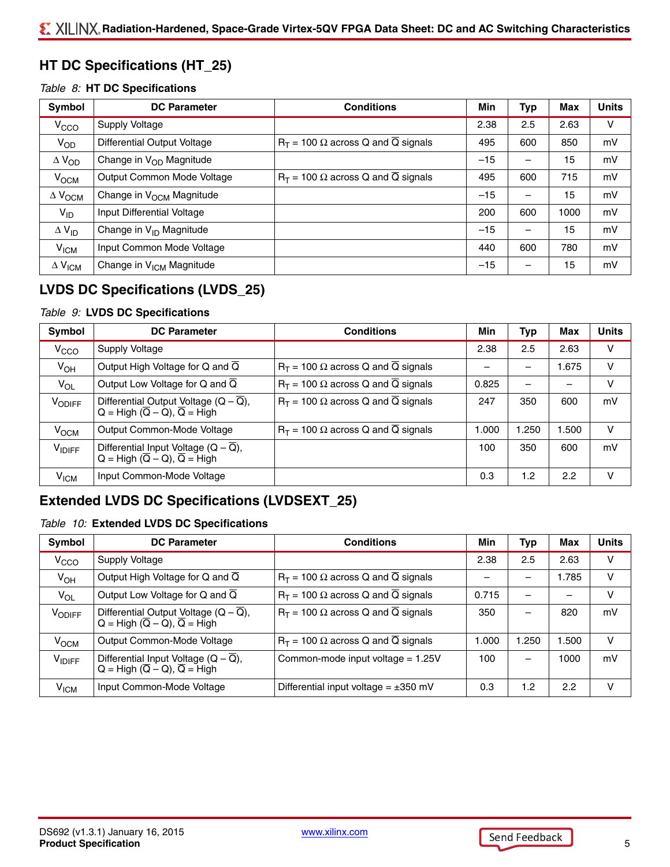## **HT DC Specifications (HT\_25)**

#### <span id="page-4-0"></span>*Table 8:* **HT DC Specifications**

| Symbol                               | <b>DC Parameter</b>                  | <b>Conditions</b>                                        | Min   | Typ                      | Max  | <b>Units</b> |
|--------------------------------------|--------------------------------------|----------------------------------------------------------|-------|--------------------------|------|--------------|
| V <sub>CCO</sub>                     | Supply Voltage                       |                                                          | 2.38  | 2.5                      | 2.63 | v            |
| $V_{OD}$                             | Differential Output Voltage          | $R_T$ = 100 $\Omega$ across Q and Q signals              | 495   | 600                      | 850  | mV           |
| $\Delta$ V <sub>OD</sub>             | Change in V <sub>OD</sub> Magnitude  |                                                          | $-15$ | $\overline{\phantom{m}}$ | 15   | mV           |
| V <sub>OCM</sub>                     | Output Common Mode Voltage           | $R_T$ = 100 $\Omega$ across Q and $\overline{Q}$ signals | 495   | 600                      | 715  | mV           |
| $\Delta$ $\mathsf{V}_{\mathsf{OCM}}$ | Change in V <sub>OCM</sub> Magnitude |                                                          | $-15$ | $\qquad \qquad$          | 15   | mV           |
| $V_{ID}$                             | Input Differential Voltage           |                                                          | 200   | 600                      | 1000 | mV           |
| $\Delta$ V <sub>ID</sub>             | Change in V <sub>ID</sub> Magnitude  |                                                          | $-15$ |                          | 15   | mV           |
| V <sub>ICM</sub>                     | Input Common Mode Voltage            |                                                          | 440   | 600                      | 780  | mV           |
| $\Delta$ V <sub>ICM</sub>            | Change in V <sub>ICM</sub> Magnitude |                                                          | $-15$ | $\overline{\phantom{m}}$ | 15   | mV           |

## **LVDS DC Specifications (LVDS\_25)**

#### <span id="page-4-1"></span>*Table 9:* **LVDS DC Specifications**

| Symbol           | <b>DC Parameter</b>                                                                                      | <b>Conditions</b>                                        | Min   | Typ                      | Max   | <b>Units</b> |
|------------------|----------------------------------------------------------------------------------------------------------|----------------------------------------------------------|-------|--------------------------|-------|--------------|
| V <sub>CCO</sub> | Supply Voltage                                                                                           |                                                          | 2.38  | 2.5                      | 2.63  | v            |
| $V_{OH}$         | Output High Voltage for Q and $\overline{Q}$                                                             | $R_T$ = 100 $\Omega$ across Q and $\overline{Q}$ signals |       |                          | 1.675 | v            |
| $V_{OL}$         | Output Low Voltage for Q and $\overline{Q}$                                                              | $R_T$ = 100 $\Omega$ across Q and $\overline{Q}$ signals | 0.825 | $\overline{\phantom{0}}$ |       | v            |
| VODIFF           | Differential Output Voltage $(Q - \overline{Q})$ ,<br>$Q = High (\overline{Q} - Q), \overline{Q} = High$ | $R_T$ = 100 $\Omega$ across Q and $\overline{Q}$ signals | 247   | 350                      | 600   | mV           |
| V <sub>OCM</sub> | Output Common-Mode Voltage                                                                               | $R_T$ = 100 $\Omega$ across Q and $\overline{Q}$ signals | 1.000 | 1,250                    | 1.500 | ν            |
| <b>VIDIFF</b>    | Differential Input Voltage $(Q - \overline{Q})$ ,<br>$Q = High (\overline{Q} - Q), \overline{Q} = High$  |                                                          | 100   | 350                      | 600   | mV           |
| V <sub>ICM</sub> | Input Common-Mode Voltage                                                                                |                                                          | 0.3   | 1.2                      | 2.2   | v            |

## **Extended LVDS DC Specifications (LVDSEXT\_25)**

### <span id="page-4-2"></span>*Table 10:* **Extended LVDS DC Specifications**

| Symbol           | <b>DC Parameter</b>                                                                                      | <b>Conditions</b>                                        | Min   | Typ                      | Max                      | <b>Units</b> |
|------------------|----------------------------------------------------------------------------------------------------------|----------------------------------------------------------|-------|--------------------------|--------------------------|--------------|
| V <sub>CCO</sub> | Supply Voltage                                                                                           |                                                          | 2.38  | 2.5                      | 2.63                     | v            |
| $V_{OH}$         | Output High Voltage for Q and $\overline{Q}$                                                             | $R_T$ = 100 $\Omega$ across Q and $\overline{Q}$ signals |       | -                        | l.785                    | v            |
| $V_{OL}$         | Output Low Voltage for Q and $\overline{Q}$                                                              | $R_T$ = 100 $\Omega$ across Q and $\overline{Q}$ signals | 0.715 | $\overline{\phantom{0}}$ | $\overline{\phantom{0}}$ | v            |
| VODIFF           | Differential Output Voltage $(Q - \overline{Q})$ ,<br>$Q = High (\overline{Q} - Q), \overline{Q} = High$ | $R_T$ = 100 $\Omega$ across Q and $\overline{Q}$ signals | 350   | -                        | 820                      | mV           |
| V <sub>OCM</sub> | Output Common-Mode Voltage                                                                               | $R_T$ = 100 $\Omega$ across Q and Q signals              | 1.000 | 1.250                    | 1.500                    | v            |
| $V_{IDIFF}$      | Differential Input Voltage $(Q - \overline{Q})$ ,<br>$Q = High (\overline{Q} - Q), \overline{Q} = High$  | Common-mode input voltage $= 1.25V$                      | 100   | $\overline{\phantom{0}}$ | 1000                     | mV           |
| V <sub>ICM</sub> | Input Common-Mode Voltage                                                                                | Differential input voltage = $\pm 350$ mV                | 0.3   | 1.2                      | 2.2                      | v            |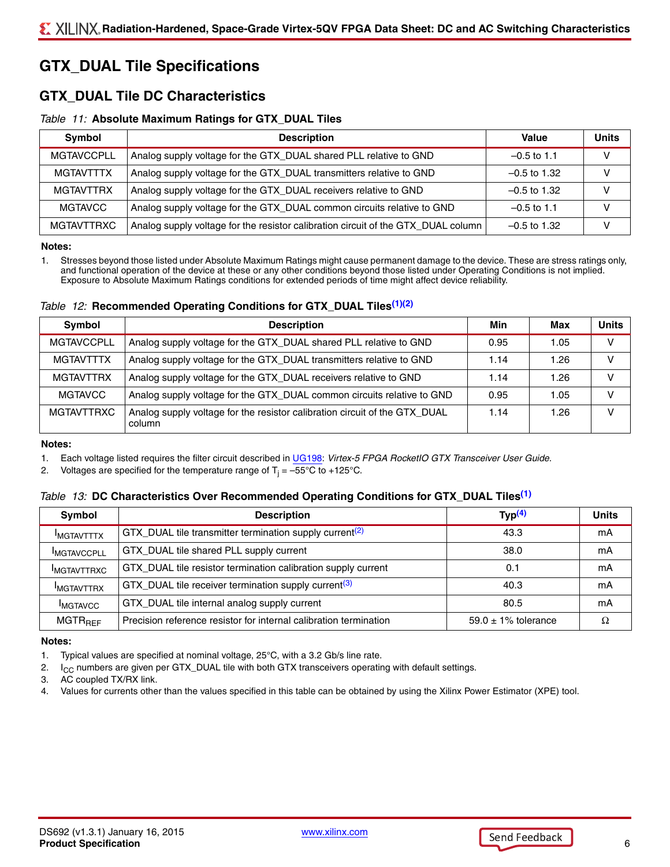## **GTX\_DUAL Tile Specifications**

## **GTX\_DUAL Tile DC Characteristics**

#### *Table 11:* **Absolute Maximum Ratings for GTX\_DUAL Tiles**

| Symbol            | <b>Description</b>                                                                | Value          | <b>Units</b> |
|-------------------|-----------------------------------------------------------------------------------|----------------|--------------|
| <b>MGTAVCCPLL</b> | Analog supply voltage for the GTX_DUAL shared PLL relative to GND                 | $-0.5$ to 1.1  |              |
| MGTAVTTTX         | Analog supply voltage for the GTX_DUAL transmitters relative to GND               | $-0.5$ to 1.32 | v            |
| <b>MGTAVTTRX</b>  | Analog supply voltage for the GTX_DUAL receivers relative to GND                  | $-0.5$ to 1.32 |              |
| <b>MGTAVCC</b>    | Analog supply voltage for the GTX_DUAL common circuits relative to GND            | $-0.5$ to 1.1  |              |
| <b>MGTAVTTRXC</b> | Analog supply voltage for the resistor calibration circuit of the GTX_DUAL column | $-0.5$ to 1.32 |              |

#### **Notes:**

1. Stresses beyond those listed under Absolute Maximum Ratings might cause permanent damage to the device. These are stress ratings only, and functional operation of the device at these or any other conditions beyond those listed under Operating Conditions is not implied. Exposure to Absolute Maximum Ratings conditions for extended periods of time might affect device reliability.

#### *Table 12:* **Recommended Operating Conditions for GTX\_DUAL Tiles[\(1\)](#page-5-0)[\(2\)](#page-5-1)**

| <b>Symbol</b>     | <b>Description</b>                                                                   | Min  | Max  | <b>Units</b> |
|-------------------|--------------------------------------------------------------------------------------|------|------|--------------|
| <b>MGTAVCCPLL</b> | Analog supply voltage for the GTX_DUAL shared PLL relative to GND                    | 0.95 | 1.05 | v            |
| <b>MGTAVTTTX</b>  | Analog supply voltage for the GTX_DUAL transmitters relative to GND                  | 1.14 | 1.26 |              |
| <b>MGTAVTTRX</b>  | Analog supply voltage for the GTX_DUAL receivers relative to GND                     | 1.14 | 1.26 |              |
| <b>MGTAVCC</b>    | Analog supply voltage for the GTX_DUAL common circuits relative to GND               | 0.95 | 1.05 |              |
| MGTAVTTRXC        | Analog supply voltage for the resistor calibration circuit of the GTX_DUAL<br>column | 1.14 | 1.26 |              |

#### **Notes:**

<span id="page-5-0"></span>1. Each voltage listed requires the filter circuit described in [UG198](http://www.xilinx.com/support/documentation/user_guides/ug198.pdf): *Virtex-5 FPGA RocketIO GTX Transceiver User Guide*.

<span id="page-5-1"></span>2. Voltages are specified for the temperature range of T<sub>j</sub> = –55°C to +125°C.

#### <span id="page-5-6"></span>*Table 13:* **DC Characteristics Over Recommended Operating Conditions for GTX\_DUAL Tile[s\(1\)](#page-5-4)**

| Symbol                    | <b>Description</b>                                                  | Type <sup>(4)</sup>      | <b>Units</b> |
|---------------------------|---------------------------------------------------------------------|--------------------------|--------------|
| <b>IMGTAVTTTX</b>         | GTX_DUAL tile transmitter termination supply current <sup>(2)</sup> | 43.3                     | mA           |
| <b>IMGTAVCCPLL</b>        | GTX_DUAL tile shared PLL supply current                             | 38.0                     | mΑ           |
| <b>IMGTAVTTRXC</b>        | GTX_DUAL tile resistor termination calibration supply current       | 0.1                      | mА           |
| <b>IMGTAVTTRX</b>         | GTX_DUAL tile receiver termination supply current <sup>(3)</sup>    | 40.3                     | mΑ           |
| <b>IMGTAVCC</b>           | GTX_DUAL tile internal analog supply current                        | 80.5                     | mΑ           |
| <b>MGTR<sub>RFF</sub></b> | Precision reference resistor for internal calibration termination   | $59.0 \pm 1\%$ tolerance |              |

#### **Notes:**

<span id="page-5-4"></span>1. Typical values are specified at nominal voltage, 25°C, with a 3.2 Gb/s line rate.

<span id="page-5-5"></span>2.  $I_{\rm CC}$  numbers are given per GTX\_DUAL tile with both GTX transceivers operating with default settings.<br>3. AC coupled TX/RX link.

<span id="page-5-2"></span>AC coupled TX/RX link.

<span id="page-5-3"></span>4. Values for currents other than the values specified in this table can be obtained by using the Xilinx Power Estimator (XPE) tool.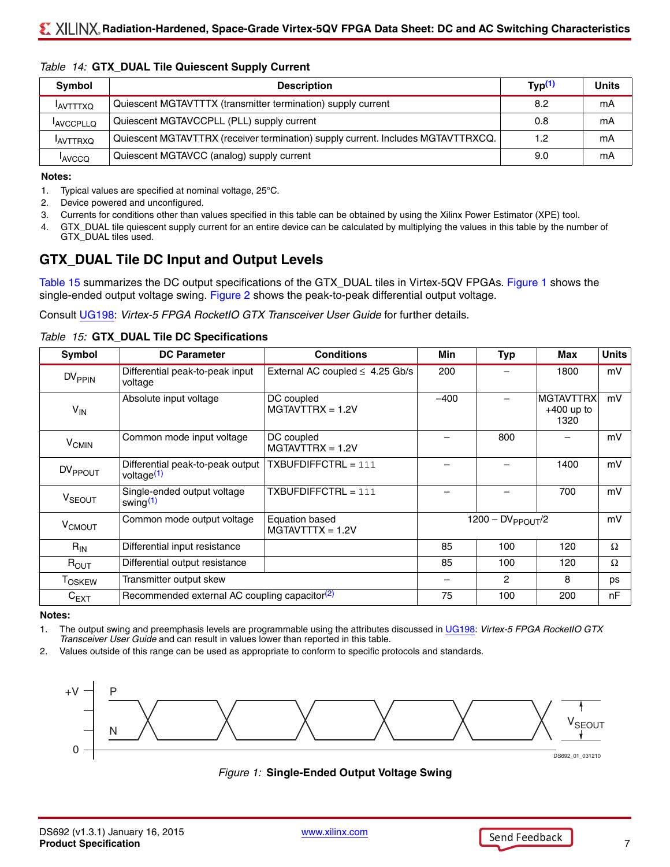| Symbol                | <b>Description</b>                                                               |     | <b>Units</b> |
|-----------------------|----------------------------------------------------------------------------------|-----|--------------|
| <b>AVTTTXQ</b>        | Quiescent MGTAVTTTX (transmitter termination) supply current                     | 8.2 | mA           |
| <sup>I</sup> AVCCPLLQ | Quiescent MGTAVCCPLL (PLL) supply current                                        | 0.8 | mА           |
| <b>AVTTRXQ</b>        | Quiescent MGTAVTTRX (receiver termination) supply current. Includes MGTAVTTRXCQ. | 1.2 | mA           |
| <sup>I</sup> AVCCQ    | Quiescent MGTAVCC (analog) supply current                                        | 9.0 | mА           |

#### <span id="page-6-6"></span>*Table 14:* **GTX\_DUAL Tile Quiescent Supply Current**

#### **Notes:**

- <span id="page-6-4"></span>1. Typical values are specified at nominal voltage, 25°C.
- 2. Device powered and unconfigured.
- <span id="page-6-5"></span>3. Currents for conditions other than values specified in this table can be obtained by using the Xilinx Power Estimator (XPE) tool.
- 4. GTX\_DUAL tile quiescent supply current for an entire device can be calculated by multiplying the values in this table by the number of GTX\_DUAL tiles used.

## **GTX\_DUAL Tile DC Input and Output Levels**

[Table 15](#page-6-2) summarizes the DC output specifications of the GTX\_DUAL tiles in Virtex-5QV FPGAs. [Figure 1](#page-6-3) shows the single-ended output voltage swing. [Figure 2](#page-7-0) shows the peak-to-peak differential output voltage.

Consult [UG198](http://www.xilinx.com/support/documentation/user_guides/ug198.pdf): *Virtex-5 FPGA RocketIO GTX Transceiver User Guide* for further details.

| Symbol                  | <b>DC Parameter</b>                                        | <b>Conditions</b>                    | Min                    | <b>Typ</b>     | Max                                      | <b>Units</b> |
|-------------------------|------------------------------------------------------------|--------------------------------------|------------------------|----------------|------------------------------------------|--------------|
| $DV_{\rm PPIN}$         | Differential peak-to-peak input<br>voltage                 | External AC coupled $\leq 4.25$ Gb/s | 200                    |                | 1800                                     | mV           |
| $V_{IN}$                | Absolute input voltage                                     | DC coupled<br>$MGTAVTTRX = 1.2V$     | $-400$                 |                | <b>MGTAVTTRX</b><br>$+400$ up to<br>1320 | mV           |
| <b>V<sub>CMIN</sub></b> | Common mode input voltage                                  | DC coupled<br>$MGTAVTTRX = 1.2V$     |                        | 800            |                                          | mV           |
| DV <sub>PPOUT</sub>     | Differential peak-to-peak output<br>voltage <sup>(1)</sup> | $TXBUFDIFFCTRL = 111$                |                        |                | 1400                                     | mV           |
| V <sub>SEOUT</sub>      | Single-ended output voltage<br>swing $(1)$                 | $TXBUFDIFFCTRL = 111$                |                        |                | 700                                      | mV           |
| V <sub>CMOUT</sub>      | Common mode output voltage                                 | Equation based<br>$MGTAVTTTX = 1.2V$ | $1200 - DV$ PPOUT $/2$ |                |                                          | mV           |
| $R_{IN}$                | Differential input resistance                              |                                      | 85                     | 100            | 120                                      | $\Omega$     |
| $R_{\text{OUT}}$        | Differential output resistance                             |                                      | 85                     | 100            | 120                                      | $\Omega$     |
| <b>TOSKEW</b>           | Transmitter output skew                                    |                                      |                        | $\overline{2}$ | 8                                        | ps           |
| $C_{EXT}$               | Recommended external AC coupling capacitor <sup>(2)</sup>  |                                      | 75                     | 100            | 200                                      | nF           |

#### <span id="page-6-2"></span>*Table 15:* **GTX\_DUAL Tile DC Specifications**

#### **Notes:**

<span id="page-6-0"></span>1. The output swing and preemphasis levels are programmable using the attributes discussed in [UG198](http://www.xilinx.com/support/documentation/user_guides/ug198.pdf): *Virtex-5 FPGA RocketIO GTX Transceiver User Guide* and can result in values lower than reported in this table.

<span id="page-6-1"></span>2. Values outside of this range can be used as appropriate to conform to specific protocols and standards.

<span id="page-6-3"></span>

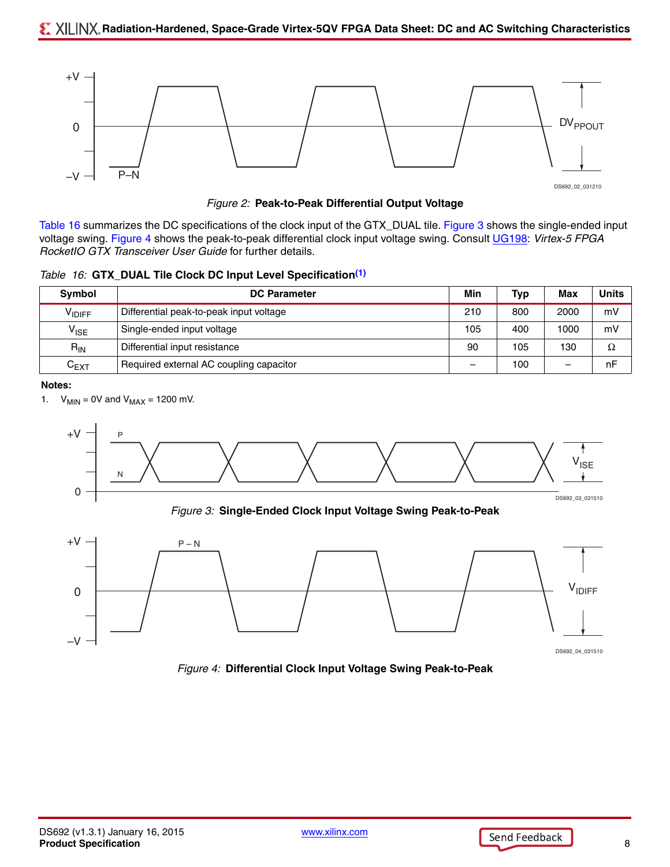

DS692\_02\_031210

*Figure 2:* **Peak-to-Peak Differential Output Voltage**

<span id="page-7-0"></span>[Table 16](#page-7-2) summarizes the DC specifications of the clock input of the GTX\_DUAL tile. [Figure 3](#page-7-3) shows the single-ended input voltage swing. [Figure 4](#page-7-4) shows the peak-to-peak differential clock input voltage swing. Consult [UG198:](http://www.xilinx.com/support/documentation/user_guides/ug198.pdf) *Virtex-5 FPGA RocketIO GTX Transceiver User Guide* for further details.

<span id="page-7-2"></span>*Table 16:* **GTX\_DUAL Tile Clock DC Input Level Specification[\(1\)](#page-7-1)**

| Symbol             | <b>DC Parameter</b>                     |     | Typ | Max  | <b>Units</b> |
|--------------------|-----------------------------------------|-----|-----|------|--------------|
| V <sub>IDIFF</sub> | Differential peak-to-peak input voltage | 210 | 800 | 2000 | mV           |
| $V_{\text{ISE}}$   | Single-ended input voltage              | 105 | 400 | 1000 | mV           |
| $R_{IN}$           | Differential input resistance           |     | 105 | 130  | Ω            |
| $C_{EXT}$          | Required external AC coupling capacitor |     | 100 | -    | nF           |

**Notes:** 

<span id="page-7-1"></span>1.  $V_{MIN} = 0V$  and  $V_{MAX} = 1200$  mV.

<span id="page-7-3"></span>

<span id="page-7-4"></span>*Figure 4:* **Differential Clock Input Voltage Swing Peak-to-Peak**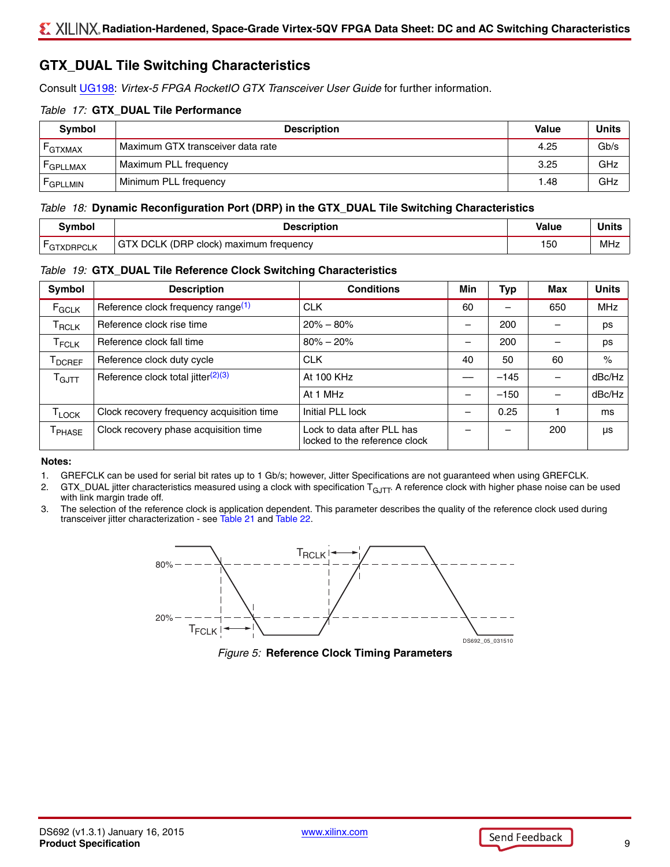## **GTX\_DUAL Tile Switching Characteristics**

Consult [UG198](http://www.xilinx.com/support/documentation/user_guides/ug198.pdf): *Virtex-5 FPGA RocketIO GTX Transceiver User Guide* for further information.

#### *Table 17:* **GTX\_DUAL Tile Performance**

| Symbol               | <b>Description</b>                | <b>Value</b> | Units |
|----------------------|-----------------------------------|--------------|-------|
| <b>GTXMAX</b>        | Maximum GTX transceiver data rate | 4.25         | Gb/s  |
| <b>GPLLMAX</b>       | Maximum PLL frequency             | 3.25         | GHz   |
| <sup>F</sup> GPLLMIN | Minimum PLL frequency             | 1.48         | GHz   |

#### <span id="page-8-3"></span>*Table 18:* **Dynamic Reconfiguration Port (DRP) in the GTX\_DUAL Tile Switching Characteristics**

| Svmbol             | Description                            | Value | <b>Units</b> |
|--------------------|----------------------------------------|-------|--------------|
| <b>L</b> GTXDRPCLK | GTX DCLK (DRP clock) maximum frequency | 150   | MHz          |

#### <span id="page-8-4"></span>*Table 19:* **GTX\_DUAL Tile Reference Clock Switching Characteristics**

| <b>Symbol</b>                 | <b>Description</b>                             | <b>Conditions</b>                                           | Min | Тур    | Max | <b>Units</b> |
|-------------------------------|------------------------------------------------|-------------------------------------------------------------|-----|--------|-----|--------------|
| F <sub>GCLK</sub>             | Reference clock frequency range <sup>(1)</sup> | <b>CLK</b>                                                  | 60  |        | 650 | <b>MHz</b>   |
| $\mathsf{T}_{\mathsf{RCLK}}$  | Reference clock rise time                      | $20\% - 80\%$                                               |     | 200    |     | ps           |
| $\mathsf{T}_{\mathsf{FCLK}}$  | Reference clock fall time                      | $80\% - 20\%$                                               | -   | 200    |     | ps           |
| $\mathsf{T}_{\mathsf{DCREF}}$ | Reference clock duty cycle                     | <b>CLK</b>                                                  | 40  | 50     | 60  | $\%$         |
| $\mathsf{T}_{\mathsf{GJTT}}$  | Reference clock total jitter $(2)(3)$          | At 100 KHz                                                  |     | $-145$ |     | dBc/Hz       |
|                               |                                                | At 1 MHz                                                    | -   | $-150$ |     | dBc/Hz       |
| T <sub>LOCK</sub>             | Clock recovery frequency acquisition time      | Initial PLL lock                                            | -   | 0.25   |     | ms           |
| T <sub>PHASE</sub>            | Clock recovery phase acquisition time          | Lock to data after PLL has<br>locked to the reference clock |     | -      | 200 | μs           |

#### **Notes:**

- <span id="page-8-0"></span>1. GREFCLK can be used for serial bit rates up to 1 Gb/s; however, Jitter Specifications are not guaranteed when using GREFCLK.
- <span id="page-8-1"></span>2. GTX\_DUAL jitter characteristics measured using a clock with specification T<sub>GJTT</sub>. A reference clock with higher phase noise can be used with link margin trade off.
- <span id="page-8-2"></span>3. The selection of the reference clock is application dependent. This parameter describes the quality of the reference clock used during transceiver jitter characterization - see [Table 21](#page-9-0) and [Table 22.](#page-10-0)



*Figure 5:* **Reference Clock Timing Parameters**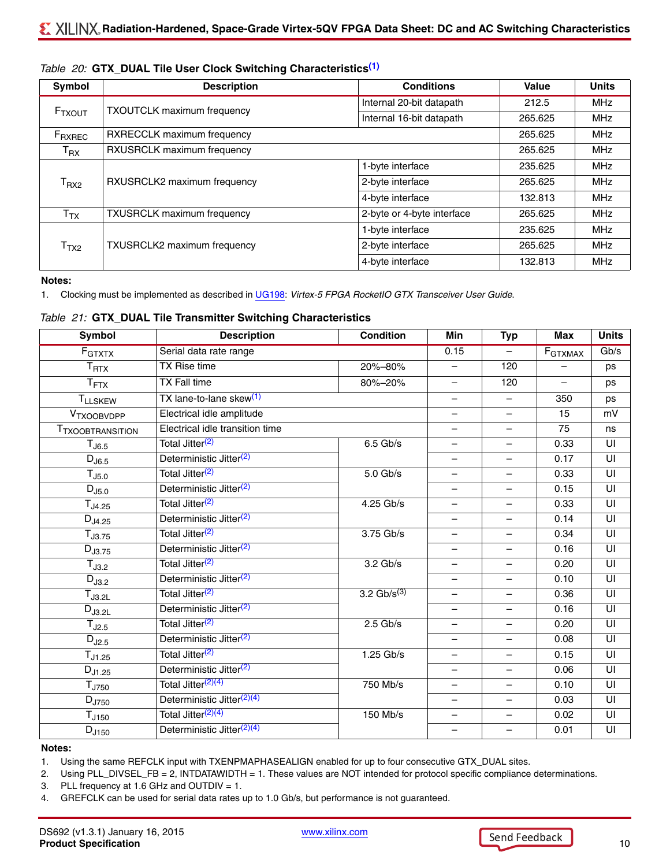| Symbol                     | <b>Description</b>                | <b>Conditions</b>          | Value   | <b>Units</b> |
|----------------------------|-----------------------------------|----------------------------|---------|--------------|
|                            | <b>TXOUTCLK maximum frequency</b> | Internal 20-bit datapath   | 212.5   | MHz          |
| F <sub>TXOUT</sub>         |                                   | Internal 16-bit datapath   | 265.625 | MHz          |
| $F_{\sf RXREC}$            | RXRECCLK maximum frequency        |                            | 265.625 | MHz          |
| $\mathsf{T}_{\mathsf{RX}}$ | RXUSRCLK maximum frequency        |                            | 265.625 | <b>MHz</b>   |
|                            |                                   | 1-byte interface           | 235.625 | <b>MHz</b>   |
| T <sub>RX2</sub>           | RXUSRCLK2 maximum frequency       | 2-byte interface           | 265.625 | <b>MHz</b>   |
|                            |                                   | 4-byte interface           | 132.813 | <b>MHz</b>   |
| $\mathsf{T}_{\mathsf{TX}}$ | <b>TXUSRCLK maximum frequency</b> | 2-byte or 4-byte interface | 265.625 | MHz          |
|                            |                                   | 1-byte interface           | 235.625 | <b>MHz</b>   |
| T <sub>TX2</sub>           | TXUSRCLK2 maximum frequency       | 2-byte interface           | 265.625 | <b>MHz</b>   |
|                            |                                   | 4-byte interface           | 132.813 | <b>MHz</b>   |

#### <span id="page-9-5"></span>*Table 20:* **GTX\_DUAL Tile User Clock Switching Characteristics[\(1\)](#page-9-1)**

#### **Notes:**

<span id="page-9-1"></span>1. Clocking must be implemented as described in [UG198](http://www.xilinx.com/support/documentation/user_guides/ug198.pdf): *Virtex-5 FPGA RocketIO GTX Transceiver User Guide*.

<span id="page-9-0"></span>

|  |  |  |  |  |  |  | Table 21: GTX_DUAL Tile Transmitter Switching Characteristics |
|--|--|--|--|--|--|--|---------------------------------------------------------------|
|--|--|--|--|--|--|--|---------------------------------------------------------------|

| Symbol                  | <b>Description</b>                     | <b>Condition</b> | Min                      | <b>Typ</b>               | <b>Max</b>               | <b>Units</b>            |
|-------------------------|----------------------------------------|------------------|--------------------------|--------------------------|--------------------------|-------------------------|
| F <sub>GTXTX</sub>      | Serial data rate range                 |                  | 0.15                     | $\equiv$                 | F <sub>GTXMAX</sub>      | $\overline{Gb/s}$       |
| $T_{\rm RTX}$           | <b>TX Rise time</b>                    | 20%-80%          | $\overline{\phantom{0}}$ | 120                      |                          | ps                      |
| T <sub>FTX</sub>        | <b>TX Fall time</b>                    | 80%-20%          | $\overline{\phantom{0}}$ | 120                      | $\overline{\phantom{0}}$ | ps                      |
| <b>TLLSKEW</b>          | TX lane-to-lane skew <sup>(1)</sup>    |                  |                          |                          | 350                      | ps                      |
| VTXOOBVDPP              | Electrical idle amplitude              |                  |                          | $\overline{\phantom{0}}$ | 15                       | mV                      |
| <b>TTXOOBTRANSITION</b> | Electrical idle transition time        |                  |                          | $\overline{\phantom{m}}$ | 75                       | ns                      |
| $T_{\rm J6.5}$          | Total Jitter <sup>(2)</sup>            | $6.5$ Gb/s       | $\qquad \qquad -$        | $\overline{\phantom{m}}$ | 0.33                     | UI                      |
| $D_{J6.5}$              | Deterministic Jitter <sup>(2)</sup>    |                  | $\qquad \qquad -$        | $\overline{\phantom{0}}$ | 0.17                     | UI                      |
| T <sub>J5.0</sub>       | Total Jitter <sup>(2)</sup>            | $5.0$ Gb/s       |                          | $\overline{\phantom{0}}$ | 0.33                     | $\overline{\mathsf{U}}$ |
| $D_{J5.0}$              | Deterministic Jitter <sup>(2)</sup>    |                  | $\overline{\phantom{0}}$ | $\equiv$                 | 0.15                     | UI                      |
| $T_{J4.25}$             | Total Jitter <sup>(2)</sup>            | 4.25 Gb/s        | $\overline{\phantom{0}}$ | $\overline{\phantom{0}}$ | 0.33                     | UI                      |
| $D_{J4.25}$             | Deterministic Jitter <sup>(2)</sup>    |                  | $\overline{\phantom{0}}$ | $\overline{\phantom{0}}$ | 0.14                     | UI                      |
| $T_{J3.75}$             | Total Jitter <sup>(2)</sup>            | 3.75 Gb/s        | $\overline{\phantom{m}}$ | $\overline{\phantom{0}}$ | 0.34                     | UI                      |
| $D_{J3.75}$             | Deterministic Jitter <sup>(2)</sup>    |                  | $\qquad \qquad -$        | $\overline{\phantom{m}}$ | 0.16                     | UI                      |
| $T_{J3.2}$              | Total Jitter <sup>(2)</sup>            | $3.2$ Gb/s       |                          | —                        | 0.20                     | UI                      |
| $D_{J3.2}$              | Deterministic Jitter <sup>(2)</sup>    |                  |                          | $\overline{\phantom{0}}$ | 0.10                     | UI                      |
| $T_{J3.2L}$             | Total Jitter <sup>(2)</sup>            | 3.2 $Gb/s^{(3)}$ | $\qquad \qquad -$        | $\overline{\phantom{0}}$ | 0.36                     | UI                      |
| $D_{J3.2L}$             | Deterministic Jitter <sup>(2)</sup>    |                  | $\overline{\phantom{0}}$ |                          | 0.16                     | UI                      |
| $T_{J2.5}$              | Total Jitter <sup>(2)</sup>            | $2.5$ Gb/s       | $\equiv$                 | $\overline{\phantom{0}}$ | 0.20                     | UI                      |
| $D_{J2.5}$              | Deterministic Jitter <sup>(2)</sup>    |                  | $\overline{\phantom{0}}$ | $\overline{\phantom{0}}$ | 0.08                     | UI                      |
| $T_{J1.25}$             | Total Jitter <sup>(2)</sup>            | $1.25$ Gb/s      | $\qquad \qquad -$        | $\overline{\phantom{0}}$ | 0.15                     | UI                      |
| $D_{J1.25}$             | Deterministic Jitter <sup>(2)</sup>    |                  | $\overline{\phantom{0}}$ | $\qquad \qquad -$        | 0.06                     | UI                      |
| T <sub>J750</sub>       | Total Jitter <sup>(2)(4)</sup>         | 750 Mb/s         | $\overline{\phantom{0}}$ |                          | 0.10                     | UI                      |
| $D_{J750}$              | Deterministic Jitter <sup>(2)(4)</sup> |                  | $\overline{\phantom{0}}$ | $\overline{\phantom{0}}$ | 0.03                     | UI                      |
| T <sub>J150</sub>       | Total Jitter <sup>(2)(4)</sup>         | 150 Mb/s         | $\overline{\phantom{0}}$ | $\overline{\phantom{m}}$ | 0.02                     | UI                      |
| $D_{J150}$              | Deterministic Jitter <sup>(2)(4)</sup> |                  |                          | $\overline{\phantom{0}}$ | 0.01                     | UI                      |

#### **Notes:**

<span id="page-9-2"></span>1. Using the same REFCLK input with TXENPMAPHASEALIGN enabled for up to four consecutive GTX\_DUAL sites.

<span id="page-9-3"></span>2. Using PLL\_DIVSEL\_FB = 2, INTDATAWIDTH = 1. These values are NOT intended for protocol specific compliance determinations.

3. PLL frequency at 1.6 GHz and OUTDIV = 1.

<span id="page-9-4"></span>4. GREFCLK can be used for serial data rates up to 1.0 Gb/s, but performance is not guaranteed.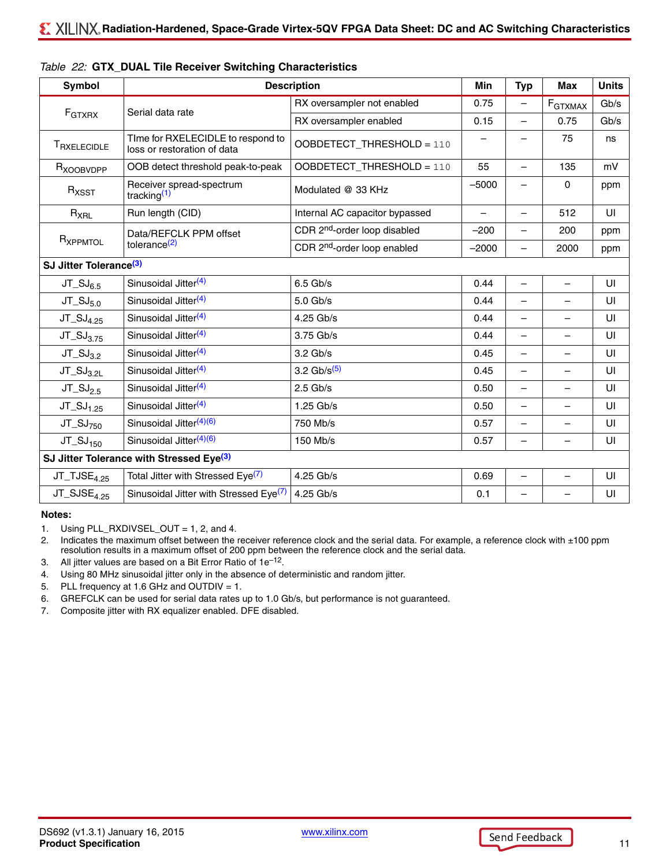| <b>Symbol</b>                      | <b>Description</b>                                               |                                          |                          | <b>Typ</b>               | <b>Max</b>                   | <b>Units</b> |
|------------------------------------|------------------------------------------------------------------|------------------------------------------|--------------------------|--------------------------|------------------------------|--------------|
|                                    | Serial data rate                                                 | RX oversampler not enabled               | 0.75                     | $\overline{\phantom{0}}$ | $\mathsf{F}_{\text{GTXMAX}}$ | Gb/s         |
| F <sub>GTXRX</sub>                 |                                                                  | RX oversampler enabled                   | 0.15                     | $\overline{\phantom{0}}$ | 0.75                         | Gb/s         |
| TRXELECIDLE                        | Time for RXELECIDLE to respond to<br>loss or restoration of data | OOBDETECT_THRESHOLD = 110                |                          | $\overline{\phantom{0}}$ | 75                           | ns           |
| R <sub>XOOBVDPP</sub>              | OOB detect threshold peak-to-peak                                | OOBDETECT_THRESHOLD = 110                | 55                       | $\overline{\phantom{0}}$ | 135                          | mV           |
| $R_{XSST}$                         | Receiver spread-spectrum<br>tracking $(1)$                       | Modulated @ 33 KHz                       | $-5000$                  | $\overline{\phantom{0}}$ | $\mathbf{0}$                 | ppm          |
| $R_{XRL}$                          | Run length (CID)                                                 | Internal AC capacitor bypassed           | $\overline{\phantom{0}}$ | $\overline{\phantom{0}}$ | 512                          | UI           |
|                                    | Data/REFCLK PPM offset                                           | CDR 2 <sup>nd</sup> -order loop disabled | $-200$                   |                          | 200                          | ppm          |
| R <sub>XPPMTOL</sub>               | tolerance <sup>(2)</sup>                                         | CDR 2 <sup>nd</sup> -order loop enabled  | $-2000$                  |                          | 2000                         | ppm          |
| SJ Jitter Tolerance <sup>(3)</sup> |                                                                  |                                          |                          |                          |                              |              |
| $JT_SJ_{6.5}$                      | Sinusoidal Jitter <sup>(4)</sup>                                 | $6.5$ Gb/s                               | 0.44                     | $\overline{\phantom{0}}$ |                              | UI           |
| $JT_SJ_{5.0}$                      | Sinusoidal Jitter <sup>(4)</sup>                                 | $5.0$ Gb/s                               | 0.44                     |                          |                              | UI           |
| $JT_SJ_{4.25}$                     | Sinusoidal Jitter <sup>(4)</sup>                                 | 4.25 Gb/s                                | 0.44                     | $\overline{\phantom{0}}$ |                              | UI           |
| $JT_SJ_{3.75}$                     | Sinusoidal Jitter <sup>(4)</sup>                                 | 3.75 Gb/s                                | 0.44                     | $\overline{\phantom{0}}$ |                              | UI           |
| $JT_SJ_{3.2}$                      | Sinusoidal Jitter <sup>(4)</sup>                                 | 3.2 Gb/s                                 | 0.45                     | $\overline{\phantom{0}}$ |                              | UI           |
| $JT_SJ_{3.2L}$                     | Sinusoidal Jitter <sup>(4)</sup>                                 | 3.2 $Gb/s^{(5)}$                         | 0.45                     | $\overline{\phantom{0}}$ |                              | UI           |
| $JT_SJ_{2.5}$                      | Sinusoidal Jitter <sup>(4)</sup>                                 | $2.5$ Gb/s                               | 0.50                     | $\overline{\phantom{0}}$ |                              | UI           |
| $JT_SJ_{1.25}$                     | Sinusoidal Jitter <sup>(4)</sup>                                 | 1.25 Gb/s                                | 0.50                     | $\overline{\phantom{0}}$ |                              | UI           |
| $JT_SJ_{750}$                      | Sinusoidal Jitter <sup>(4)(6)</sup>                              | 750 Mb/s                                 | 0.57                     |                          |                              | UI           |
| $JT_SJ_{150}$                      | Sinusoidal Jitter <sup>(4)(6)</sup>                              | 150 Mb/s                                 | 0.57                     |                          |                              | UI           |
|                                    | SJ Jitter Tolerance with Stressed Eye <sup>(3)</sup>             |                                          |                          |                          |                              |              |
| $JT_TJSE4.25$                      | Total Jitter with Stressed Eye <sup>(7)</sup>                    | 4.25 Gb/s                                | 0.69                     | $\equiv$                 | $\equiv$                     | UI           |
| $JT_SJSE_{4.25}$                   | Sinusoidal Jitter with Stressed Eye <sup>(7)</sup>               | 4.25 Gb/s                                | 0.1                      |                          |                              | UI           |

<span id="page-10-0"></span>

|  |  |  |  |  |  | Table 22: GTX_DUAL Tile Receiver Switching Characteristics |
|--|--|--|--|--|--|------------------------------------------------------------|
|--|--|--|--|--|--|------------------------------------------------------------|

#### **Notes:**

<span id="page-10-3"></span>1. Using PLL\_RXDIVSEL\_OUT = 1, 2, and 4.

<span id="page-10-1"></span>2. Indicates the maximum offset between the receiver reference clock and the serial data. For example, a reference clock with  $\pm 100$  ppm resolution results in a maximum offset of 200 ppm between the reference clock and the serial data.

<span id="page-10-4"></span>3. All jitter values are based on a Bit Error Ratio of  $1e^{-12}$ .

<span id="page-10-5"></span>4. Using 80 MHz sinusoidal jitter only in the absence of deterministic and random jitter.

<span id="page-10-6"></span>5. PLL frequency at 1.6 GHz and OUTDIV = 1.

<span id="page-10-7"></span>6. GREFCLK can be used for serial data rates up to 1.0 Gb/s, but performance is not guaranteed.

<span id="page-10-2"></span>7. Composite jitter with RX equalizer enabled. DFE disabled.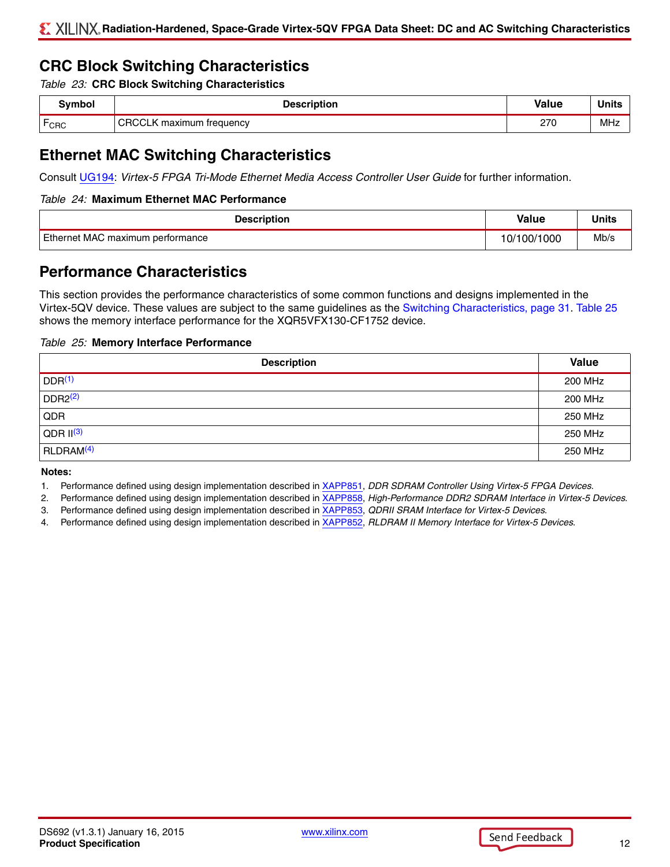## **CRC Block Switching Characteristics**

<span id="page-11-5"></span>*Table 23:* **CRC Block Switching Characteristics**

| 3              | uon                    | /alue                       |     |
|----------------|------------------------|-----------------------------|-----|
| —<br>$r_{CRC}$ | ∼<br>treauency<br>nıım | 270<br>$\epsilon$<br>$\sim$ | MHz |

## **Ethernet MAC Switching Characteristics**

Consult [UG194](http://www.xilinx.com/support/documentation/user_guides/ug194.pdf): *Virtex-5 FPGA Tri-Mode Ethernet Media Access Controller User Guide* for further information.

#### *Table 24:* **Maximum Ethernet MAC Performance**

| <b>Description</b>               | <b>Value</b> | <b>Units</b> |
|----------------------------------|--------------|--------------|
| Ethernet MAC maximum performance | 10/100/1000  | Mb/s         |

## **Performance Characteristics**

This section provides the performance characteristics of some common functions and designs implemented in the Virtex-5QV device. These values are subject to the same guidelines as the Switching Characteristics, page 31. [Table 25](#page-11-0) shows the memory interface performance for the XQR5VFX130-CF1752 device.

#### <span id="page-11-0"></span>*Table 25:* **Memory Interface Performance**

| <b>Description</b>    | <b>Value</b> |
|-----------------------|--------------|
| DDR <sup>(1)</sup>    | 200 MHz      |
| DDR2 <sup>(2)</sup>   | 200 MHz      |
| QDR                   | 250 MHz      |
| $QDR$ $  ^{(3)}$      | 250 MHz      |
| RLDRAM <sup>(4)</sup> | 250 MHz      |

#### **Notes:**

- <span id="page-11-1"></span>1. Performance defined using design implementation described in [XAPP851,](http://www.xilinx.com/support/documentation/application_notes/xapp851.pdf) *DDR SDRAM Controller Using Virtex-5 FPGA Devices*.
- <span id="page-11-2"></span>2. Performance defined using design implementation described in [XAPP858,](http://www.xilinx.com/support/documentation/application_notes/xapp858.pdf) *High-Performance DDR2 SDRAM Interface in Virtex-5 Devices*.
- <span id="page-11-3"></span>3. Performance defined using design implementation described in [XAPP853,](http://www.xilinx.com/support/documentation/application_notes/xapp853.pdf) *QDRII SRAM Interface for Virtex-5 Devices*.
- <span id="page-11-4"></span>4. Performance defined using design implementation described in [XAPP852,](http://www.xilinx.com/support/documentation/application_notes/xapp852.pdf) *RLDRAM II Memory Interface for Virtex-5 Devices*.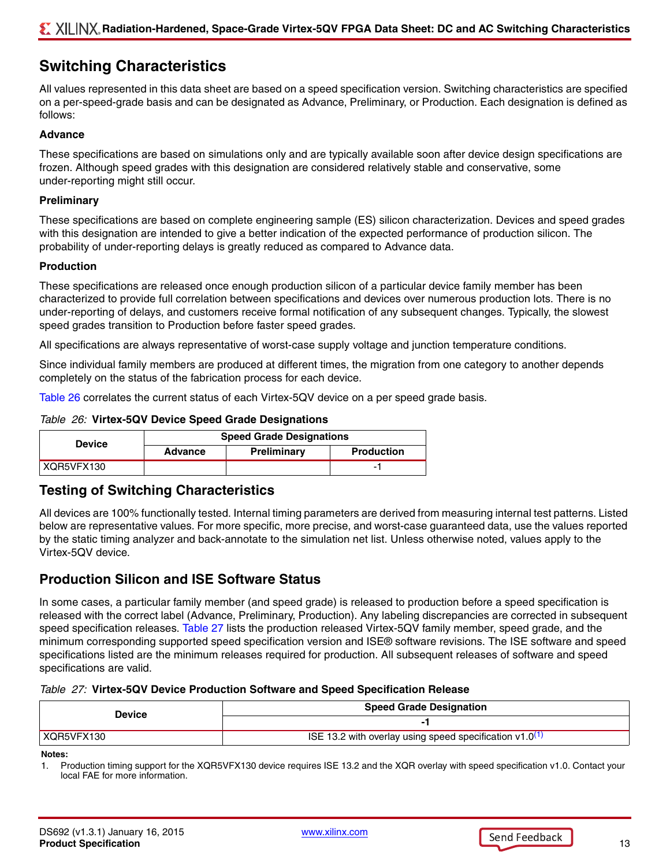## **Switching Characteristics**

All values represented in this data sheet are based on a speed specification version. Switching characteristics are specified on a per-speed-grade basis and can be designated as Advance, Preliminary, or Production. Each designation is defined as follows:

#### **Advance**

These specifications are based on simulations only and are typically available soon after device design specifications are frozen. Although speed grades with this designation are considered relatively stable and conservative, some under-reporting might still occur.

#### **Preliminary**

These specifications are based on complete engineering sample (ES) silicon characterization. Devices and speed grades with this designation are intended to give a better indication of the expected performance of production silicon. The probability of under-reporting delays is greatly reduced as compared to Advance data.

#### **Production**

These specifications are released once enough production silicon of a particular device family member has been characterized to provide full correlation between specifications and devices over numerous production lots. There is no under-reporting of delays, and customers receive formal notification of any subsequent changes. Typically, the slowest speed grades transition to Production before faster speed grades.

All specifications are always representative of worst-case supply voltage and junction temperature conditions.

Since individual family members are produced at different times, the migration from one category to another depends completely on the status of the fabrication process for each device.

[Table 26](#page-12-0) correlates the current status of each Virtex-5QV device on a per speed grade basis.

#### <span id="page-12-0"></span>*Table 26:* **Virtex-5QV Device Speed Grade Designations**

| <b>Device</b> | <b>Speed Grade Designations</b> |             |  |  |  |
|---------------|---------------------------------|-------------|--|--|--|
|               | Advance                         | Preliminary |  |  |  |
| XQR5VFX130    |                                 |             |  |  |  |

## **Testing of Switching Characteristics**

All devices are 100% functionally tested. Internal timing parameters are derived from measuring internal test patterns. Listed below are representative values. For more specific, more precise, and worst-case guaranteed data, use the values reported by the static timing analyzer and back-annotate to the simulation net list. Unless otherwise noted, values apply to the Virtex-5QV device.

## **Production Silicon and ISE Software Status**

In some cases, a particular family member (and speed grade) is released to production before a speed specification is released with the correct label (Advance, Preliminary, Production). Any labeling discrepancies are corrected in subsequent speed specification releases. [Table 27](#page-12-2) lists the production released Virtex-5QV family member, speed grade, and the minimum corresponding supported speed specification version and ISE® software revisions. The ISE software and speed specifications listed are the minimum releases required for production. All subsequent releases of software and speed specifications are valid.

#### <span id="page-12-2"></span>*Table 27:* **Virtex-5QV Device Production Software and Speed Specification Release**

| Device       | <b>Speed Grade Designation</b>                               |  |  |
|--------------|--------------------------------------------------------------|--|--|
|              |                                                              |  |  |
| ' XQR5VFX130 | ISE 13.2 with overlay using speed specification $v1.0^{(1)}$ |  |  |

**Notes:** 

<span id="page-12-1"></span>1. Production timing support for the XQR5VFX130 device requires ISE 13.2 and the XQR overlay with speed specification v1.0. Contact your local FAE for more information.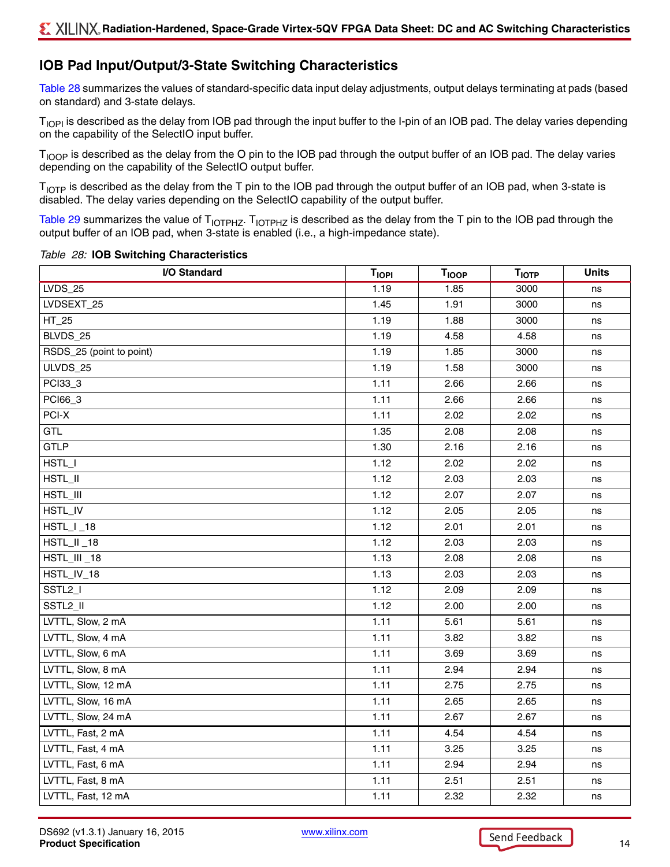## **IOB Pad Input/Output/3-State Switching Characteristics**

[Table 28](#page-13-0) summarizes the values of standard-specific data input delay adjustments, output delays terminating at pads (based on standard) and 3-state delays.

T<sub>IOPI</sub> is described as the delay from IOB pad through the input buffer to the I-pin of an IOB pad. The delay varies depending on the capability of the SelectIO input buffer.

T<sub>IOOP</sub> is described as the delay from the O pin to the IOB pad through the output buffer of an IOB pad. The delay varies depending on the capability of the SelectIO output buffer.

 $T_{\text{IOTP}}$  is described as the delay from the T pin to the IOB pad through the output buffer of an IOB pad, when 3-state is disabled. The delay varies depending on the SelectIO capability of the output buffer.

[Table 29](#page-16-0) summarizes the value of  $T_{\text{IOTPHZ}}$ .  $T_{\text{IOTPHZ}}$  is described as the delay from the T pin to the IOB pad through the output buffer of an IOB pad, when 3-state is enabled (i.e., a high-impedance state).

#### <span id="page-13-0"></span>*Table 28:* **IOB Switching Characteristics**

| I/O Standard             | <b>TIOPI</b> | <b>TIOOP</b> | <b>TIOTP</b> | <b>Units</b> |
|--------------------------|--------------|--------------|--------------|--------------|
| <b>LVDS_25</b>           | 1.19         | 1.85         | 3000         | ns           |
| LVDSEXT_25               | 1.45         | 1.91         | 3000         | ns           |
| $HT_25$                  | 1.19         | 1.88         | 3000         | ns           |
| BLVDS_25                 | 1.19         | 4.58         | 4.58         | ns           |
| RSDS_25 (point to point) | 1.19         | 1.85         | 3000         | ns           |
| ULVDS_25                 | 1.19         | 1.58         | 3000         | ns           |
| PCI33_3                  | 1.11         | 2.66         | 2.66         | ns           |
| PCI66_3                  | 1.11         | 2.66         | 2.66         | ns           |
| PCI-X                    | 1.11         | 2.02         | 2.02         | ns           |
| GTL                      | 1.35         | 2.08         | 2.08         | ns           |
| <b>GTLP</b>              | 1.30         | 2.16         | 2.16         | ns           |
| HSTL_I                   | 1.12         | 2.02         | 2.02         | ns           |
| HSTL_II                  | 1.12         | 2.03         | 2.03         | ns           |
| HSTL_III                 | 1.12         | 2.07         | 2.07         | ns           |
| HSTL_IV                  | 1.12         | 2.05         | 2.05         | ns           |
| $HSTL_l_1_18$            | 1.12         | 2.01         | 2.01         | ns           |
| HSTL_II_18               | 1.12         | 2.03         | 2.03         | ns           |
| HSTL_III_18              | 1.13         | 2.08         | 2.08         | ns           |
| HSTL_IV_18               | 1.13         | 2.03         | 2.03         | ns           |
| SSTL <sub>2_I</sub>      | 1.12         | 2.09         | 2.09         | ns           |
| SSTL2_II                 | 1.12         | 2.00         | 2.00         | ns           |
| LVTTL, Slow, 2 mA        | 1.11         | 5.61         | 5.61         | ns           |
| LVTTL, Slow, 4 mA        | 1.11         | 3.82         | 3.82         | ns           |
| LVTTL, Slow, 6 mA        | 1.11         | 3.69         | 3.69         | ns           |
| LVTTL, Slow, 8 mA        | 1.11         | 2.94         | 2.94         | ns           |
| LVTTL, Slow, 12 mA       | 1.11         | 2.75         | 2.75         | ns           |
| LVTTL, Slow, 16 mA       | 1.11         | 2.65         | 2.65         | ns           |
| LVTTL, Slow, 24 mA       | 1.11         | 2.67         | 2.67         | ns           |
| LVTTL, Fast, 2 mA        | 1.11         | 4.54         | 4.54         | ns           |
| LVTTL, Fast, 4 mA        | 1.11         | 3.25         | 3.25         | ns           |
| LVTTL, Fast, 6 mA        | 1.11         | 2.94         | 2.94         | ns           |
| LVTTL, Fast, 8 mA        | 1.11         | 2.51         | 2.51         | ns           |
| LVTTL, Fast, 12 mA       | 1.11         | 2.32         | 2.32         | ns           |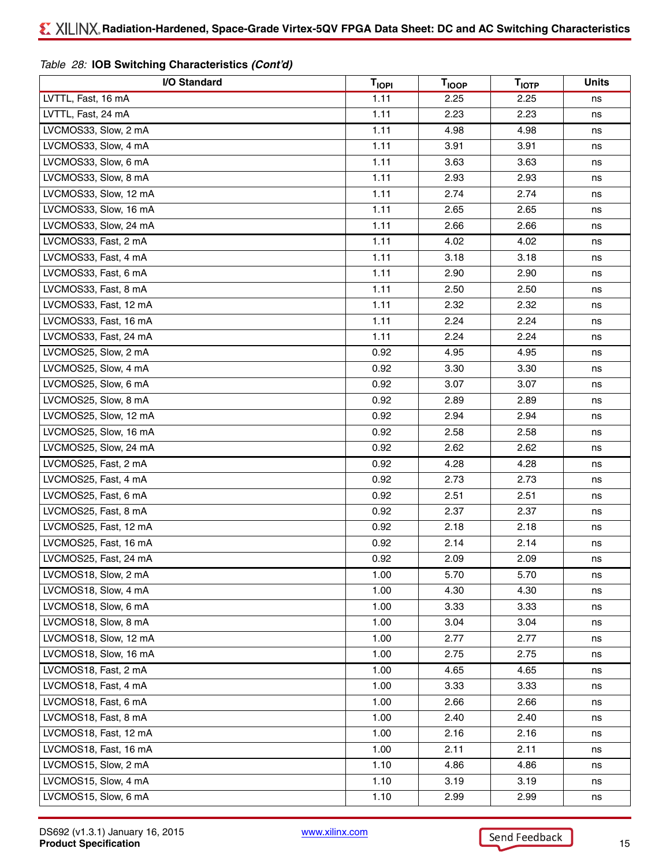| I/O Standard          | <b>TIOPI</b> | <b>T<sub>IOOP</sub></b> | <b>TIOTP</b> | <b>Units</b> |
|-----------------------|--------------|-------------------------|--------------|--------------|
| LVTTL, Fast, 16 mA    | 1.11         | 2.25                    | 2.25         | ns           |
| LVTTL, Fast, 24 mA    | 1.11         | 2.23                    | 2.23         | ns           |
| LVCMOS33, Slow, 2 mA  | 1.11         | 4.98                    | 4.98         | ns           |
| LVCMOS33, Slow, 4 mA  | 1.11         | 3.91                    | 3.91         | ns           |
| LVCMOS33, Slow, 6 mA  | 1.11         | 3.63                    | 3.63         | ns           |
| LVCMOS33, Slow, 8 mA  | 1.11         | 2.93                    | 2.93         | ns           |
| LVCMOS33, Slow, 12 mA | 1.11         | 2.74                    | 2.74         | ns           |
| LVCMOS33, Slow, 16 mA | 1.11         | 2.65                    | 2.65         | ns           |
| LVCMOS33, Slow, 24 mA | 1.11         | 2.66                    | 2.66         | ns           |
| LVCMOS33, Fast, 2 mA  | 1.11         | 4.02                    | 4.02         | ns           |
| LVCMOS33, Fast, 4 mA  | 1.11         | 3.18                    | 3.18         | ns           |
| LVCMOS33, Fast, 6 mA  | 1.11         | 2.90                    | 2.90         | ns           |
| LVCMOS33, Fast, 8 mA  | 1.11         | 2.50                    | 2.50         | ns           |
| LVCMOS33, Fast, 12 mA | 1.11         | 2.32                    | 2.32         | ns           |
| LVCMOS33, Fast, 16 mA | 1.11         | 2.24                    | 2.24         | ns           |
| LVCMOS33, Fast, 24 mA | 1.11         | 2.24                    | 2.24         | ns           |
| LVCMOS25, Slow, 2 mA  | 0.92         | 4.95                    | 4.95         | ns           |
| LVCMOS25, Slow, 4 mA  | 0.92         | 3.30                    | 3.30         | ns           |
| LVCMOS25, Slow, 6 mA  | 0.92         | 3.07                    | 3.07         | ns           |
| LVCMOS25, Slow, 8 mA  | 0.92         | 2.89                    | 2.89         | ns           |
| LVCMOS25, Slow, 12 mA | 0.92         | 2.94                    | 2.94         | ns           |
| LVCMOS25, Slow, 16 mA | 0.92         | 2.58                    | 2.58         | ns           |
| LVCMOS25, Slow, 24 mA | 0.92         | 2.62                    | 2.62         | ns           |
| LVCMOS25, Fast, 2 mA  | 0.92         | 4.28                    | 4.28         | ns           |
| LVCMOS25, Fast, 4 mA  | 0.92         | 2.73                    | 2.73         | ns           |
| LVCMOS25, Fast, 6 mA  | 0.92         | 2.51                    | 2.51         | ns           |
| LVCMOS25, Fast, 8 mA  | 0.92         | 2.37                    | 2.37         | ns           |
| LVCMOS25, Fast, 12 mA | 0.92         | 2.18                    | 2.18         | ns           |
| LVCMOS25, Fast, 16 mA | 0.92         | 2.14                    | 2.14         | ns           |
| LVCMOS25, Fast, 24 mA | 0.92         | 2.09                    | 2.09         | ns           |
| LVCMOS18, Slow, 2 mA  | 1.00         | 5.70                    | 5.70         | ns           |
| LVCMOS18, Slow, 4 mA  | 1.00         | 4.30                    | 4.30         | ns           |
| LVCMOS18, Slow, 6 mA  | 1.00         | 3.33                    | 3.33         | ns           |
| LVCMOS18, Slow, 8 mA  | 1.00         | 3.04                    | 3.04         | ns           |
| LVCMOS18, Slow, 12 mA | 1.00         | 2.77                    | 2.77         | ns           |
| LVCMOS18, Slow, 16 mA | 1.00         | 2.75                    | 2.75         | ns           |
| LVCMOS18, Fast, 2 mA  | 1.00         | 4.65                    | 4.65         | ns           |
| LVCMOS18, Fast, 4 mA  | 1.00         | 3.33                    | 3.33         | ns           |
| LVCMOS18, Fast, 6 mA  | 1.00         | 2.66                    | 2.66         | ns           |
| LVCMOS18, Fast, 8 mA  | 1.00         | 2.40                    | 2.40         | ns           |
| LVCMOS18, Fast, 12 mA | 1.00         | 2.16                    | 2.16         | ns           |
| LVCMOS18, Fast, 16 mA | 1.00         | 2.11                    | 2.11         | ns           |
| LVCMOS15, Slow, 2 mA  | 1.10         | 4.86                    | 4.86         | ns           |
| LVCMOS15, Slow, 4 mA  | 1.10         | 3.19                    | 3.19         | ns           |
| LVCMOS15, Slow, 6 mA  | 1.10         | 2.99                    | 2.99         | ns           |

#### *Table 28:* **IOB Switching Characteristics** *(Cont'd)*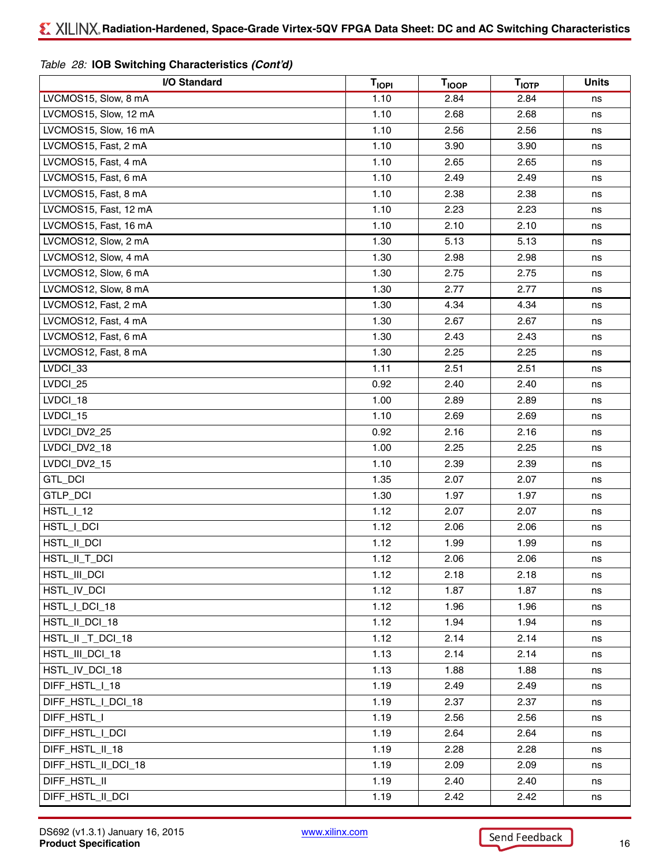| I/O Standard          | <b>TIOPI</b> | <b>T<sub>IOOP</sub></b> | $T_{\text{IOTP}}$ | <b>Units</b> |
|-----------------------|--------------|-------------------------|-------------------|--------------|
| LVCMOS15, Slow, 8 mA  | 1.10         | 2.84                    | 2.84              | ns           |
| LVCMOS15, Slow, 12 mA | 1.10         | 2.68                    | 2.68              | ns           |
| LVCMOS15, Slow, 16 mA | 1.10         | 2.56                    | 2.56              | ns           |
| LVCMOS15, Fast, 2 mA  | 1.10         | 3.90                    | 3.90              | ns           |
| LVCMOS15, Fast, 4 mA  | 1.10         | 2.65                    | 2.65              | ns           |
| LVCMOS15, Fast, 6 mA  | 1.10         | 2.49                    | 2.49              | ns           |
| LVCMOS15, Fast, 8 mA  | 1.10         | 2.38                    | 2.38              | ns           |
| LVCMOS15, Fast, 12 mA | 1.10         | 2.23                    | 2.23              | ns           |
| LVCMOS15, Fast, 16 mA | 1.10         | 2.10                    | 2.10              | ns           |
| LVCMOS12, Slow, 2 mA  | 1.30         | 5.13                    | 5.13              | ns           |
| LVCMOS12, Slow, 4 mA  | 1.30         | 2.98                    | 2.98              | ns           |
| LVCMOS12, Slow, 6 mA  | 1.30         | 2.75                    | 2.75              | ns           |
| LVCMOS12, Slow, 8 mA  | 1.30         | 2.77                    | 2.77              | ns           |
| LVCMOS12, Fast, 2 mA  | 1.30         | 4.34                    | 4.34              | ns           |
| LVCMOS12, Fast, 4 mA  | 1.30         | 2.67                    | 2.67              | ns           |
| LVCMOS12, Fast, 6 mA  | 1.30         | 2.43                    | 2.43              | ns           |
| LVCMOS12, Fast, 8 mA  | 1.30         | 2.25                    | 2.25              | ns           |
| LVDCI_33              | 1.11         | 2.51                    | 2.51              | ns           |
| LVDCI_25              | 0.92         | 2.40                    | 2.40              | ns           |
| LVDCI_18              | 1.00         | 2.89                    | 2.89              | ns           |
| LVDCI_15              | 1.10         | 2.69                    | 2.69              | ns           |
| LVDCI_DV2_25          | 0.92         | 2.16                    | 2.16              | ns           |
| LVDCI_DV2_18          | 1.00         | 2.25                    | 2.25              | ns           |
| LVDCI_DV2_15          | 1.10         | 2.39                    | 2.39              | ns           |
| GTL_DCI               | 1.35         | 2.07                    | 2.07              | ns           |
| GTLP_DCI              | 1.30         | 1.97                    | 1.97              | ns           |
| <b>HSTL_I_12</b>      | 1.12         | 2.07                    | 2.07              | ns           |
| HSTL_I_DCI            | 1.12         | 2.06                    | 2.06              | ns           |
| HSTL_II_DCI           | 1.12         | 1.99                    | 1.99              | ns           |
| HSTL_II_T_DCI         | 1.12         | 2.06                    | 2.06              | ns           |
| HSTL_III_DCI          | 1.12         | 2.18                    | 2.18              | ns           |
| HSTL_IV_DCI           | 1.12         | 1.87                    | 1.87              | ns           |
| HSTL_I_DCI_18         | 1.12         | 1.96                    | 1.96              | ns           |
| HSTL_II_DCI_18        | 1.12         | 1.94                    | 1.94              | ns           |
| HSTL_II_T_DCI_18      | 1.12         | 2.14                    | 2.14              | ns           |
| HSTL_III_DCI_18       | 1.13         | 2.14                    | 2.14              | ns           |
| HSTL_IV_DCI_18        | 1.13         | 1.88                    | 1.88              | ns           |
| DIFF_HSTL_I_18        | 1.19         | 2.49                    | 2.49              | ns           |
| DIFF_HSTL_I_DCI_18    | 1.19         | 2.37                    | 2.37              | ns           |
| DIFF_HSTL_I           | 1.19         | 2.56                    | 2.56              | ns           |
| DIFF_HSTL_I_DCI       | 1.19         | 2.64                    | 2.64              | ns           |
| DIFF_HSTL_II_18       | 1.19         | 2.28                    | 2.28              | ns           |
| DIFF_HSTL_II_DCI_18   | 1.19         | 2.09                    | 2.09              | ns           |
| DIFF_HSTL_II          | 1.19         | 2.40                    | 2.40              | ns           |
| DIFF_HSTL_II_DCI      | 1.19         | 2.42                    | 2.42              | ns           |

#### *Table 28:* **IOB Switching Characteristics** *(Cont'd)*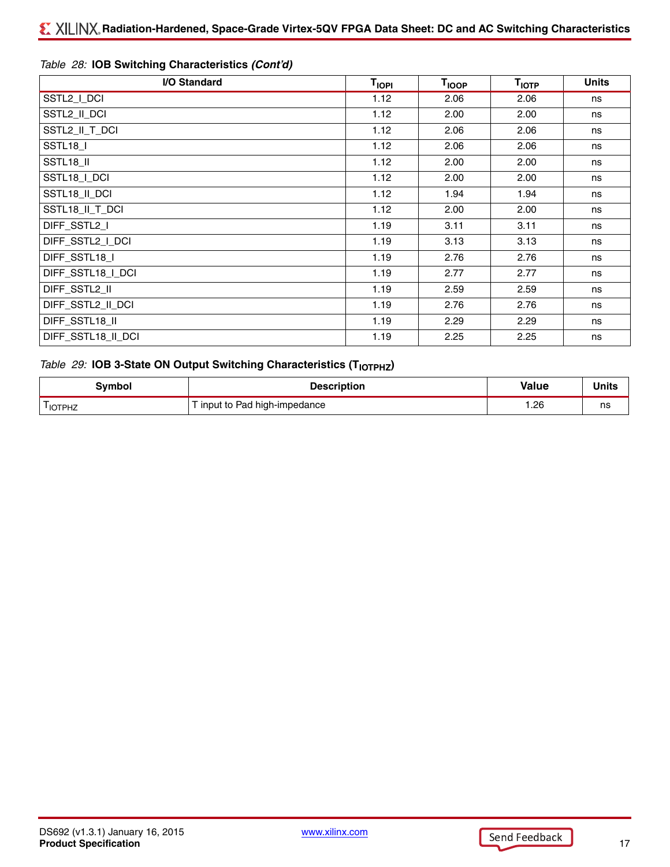| I/O Standard       | <b>TIOPI</b> | <b>T<sub>IOOP</sub></b> | T <sub>IOTP</sub> | <b>Units</b> |
|--------------------|--------------|-------------------------|-------------------|--------------|
| SSTL2_I_DCI        | 1.12         | 2.06                    | 2.06              | ns           |
| SSTL2_II_DCI       | 1.12         | 2.00                    | 2.00              | ns           |
| SSTL2_II_T_DCI     | 1.12         | 2.06                    | 2.06              | ns           |
| SSTL <sub>18</sub> | 1.12         | 2.06                    | 2.06              | ns           |
| SSTL18_II          | 1.12         | 2.00                    | 2.00              | ns           |
| SSTL18_I_DCI       | 1.12         | 2.00                    | 2.00              | ns           |
| SSTL18_II_DCI      | 1.12         | 1.94                    | 1.94              | ns           |
| SSTL18_II_T_DCI    | 1.12         | 2.00                    | 2.00              | ns           |
| DIFF_SSTL2_I       | 1.19         | 3.11                    | 3.11              | ns           |
| DIFF_SSTL2_I_DCI   | 1.19         | 3.13                    | 3.13              | ns           |
| DIFF_SSTL18_I      | 1.19         | 2.76                    | 2.76              | ns           |
| DIFF_SSTL18_I_DCI  | 1.19         | 2.77                    | 2.77              | ns           |
| DIFF_SSTL2_II      | 1.19         | 2.59                    | 2.59              | ns           |
| DIFF_SSTL2_II_DCI  | 1.19         | 2.76                    | 2.76              | ns           |
| DIFF_SSTL18_II     | 1.19         | 2.29                    | 2.29              | ns           |
| DIFF_SSTL18_II_DCI | 1.19         | 2.25                    | 2.25              | ns           |

## *Table 28:* **IOB Switching Characteristics** *(Cont'd)*

## <span id="page-16-0"></span>*Table 29:* **IOB 3-State ON Output Switching Characteristics (T<sub>IOTPHZ</sub>)**

| 3vmbol         | <b>Description</b>          | Value | <b>Units</b> |
|----------------|-----------------------------|-------|--------------|
| --<br>I IOTPHZ | input to Pad high-impedance | 26. ا | ns           |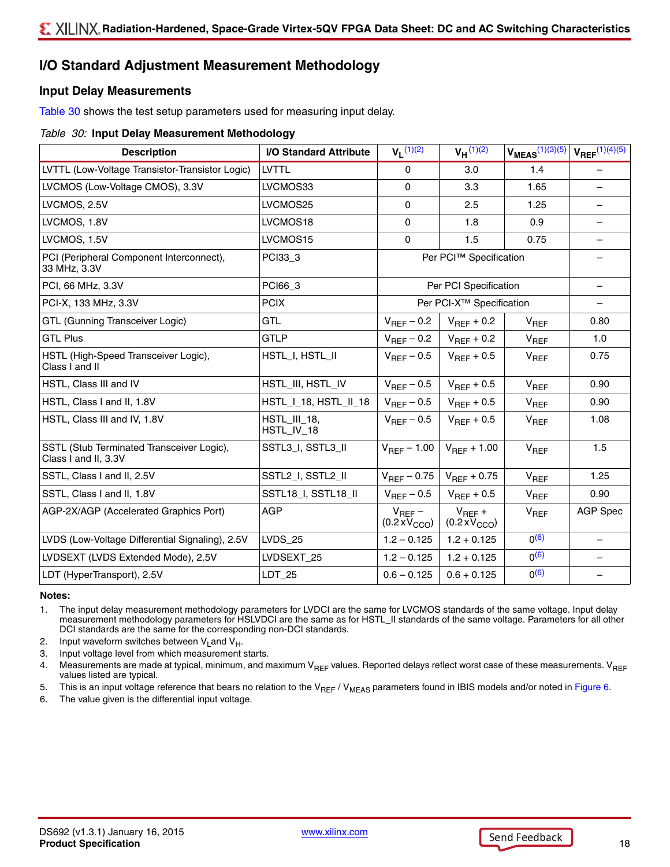## **I/O Standard Adjustment Measurement Methodology**

#### **Input Delay Measurements**

[Table 30](#page-17-6) shows the test setup parameters used for measuring input delay.

#### <span id="page-17-6"></span>*Table 30:* **Input Delay Measurement Methodology**

| <b>Description</b>                                                | I/O Standard Attribute            | $V_L$ (1)(2)                                 | $V_H^{(1)(2)}$                        | $V_{MEAS}^{(1)(3)(5)}$ | $V_{REF}$ (1)(4)(5)      |
|-------------------------------------------------------------------|-----------------------------------|----------------------------------------------|---------------------------------------|------------------------|--------------------------|
| LVTTL (Low-Voltage Transistor-Transistor Logic)                   | <b>LVTTL</b>                      | $\mathbf{0}$                                 | 3.0                                   | 1.4                    |                          |
| LVCMOS (Low-Voltage CMOS), 3.3V                                   | LVCMOS33                          | $\mathbf{0}$                                 | 3.3                                   | 1.65                   |                          |
| LVCMOS, 2.5V                                                      | LVCMOS25                          | $\Omega$                                     | 2.5                                   | 1.25                   | $\qquad \qquad -$        |
| LVCMOS, 1.8V                                                      | LVCMOS18                          | $\mathbf{0}$                                 | 1.8                                   | 0.9                    |                          |
| LVCMOS, 1.5V                                                      | LVCMOS15                          | $\mathbf 0$                                  | 1.5                                   | 0.75                   | $\overline{\phantom{m}}$ |
| PCI (Peripheral Component Interconnect),<br>33 MHz, 3.3V          | PCI33_3                           |                                              | Per PCI™ Specification                |                        |                          |
| PCI, 66 MHz, 3.3V                                                 | PCI66_3                           |                                              | Per PCI Specification                 |                        | $\overline{\phantom{m}}$ |
| PCI-X, 133 MHz, 3.3V                                              | <b>PCIX</b>                       |                                              | Per PCI-X <sup>™</sup> Specification  |                        |                          |
| GTL (Gunning Transceiver Logic)                                   | <b>GTL</b>                        | $V_{\text{RFF}}$ – 0.2                       | $V_{REF}$ + 0.2                       | $V_{REF}$              | 0.80                     |
| <b>GTL Plus</b>                                                   | <b>GTLP</b>                       | $V_{\text{RFF}}$ – 0.2                       | $V_{\text{BFE}} + 0.2$                | $V_{REF}$              | 1.0                      |
| HSTL (High-Speed Transceiver Logic),<br>Class I and II            | HSTL_I, HSTL_II                   | $V_{\text{RFF}}$ – 0.5                       | $V_{REF}$ + 0.5                       | $V_{REF}$              | 0.75                     |
| HSTL, Class III and IV                                            | HSTL_III, HSTL_IV                 | $V_{REF}$ – 0.5                              | $V_{\text{RFF}} + 0.5$                | $V_{REF}$              | 0.90                     |
| HSTL, Class I and II, 1.8V                                        | HSTL 18, HSTL 11 18               | $V_{REF}$ – 0.5                              | $V_{REF}$ + 0.5                       | $V_{REF}$              | 0.90                     |
| HSTL, Class III and IV, 1.8V                                      | <b>HSTL_III_18,</b><br>HSTL IV 18 | $V_{\text{RFF}}$ – 0.5                       | $V_{\text{RFF}} + 0.5$                | $V_{REF}$              | 1.08                     |
| SSTL (Stub Terminated Transceiver Logic),<br>Class I and II, 3.3V | SSTL3_I, SSTL3_II                 | $V_{\text{RFF}}$ – 1.00                      | $V_{BFF} + 1.00$                      | $V_{REF}$              | 1.5                      |
| SSTL, Class I and II, 2.5V                                        | SSTL2_I, SSTL2_II                 | $V_{\text{RFF}}$ – 0.75                      | $V_{REF}$ + 0.75                      | $V_{REF}$              | 1.25                     |
| SSTL, Class I and II, 1.8V                                        | SSTL18_I, SSTL18_II               | $V_{REF}$ – 0.5                              | $V_{REF}$ + 0.5                       | $V_{REF}$              | 0.90                     |
| AGP-2X/AGP (Accelerated Graphics Port)                            | <b>AGP</b>                        | $V_{REF}$ –<br>$(0.2 \times V_{\text{CCO}})$ | $V_{REF}$ +<br>$(0.2 \times V_{CCO})$ | $V_{REF}$              | <b>AGP Spec</b>          |
| LVDS (Low-Voltage Differential Signaling), 2.5V                   | <b>LVDS 25</b>                    | $1.2 - 0.125$                                | $1.2 + 0.125$                         | $0^{(6)}$              |                          |
| LVDSEXT (LVDS Extended Mode), 2.5V                                | LVDSEXT_25                        | $1.2 - 0.125$                                | $1.2 + 0.125$                         | $0^{(6)}$              |                          |
| LDT (HyperTransport), 2.5V                                        | LDT_25                            | $0.6 - 0.125$                                | $0.6 + 0.125$                         | $0^{(6)}$              |                          |

#### **Notes:**

<span id="page-17-0"></span>1. The input delay measurement methodology parameters for LVDCI are the same for LVCMOS standards of the same voltage. Input delay measurement methodology parameters for HSLVDCI are the same as for HSTL\_II standards of the same voltage. Parameters for all other DCI standards are the same for the corresponding non-DCI standards.

<span id="page-17-1"></span>2. Input waveform switches between  $V_1$  and  $V_{H}$ .

<span id="page-17-2"></span>3. Input voltage level from which measurement starts.

<span id="page-17-4"></span>4. Measurements are made at typical, minimum, and maximum V<sub>REF</sub> values. Reported delays reflect worst case of these measurements. V<sub>REF</sub> values listed are typical.

<span id="page-17-3"></span>5. This is an input voltage reference that bears no relation to the  $V_{REF}$  /  $V_{MEAS}$  parameters found in IBIS models and/or noted in [Figure 6.](#page-18-0)<br>6. The value given is the differential input voltage.

<span id="page-17-5"></span>The value given is the differential input voltage.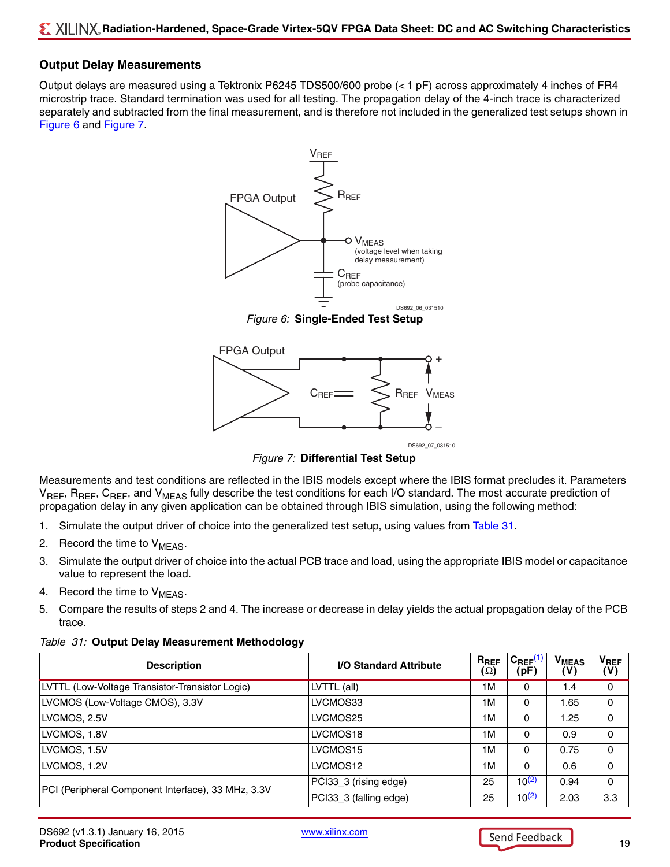### **Output Delay Measurements**

Output delays are measured using a Tektronix P6245 TDS500/600 probe (< 1 pF) across approximately 4 inches of FR4 microstrip trace. Standard termination was used for all testing. The propagation delay of the 4-inch trace is characterized separately and subtracted from the final measurement, and is therefore not included in the generalized test setups shown in [Figure 6](#page-18-0) and [Figure 7.](#page-18-4)



*Figure 6:* **Single-Ended Test Setup**



DS692\_07\_031510

*Figure 7:* **Differential Test Setup**

<span id="page-18-4"></span><span id="page-18-0"></span>Measurements and test conditions are reflected in the IBIS models except where the IBIS format precludes it. Parameters V<sub>REF</sub>, R<sub>REF</sub>, C<sub>REF</sub>, and V<sub>MEAS</sub> fully describe the test conditions for each I/O standard. The most accurate prediction of propagation delay in any given application can be obtained through IBIS simulation, using the following method:

- 1. Simulate the output driver of choice into the generalized test setup, using values from [Table 31.](#page-18-1)
- <span id="page-18-2"></span>2. Record the time to  $V_{MEAS}$ .
- 3. Simulate the output driver of choice into the actual PCB trace and load, using the appropriate IBIS model or capacitance value to represent the load.
- <span id="page-18-3"></span>4. Record the time to  $V_{MEAS}$ .
- 5. Compare the results of steps [2](#page-18-2) and [4](#page-18-3). The increase or decrease in delay yields the actual propagation delay of the PCB trace.

| <b>Description</b>                                 | <b>I/O Standard Attribute</b> | $R_{REF}$<br>(Ω) | $C_{REF}$ <sup>(1</sup><br>(pF) | V <sub>MEAS</sub><br>'V) | $V_{REF}$<br>$(\mathsf{V})$ |
|----------------------------------------------------|-------------------------------|------------------|---------------------------------|--------------------------|-----------------------------|
| LVTTL (Low-Voltage Transistor-Transistor Logic)    | LVTTL (all)                   | 1 M              | 0                               | 1.4                      | 0                           |
| LVCMOS (Low-Voltage CMOS), 3.3V                    | LVCMOS33                      | 1M               | 0                               | 1.65                     | 0                           |
| LVCMOS, 2.5V                                       | LVCMOS25                      | 1M               | 0                               | 1.25                     | 0                           |
| LVCMOS, 1.8V                                       | LVCMOS <sub>18</sub>          | 1M               | $\Omega$                        | 0.9                      | 0                           |
| LVCMOS, 1.5V                                       | LVCMOS <sub>15</sub>          | 1 M              | $\Omega$                        | 0.75                     | 0                           |
| LVCMOS, 1.2V                                       | LVCMOS12                      | 1 M              | $\Omega$                        | 0.6                      | $\Omega$                    |
| PCI (Peripheral Component Interface), 33 MHz, 3.3V | PCI33_3 (rising edge)         | 25               | $10^{(2)}$                      | 0.94                     | 0                           |
|                                                    | PCI33_3 (falling edge)        | 25               | $10^{(2)}$                      | 2.03                     | 3.3                         |

#### <span id="page-18-1"></span>*Table 31:* **Output Delay Measurement Methodology**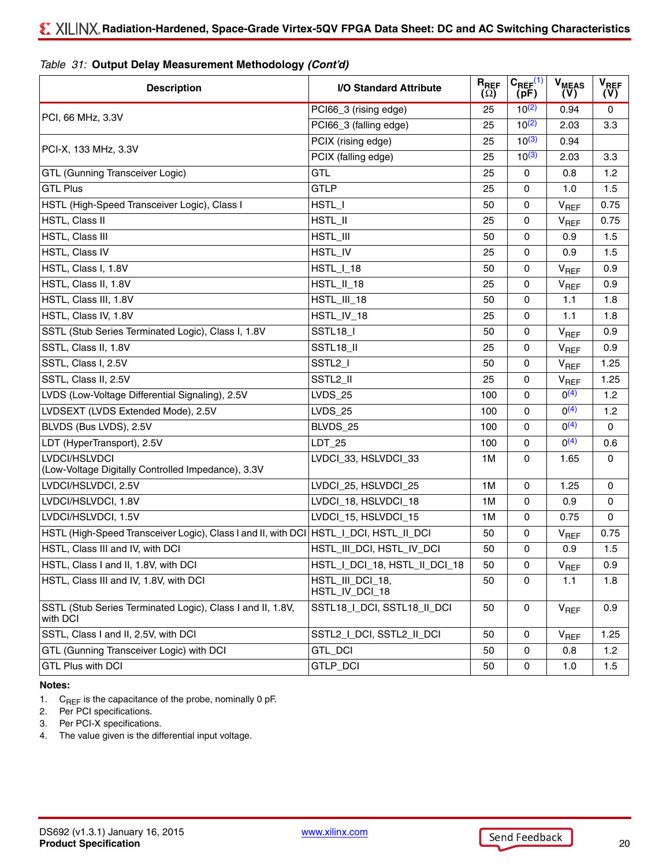| <b>Description</b>                                                                      | I/O Standard Attribute             | $R_{REF}$<br>$(\Omega)$ | $C_{REF}^{(1)}$<br>(pF) | <b>V<sub>MEAS</sub></b><br>(V) | $V_{REF}$<br>(V) |
|-----------------------------------------------------------------------------------------|------------------------------------|-------------------------|-------------------------|--------------------------------|------------------|
|                                                                                         | PCI66_3 (rising edge)              | 25                      | $10^{(2)}$              | 0.94                           | $\Omega$         |
| PCI, 66 MHz, 3.3V                                                                       | PCI66_3 (falling edge)             | 25                      | $10^{(2)}$              | 2.03                           | 3.3              |
|                                                                                         | PCIX (rising edge)                 | 25                      | $10^{(3)}$              | 0.94                           |                  |
| PCI-X, 133 MHz, 3.3V                                                                    | PCIX (falling edge)                | 25                      | $10^{(3)}$              | 2.03                           | 3.3              |
| GTL (Gunning Transceiver Logic)                                                         | <b>GTL</b>                         | 25                      | 0                       | 0.8                            | 1.2              |
| <b>GTL Plus</b>                                                                         | <b>GTLP</b>                        | 25                      | 0                       | 1.0                            | 1.5              |
| HSTL (High-Speed Transceiver Logic), Class I                                            | HSTL_I                             | 50                      | 0                       | $V_{REF}$                      | 0.75             |
| HSTL, Class II                                                                          | HSTL_II                            | 25                      | $\mathbf 0$             | $V_{REF}$                      | 0.75             |
| HSTL, Class III                                                                         | HSTL_III                           | 50                      | 0                       | 0.9                            | 1.5              |
| HSTL, Class IV                                                                          | HSTL_IV                            | 25                      | 0                       | 0.9                            | 1.5              |
| HSTL, Class I, 1.8V                                                                     | HSTL_I_18                          | 50                      | 0                       | V <sub>REF</sub>               | 0.9              |
| HSTL, Class II, 1.8V                                                                    | HSTL_II_18                         | 25                      | 0                       | $V_{REF}$                      | 0.9              |
| HSTL, Class III, 1.8V                                                                   | HSTL_III_18                        | 50                      | 0                       | 1.1                            | 1.8              |
| HSTL, Class IV, 1.8V                                                                    | HSTL_IV_18                         | 25                      | 0                       | 1.1                            | 1.8              |
| SSTL (Stub Series Terminated Logic), Class I, 1.8V                                      | SSTL18_I                           | 50                      | 0                       | $V_{REF}$                      | 0.9              |
| SSTL, Class II, 1.8V                                                                    | SSTL18_II                          | 25                      | 0                       | $V_{REF}$                      | 0.9              |
| SSTL, Class I, 2.5V                                                                     | SSTL <sub>2_I</sub>                | 50                      | $\mathsf 0$             | $V_{REF}$                      | 1.25             |
| SSTL, Class II, 2.5V                                                                    | SSTL2_II                           | 25                      | 0                       | $V_{REF}$                      | 1.25             |
| LVDS (Low-Voltage Differential Signaling), 2.5V                                         | <b>LVDS_25</b>                     | 100                     | 0                       | $0^{(4)}$                      | 1.2              |
| LVDSEXT (LVDS Extended Mode), 2.5V                                                      | <b>LVDS_25</b>                     | 100                     | $\Omega$                | O(4)                           | 1.2              |
| BLVDS (Bus LVDS), 2.5V                                                                  | BLVDS_25                           | 100                     | 0                       | O(4)                           | $\mathbf 0$      |
| LDT (HyperTransport), 2.5V                                                              | LDT_25                             | 100                     | 0                       | O(4)                           | 0.6              |
| LVDCI/HSLVDCI<br>(Low-Voltage Digitally Controlled Impedance), 3.3V                     | LVDCI_33, HSLVDCI_33               | 1M                      | 0                       | 1.65                           | 0                |
| LVDCI/HSLVDCI, 2.5V                                                                     | LVDCI_25, HSLVDCI_25               | 1M                      | $\mathbf 0$             | 1.25                           | $\mathbf 0$      |
| LVDCI/HSLVDCI, 1.8V                                                                     | LVDCI_18, HSLVDCI_18               | 1M                      | 0                       | 0.9                            | 0                |
| LVDCI/HSLVDCI, 1.5V                                                                     | LVDCI_15, HSLVDCI_15               | 1M                      | 0                       | 0.75                           | $\mathbf{0}$     |
| HSTL (High-Speed Transceiver Logic), Class I and II, with DCI   HSTL_I_DCI, HSTL_II_DCI |                                    | 50                      | 0                       | $V_{REF}$                      | 0.75             |
| HSTL, Class III and IV, with DCI                                                        | HSTL_III_DCI, HSTL_IV_DCI          | 50                      | 0                       | 0.9                            | 1.5              |
| HSTL, Class I and II, 1.8V, with DCI                                                    | HSTL_I_DCI_18, HSTL_II_DCI_18      | 50                      | 0                       | $\mathsf{V}_{\mathsf{REF}}$    | 0.9              |
| HSTL, Class III and IV, 1.8V, with DCI                                                  | HSTL_III_DCI_18,<br>HSTL_IV_DCI_18 | 50                      | 0                       | 1.1                            | 1.8              |
| SSTL (Stub Series Terminated Logic), Class I and II, 1.8V,<br>with DCI                  | SSTL18_I_DCI, SSTL18_II_DCI        | 50                      | 0                       | $V_{REF}$                      | 0.9              |
| SSTL, Class I and II, 2.5V, with DCI                                                    | SSTL2   DCI, SSTL2   DCI           | 50                      | 0                       | $V_{REF}$                      | 1.25             |
| GTL (Gunning Transceiver Logic) with DCI                                                | GTL_DCI                            | 50                      | 0                       | 0.8                            | 1.2              |
| <b>GTL Plus with DCI</b>                                                                | GTLP_DCI                           | 50                      | 0                       | 1.0                            | 1.5              |

#### *Table 31:* **Output Delay Measurement Methodology** *(Cont'd)*

#### **Notes:**

- <span id="page-19-0"></span>1.  $C_{REF}$  is the capacitance of the probe, nominally 0 pF.<br>2. Per PCI specifications.
- <span id="page-19-1"></span>Per PCI specifications.
- <span id="page-19-2"></span>3. Per PCI-X specifications.
- <span id="page-19-3"></span>4. The value given is the differential input voltage.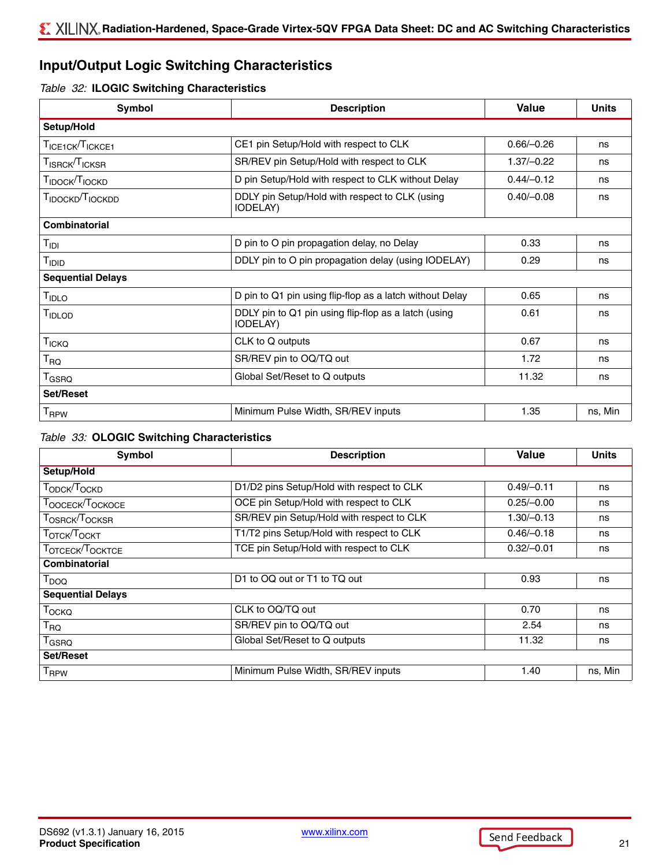## **Input/Output Logic Switching Characteristics**

#### *Table 32:* **ILOGIC Switching Characteristics**

| Symbol                                   | <b>Description</b>                                                       | <b>Value</b> | <b>Units</b> |
|------------------------------------------|--------------------------------------------------------------------------|--------------|--------------|
| Setup/Hold                               |                                                                          |              |              |
| TICE1CK TICKCE1                          | CE1 pin Setup/Hold with respect to CLK                                   | $0.66/-0.26$ | ns           |
| T <sub>ISRCK</sub> /T <sub>ICKSR</sub>   | SR/REV pin Setup/Hold with respect to CLK                                | $1.37/-0.22$ | ns           |
| T <sub>IDOCK</sub> /T <sub>IOCKD</sub>   | D pin Setup/Hold with respect to CLK without Delay                       | $0.44/-0.12$ | ns           |
| T <sub>IDOCKD</sub> /T <sub>IOCKDD</sub> | DDLY pin Setup/Hold with respect to CLK (using<br><b>IODELAY</b> )       | $0.40/-0.08$ | ns           |
| <b>Combinatorial</b>                     |                                                                          |              |              |
| $T_{\text{IDI}}$                         | D pin to O pin propagation delay, no Delay                               | 0.33         | ns           |
| T <sub>IDID</sub>                        | DDLY pin to O pin propagation delay (using IODELAY)                      | 0.29         | ns           |
| <b>Sequential Delays</b>                 |                                                                          |              |              |
| T <sub>IDLO</sub>                        | D pin to Q1 pin using flip-flop as a latch without Delay                 | 0.65         | ns           |
| TIDLOD                                   | DDLY pin to Q1 pin using flip-flop as a latch (using<br><b>IODELAY</b> ) | 0.61         | ns           |
| T <sub>ICKQ</sub>                        | CLK to Q outputs                                                         | 0.67         | ns           |
| $\mathsf{T}_{\mathsf{RQ}}$               | SR/REV pin to OQ/TQ out                                                  | 1.72         | ns           |
| T <sub>GSRQ</sub>                        | Global Set/Reset to Q outputs                                            | 11.32        | ns           |
| <b>Set/Reset</b>                         |                                                                          |              |              |
| <b>T</b> <sub>RPW</sub>                  | Minimum Pulse Width, SR/REV inputs                                       | 1.35         | ns, Min      |

#### *Table 33:* **OLOGIC Switching Characteristics**

| Symbol                                 | <b>Description</b>                        | Value        | <b>Units</b> |
|----------------------------------------|-------------------------------------------|--------------|--------------|
| Setup/Hold                             |                                           |              |              |
| TODCK <sup>T</sup> OCKD                | D1/D2 pins Setup/Hold with respect to CLK | $0.49/-0.11$ | ns           |
| TOOCECK/TOCKOCE                        | OCE pin Setup/Hold with respect to CLK    | $0.25/-0.00$ | ns           |
| T <sub>OSRCK</sub> /T <sub>OCKSR</sub> | SR/REV pin Setup/Hold with respect to CLK | $1.30/-0.13$ | ns           |
| TOTCK <sup>T</sup> OCKT                | T1/T2 pins Setup/Hold with respect to CLK | $0.46/-0.18$ | ns           |
| TOTCECK <sup>T</sup> OCKTCE            | TCE pin Setup/Hold with respect to CLK    | $0.32/-0.01$ | ns           |
| Combinatorial                          |                                           |              |              |
| $T_{DOQ}$                              | D1 to OQ out or T1 to TQ out              | 0.93         | ns           |
| <b>Sequential Delays</b>               |                                           |              |              |
| <b>Т</b> оско                          | CLK to OQ/TQ out                          | 0.70         | ns           |
| $T_{\text{RQ}}$                        | SR/REV pin to OQ/TQ out                   | 2.54         | ns           |
| $T_{\tiny{\text{GS}RQ}}$               | Global Set/Reset to Q outputs             | 11.32        | ns           |
| <b>Set/Reset</b>                       |                                           |              |              |
| <b>T</b> <sub>RPW</sub>                | Minimum Pulse Width, SR/REV inputs        | 1.40         | ns, Min      |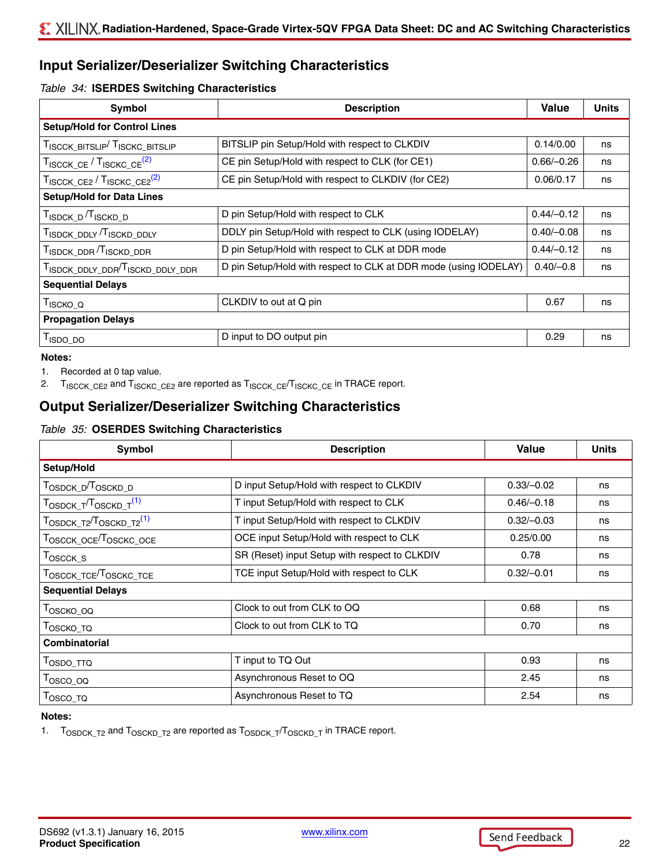## **Input Serializer/Deserializer Switching Characteristics**

#### *Table 34:* **ISERDES Switching Characteristics**

| <b>Symbol</b>                                                    | <b>Description</b>                                               | <b>Value</b> | <b>Units</b> |
|------------------------------------------------------------------|------------------------------------------------------------------|--------------|--------------|
| <b>Setup/Hold for Control Lines</b>                              |                                                                  |              |              |
| TISCCK_BITSLIP TISCKC_BITSLIP                                    | BITSLIP pin Setup/Hold with respect to CLKDIV                    | 0.14/0.00    | ns           |
| TISCCK_CE / TISCKC CE <sup>(2)</sup>                             | CE pin Setup/Hold with respect to CLK (for CE1)                  | $0.66/-0.26$ | ns           |
| TISCCK CE2 / TISCKC CE2 <sup>(2)</sup>                           | CE pin Setup/Hold with respect to CLKDIV (for CE2)               | 0.06/0.17    | ns           |
| <b>Setup/Hold for Data Lines</b>                                 |                                                                  |              |              |
| T <sub>ISDCK</sub> <sub>D</sub> /T <sub>ISCKD</sub> <sub>D</sub> | D pin Setup/Hold with respect to CLK                             | $0.44/-0.12$ | ns           |
| TISDCK_DDLY TISCKD_DDLY                                          | DDLY pin Setup/Hold with respect to CLK (using IODELAY)          | $0.40/-0.08$ | ns           |
| TISDCK_DDR TISCKD_DDR                                            | D pin Setup/Hold with respect to CLK at DDR mode                 | $0.44/-0.12$ | ns           |
| TISDCK_DDLY_DDR <sup>/T</sup> ISCKD_DDLY_DDR                     | D pin Setup/Hold with respect to CLK at DDR mode (using IODELAY) | $0.40/-0.8$  | ns           |
| <b>Sequential Delays</b>                                         |                                                                  |              |              |
| $T_{ISCKO_Q}$                                                    | CLKDIV to out at Q pin                                           | 0.67         | ns           |
| <b>Propagation Delays</b>                                        |                                                                  |              |              |
| T <sub>ISDO_DO</sub>                                             | D input to DO output pin                                         | 0.29         | ns           |

#### **Notes:**

1. Recorded at 0 tap value.

<span id="page-21-0"></span>2. T<sub>ISCCK\_CE2</sub> and T<sub>ISCKC\_CE2</sub> are reported as T<sub>ISCCK\_CE</sub>/T<sub>ISCKC\_CE</sub> in TRACE report.

## **Output Serializer/Deserializer Switching Characteristics**

## *Table 35:* **OSERDES Switching Characteristics**

| Symbol                                         | <b>Description</b>                            | <b>Value</b> | <b>Units</b> |
|------------------------------------------------|-----------------------------------------------|--------------|--------------|
| Setup/Hold                                     |                                               |              |              |
| T <sub>OSDCK</sub> _D <sup>/T</sup> OSCKD_D    | D input Setup/Hold with respect to CLKDIV     | $0.33/-0.02$ | ns           |
| T <sub>OSDCK_T</sub> /T <sub>OSCKD_T</sub> (1) | T input Setup/Hold with respect to CLK        | $0.46/-0.18$ | ns           |
| TOSDCK T2 <sup>T</sup> OSCKD T2 <sup>(1)</sup> | T input Setup/Hold with respect to CLKDIV     | $0.32/-0.03$ | ns           |
| TOSCCK_OCE <sup>/T</sup> OSCKC_OCE             | OCE input Setup/Hold with respect to CLK      | 0.25/0.00    | ns           |
| T <sub>OSCCK_S</sub>                           | SR (Reset) input Setup with respect to CLKDIV | 0.78         | ns           |
| TOSCCK_TCE <sup>/T</sup> OSCKC_TCE             | TCE input Setup/Hold with respect to CLK      | $0.32/-0.01$ | ns           |
| <b>Sequential Delays</b>                       |                                               |              |              |
| T <sub>OSCKO_OQ</sub>                          | Clock to out from CLK to OQ                   | 0.68         | ns           |
| T <sub>OSCKO_TQ</sub>                          | Clock to out from CLK to TQ                   | 0.70         | ns           |
| Combinatorial                                  |                                               |              |              |
| T <sub>OSDO</sub> _TTQ                         | T input to TQ Out                             | 0.93         | ns           |
| Tosco_oq                                       | Asynchronous Reset to OQ                      | 2.45         | ns           |
| T <sub>OSCO_TQ</sub>                           | Asynchronous Reset to TQ                      | 2.54         | ns           |

#### **Notes:**

<span id="page-21-1"></span>1.  $T_{\text{OSDCK\_T2}}$  and  $T_{\text{OSCKD\_T2}}$  are reported as  $T_{\text{OSDCK\_T}}/T_{\text{OSCKD\_T}}$  in TRACE report.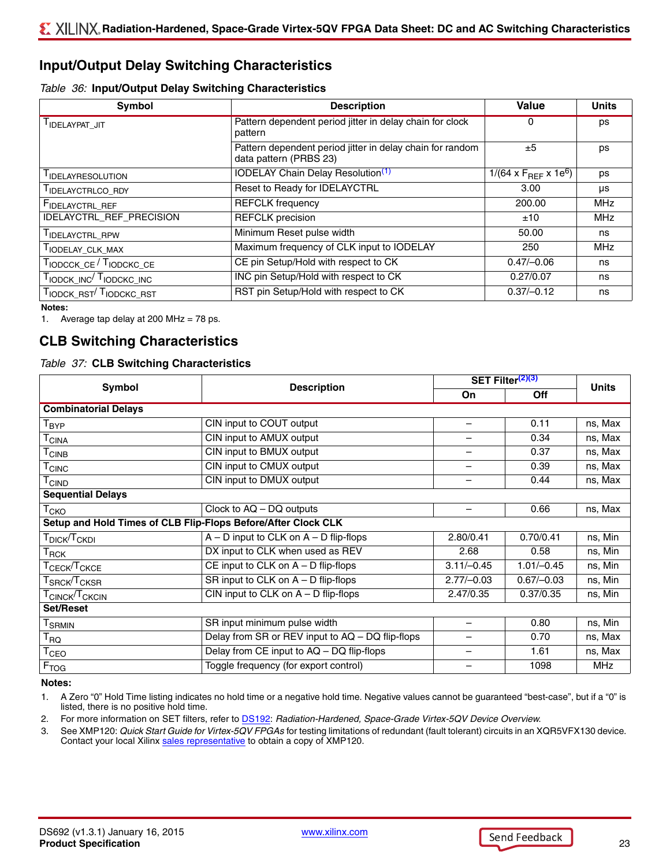## **Input/Output Delay Switching Characteristics**

#### <span id="page-22-4"></span>*Table 36:* **Input/Output Delay Switching Characteristics**

| Symbol                              | <b>Description</b>                                                                  | Value                                 | <b>Units</b> |
|-------------------------------------|-------------------------------------------------------------------------------------|---------------------------------------|--------------|
| I IDELAYPAT_JIT                     | Pattern dependent period jitter in delay chain for clock<br>pattern                 | 0                                     | ps           |
|                                     | Pattern dependent period jitter in delay chain for random<br>data pattern (PRBS 23) | ±5                                    | ps           |
| I IDELAYRESOLUTION                  | <b>IODELAY Chain Delay Resolution</b> <sup>(1)</sup>                                | 1/(64 x $F_{BFF}$ x 1e <sup>6</sup> ) | ps           |
| I IDELAYCTRLCO_RDY                  | Reset to Ready for IDELAYCTRL                                                       | 3.00                                  | μs           |
| FIDELAYCTRL_REF                     | <b>REFCLK</b> frequency                                                             | 200.00                                | <b>MHz</b>   |
| IDELAYCTRL_REF_PRECISION            | <b>REFCLK</b> precision                                                             | ±10                                   | <b>MHz</b>   |
| TIDELAYCTRL_RPW                     | Minimum Reset pulse width                                                           | 50.00                                 | ns           |
| TIODELAY_CLK_MAX                    | Maximum frequency of CLK input to IODELAY                                           | 250                                   | <b>MHz</b>   |
| TIODCCK_CE / TIODCKC_CE             | CE pin Setup/Hold with respect to CK                                                | $0.47/-0.06$                          | ns           |
| TIODCK_INC TIODCKC_INC              | INC pin Setup/Hold with respect to CK                                               | 0.27/0.07                             | ns           |
| TIODCK_RST <sup>/T</sup> IODCKC_RST | RST pin Setup/Hold with respect to CK                                               | $0.37/-0.12$                          | ns           |

#### **Notes:**

<span id="page-22-0"></span>1. Average tap delay at 200 MHz = 78 ps.

## **CLB Switching Characteristics**

#### <span id="page-22-3"></span>*Table 37:* **CLB Switching Characteristics**

|                                                                               |                                                               | SET Filter <sup>(2)(3)</sup> |              | <b>Units</b> |
|-------------------------------------------------------------------------------|---------------------------------------------------------------|------------------------------|--------------|--------------|
| Symbol                                                                        | <b>Description</b>                                            | On                           | Off          |              |
| <b>Combinatorial Delays</b>                                                   |                                                               |                              |              |              |
| ${\mathsf T}_{\mathsf{BYP}}$                                                  | CIN input to COUT output                                      | $\overline{\phantom{m}}$     | 0.11         | ns, Max      |
| $\mathsf{T}_{\mathsf{CINA}}$                                                  | CIN input to AMUX output                                      |                              | 0.34         | ns, Max      |
| $\mathsf{T}_{\mathsf{CINB}}$                                                  | CIN input to BMUX output                                      |                              | 0.37         | ns, Max      |
| $T_{CINC}$                                                                    | CIN input to CMUX output                                      |                              | 0.39         | ns, Max      |
| $\mathsf{T}_{\mathsf{CIND}}$                                                  | CIN input to DMUX output                                      | $\overline{\phantom{m}}$     | 0.44         | ns, Max      |
| <b>Sequential Delays</b>                                                      |                                                               |                              |              |              |
| $\mathsf{T}_{\mathsf{CKO}}$                                                   | Clock to AQ - DQ outputs                                      |                              | 0.66         | ns, Max      |
|                                                                               | Setup and Hold Times of CLB Flip-Flops Before/After Clock CLK |                              |              |              |
| $\mathsf{T}_{\mathsf{DICK}}\!/\!\mathsf{T}_{\mathsf{CKDI}}$                   | $A - D$ input to CLK on $A - D$ flip-flops                    | 2.80/0.41                    | 0.70/0.41    | ns, Min      |
| $\mathsf{T}_{\mathsf{RCK}}$                                                   | DX input to CLK when used as REV                              | 2.68                         | 0.58         | ns, Min      |
| $\tau_{\sf CECK}/\tau_{\sf CKCE}$                                             | CE input to CLK on $A - D$ flip-flops                         | $3.11/-0.45$                 | $1.01/-0.45$ | ns, Min      |
| $T_{\footnotesize{\textnormal{SRCK}}}$ $T_{\footnotesize{\textnormal{CKSR}}}$ | SR input to CLK on $A - D$ flip-flops                         | $2.77/-0.03$                 | $0.67/-0.03$ | ns, Min      |
| T <sub>CINCK</sub> /T <sub>CKCIN</sub>                                        | CIN input to CLK on $A - D$ flip-flops                        | 2.47/0.35                    | 0.37/0.35    | ns, Min      |
| <b>Set/Reset</b>                                                              |                                                               |                              |              |              |
| <b>T</b> <sub>SRMIN</sub>                                                     | SR input minimum pulse width                                  | -                            | 0.80         | ns, Min      |
| $\mathsf{T}_{\mathsf{RQ}}$                                                    | Delay from SR or REV input to AQ - DQ flip-flops              |                              | 0.70         | ns, Max      |
| T <sub>CEO</sub>                                                              | Delay from CE input to AQ - DQ flip-flops                     | -                            | 1.61         | ns, Max      |
| F <sub>TOG</sub>                                                              | Toggle frequency (for export control)                         |                              | 1098         | MHz          |

#### **Notes:**

1. A Zero "0" Hold Time listing indicates no hold time or a negative hold time. Negative values cannot be guaranteed "best-case", but if a "0" is listed, there is no positive hold time.

<span id="page-22-2"></span>2. For more information on SET filters, refer to [DS192](http://www.xilinx.com/support/documentation/data_sheets/ds192_V5QV_Device_Overview.pdf): *Radiation-Hardened, Space-Grade Virtex-5QV Device Overview*.

<span id="page-22-1"></span>3. See XMP120: *Quick Start Guide for Virtex-5QV FPGAs* for testing limitations of redundant (fault tolerant) circuits in an XQR5VFX130 device. Contact your local Xilinx [sales representative](http://www.xilinx.com/company/contact/index.htm) to obtain a copy of XMP120.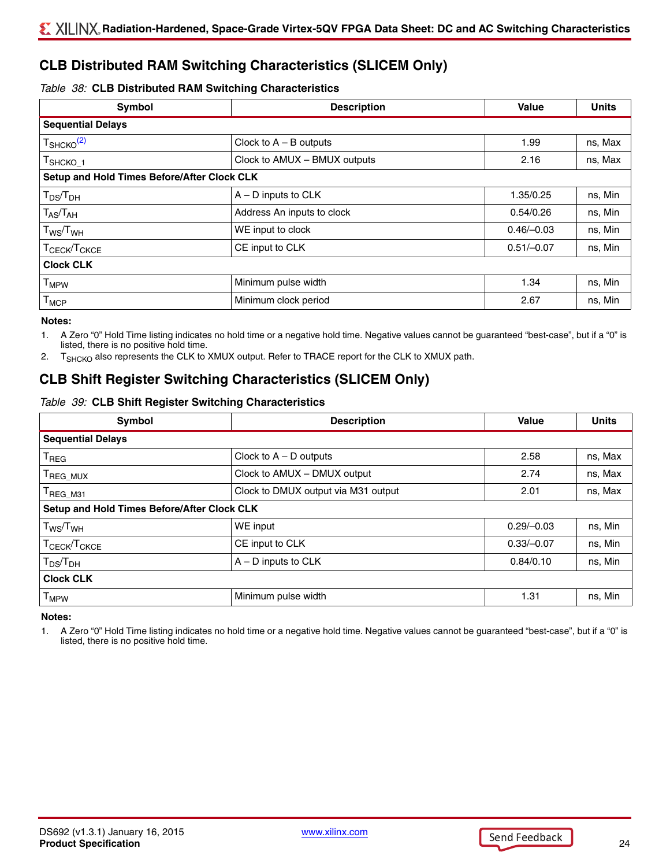## **CLB Distributed RAM Switching Characteristics (SLICEM Only)**

#### *Table 38:* **CLB Distributed RAM Switching Characteristics**

| Symbol                                                      | <b>Description</b>           | <b>Value</b> | <b>Units</b> |
|-------------------------------------------------------------|------------------------------|--------------|--------------|
| <b>Sequential Delays</b>                                    |                              |              |              |
| $T_{\text{SHCKO}}^{(2)}$                                    | Clock to $A - B$ outputs     | 1.99         | ns, Max      |
| <sup>Т</sup> ѕнско_1                                        | Clock to AMUX - BMUX outputs | 2.16         | ns, Max      |
| Setup and Hold Times Before/After Clock CLK                 |                              |              |              |
| ${\mathsf T}_{\mathsf{DS}}\!/{\mathsf T}_{\mathsf{DH}}$     | $A - D$ inputs to $CLK$      | 1.35/0.25    | ns, Min      |
| $T_{AS}/T_{AH}$                                             | Address An inputs to clock   | 0.54/0.26    | ns, Min      |
| $\mathsf{T}_{\mathsf{WS}}\!/\mathsf{T}_{\mathsf{WH}}$       | WE input to clock            | $0.46/-0.03$ | ns, Min      |
| $\mathsf{T}_{\mathsf{CECK}}$ / $\mathsf{T}_{\mathsf{CKCE}}$ | CE input to CLK              | $0.51/-0.07$ | ns, Min      |
| <b>Clock CLK</b>                                            |                              |              |              |
| $T_{MPW}$                                                   | Minimum pulse width          | 1.34         | ns, Min      |
| $\mathsf{T}_{\mathsf{MCP}}$                                 | Minimum clock period         | 2.67         | ns, Min      |

#### **Notes:**

1. A Zero "0" Hold Time listing indicates no hold time or a negative hold time. Negative values cannot be guaranteed "best-case", but if a "0" is listed, there is no positive hold time.

<span id="page-23-0"></span>2. T<sub>SHCKO</sub> also represents the CLK to XMUX output. Refer to TRACE report for the CLK to XMUX path.

## **CLB Shift Register Switching Characteristics (SLICEM Only)**

#### *Table 39:* **CLB Shift Register Switching Characteristics**

| Symbol                                      | <b>Description</b>                  | Value        | <b>Units</b> |
|---------------------------------------------|-------------------------------------|--------------|--------------|
| <b>Sequential Delays</b>                    |                                     |              |              |
| $T_{\text{REG}}$                            | Clock to $A - D$ outputs            | 2.58         | ns, Max      |
| REG_MUX                                     | Clock to AMUX - DMUX output         | 2.74         | ns, Max      |
| REG_M31                                     | Clock to DMUX output via M31 output | 2.01         | ns, Max      |
| Setup and Hold Times Before/After Clock CLK |                                     |              |              |
| $T_{WS}/T_{WH}$                             | WE input                            | $0.29/-0.03$ | ns, Min      |
| T <sub>CECK</sub> /T <sub>CKCE</sub>        | CE input to CLK                     | $0.33/-0.07$ | ns, Min      |
| $T_{DS}/T_{DH}$                             | $A - D$ inputs to CLK               | 0.84/0.10    | ns, Min      |
| <b>Clock CLK</b>                            |                                     |              |              |
| <b>T<sub>MPW</sub></b>                      | Minimum pulse width                 | 1.31         | ns, Min      |

**Notes:** 

1. A Zero "0" Hold Time listing indicates no hold time or a negative hold time. Negative values cannot be guaranteed "best-case", but if a "0" is listed, there is no positive hold time.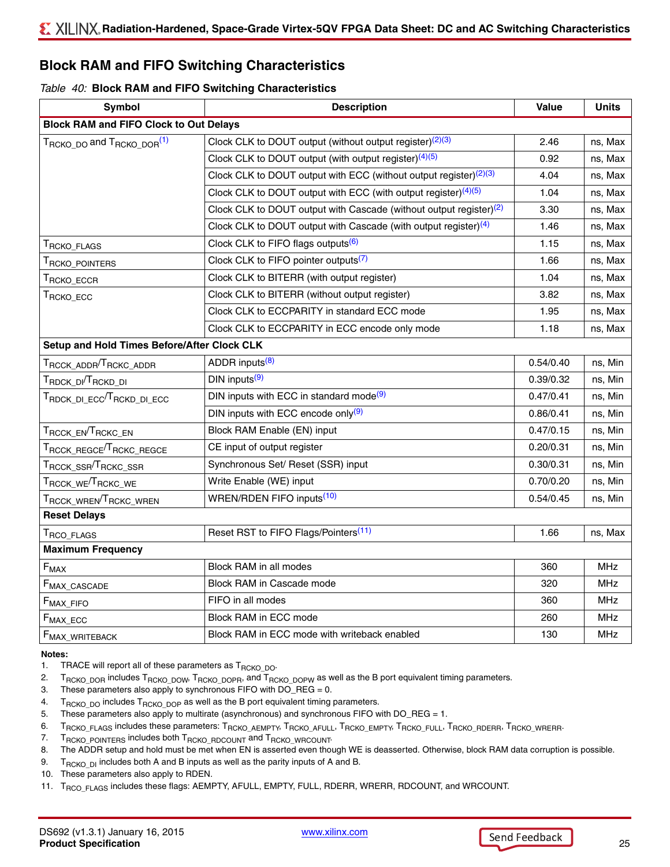## **Block RAM and FIFO Switching Characteristics**

#### <span id="page-24-11"></span>*Table 40:* **Block RAM and FIFO Switching Characteristics**

| <b>Symbol</b>                                                                           | <b>Description</b>                                                             | Value     | <b>Units</b> |
|-----------------------------------------------------------------------------------------|--------------------------------------------------------------------------------|-----------|--------------|
| <b>Block RAM and FIFO Clock to Out Delays</b>                                           |                                                                                |           |              |
| T <sub>RCKO</sub> <sub>DO</sub> and T <sub>RCKO</sub> <sub>DOR</sub> <sup>(1)</sup>     | Clock CLK to DOUT output (without output register) $(2)(3)$                    | 2.46      | ns, Max      |
|                                                                                         | Clock CLK to DOUT output (with output register) <sup>(4)(5)</sup>              | 0.92      | ns, Max      |
|                                                                                         | Clock CLK to DOUT output with ECC (without output register) <sup>(2)(3)</sup>  | 4.04      | ns, Max      |
|                                                                                         | Clock CLK to DOUT output with ECC (with output register) $(4)(5)$              | 1.04      | ns, Max      |
|                                                                                         | Clock CLK to DOUT output with Cascade (without output register) <sup>(2)</sup> | 3.30      | ns, Max      |
|                                                                                         | Clock CLK to DOUT output with Cascade (with output register) $(4)$             | 1.46      | ns, Max      |
| T <sub>RCKO</sub> _FLAGS                                                                | Clock CLK to FIFO flags outputs <sup>(6)</sup>                                 | 1.15      | ns, Max      |
| T <sub>RCKO</sub> _POINTERS                                                             | Clock CLK to FIFO pointer outputs <sup>(7)</sup>                               | 1.66      | ns, Max      |
| $\mathsf{T}_{\mathsf{RCKO\_ECCR}}$                                                      | Clock CLK to BITERR (with output register)                                     | 1.04      | ns, Max      |
| T <sub>RCKO</sub> _ECC                                                                  | Clock CLK to BITERR (without output register)                                  | 3.82      | ns, Max      |
|                                                                                         | Clock CLK to ECCPARITY in standard ECC mode                                    | 1.95      | ns, Max      |
|                                                                                         | Clock CLK to ECCPARITY in ECC encode only mode                                 | 1.18      | ns, Max      |
| Setup and Hold Times Before/After Clock CLK                                             |                                                                                |           |              |
| $\mathsf{T}_{\mathsf{RCCK}\_\mathsf{ADDR}}\!/\mathsf{T}_{\mathsf{RCKC}\_\mathsf{ADDR}}$ | ADDR inputs <sup>(8)</sup>                                                     | 0.54/0.40 | ns, Min      |
| T <sub>RDCK_DI</sub> /T <sub>RCKD_DI</sub>                                              | $DIN$ inputs $(9)$                                                             | 0.39/0.32 | ns, Min      |
| $\tau_{\rm RDCK\_DI\_ECC}/\tau_{\rm RCKD\_DI\_ECC}$                                     | DIN inputs with ECC in standard mode <sup>(9)</sup>                            | 0.47/0.41 | ns, Min      |
|                                                                                         | DIN inputs with ECC encode only <sup>(9)</sup>                                 | 0.86/0.41 | ns, Min      |
| TRCCK_EN <sup>T</sup> RCKC_EN                                                           | Block RAM Enable (EN) input                                                    | 0.47/0.15 | ns, Min      |
| $\tau_{\text{RCCK\_REGCE}}$ $\tau_{\text{RCKC\_REGCE}}$                                 | CE input of output register                                                    | 0.20/0.31 | ns, Min      |
| $T_{\rm{RCCK\_SSR}}/T_{\rm{RCKC\_SSR}}$                                                 | Synchronous Set/ Reset (SSR) input                                             | 0.30/0.31 | ns, Min      |
| $T_{\rm{RCCK\_WE}}/T_{\rm{RCKC\_WE}}$                                                   | Write Enable (WE) input                                                        | 0.70/0.20 | ns, Min      |
| $\tau_{\text{RCCK\_WREN}}/\tau_{\text{RCKC\_WREN}}$                                     | WREN/RDEN FIFO inputs <sup>(10)</sup>                                          | 0.54/0.45 | ns, Min      |
| <b>Reset Delays</b>                                                                     |                                                                                |           |              |
| $\mathsf{T}_{\mathsf{RCO}}$ flags                                                       | Reset RST to FIFO Flags/Pointers <sup>(11)</sup>                               | 1.66      | ns, Max      |
| <b>Maximum Frequency</b>                                                                |                                                                                |           |              |
| $F_{MAX}$                                                                               | Block RAM in all modes                                                         | 360       | <b>MHz</b>   |
| F <sub>MAX_CASCADE</sub>                                                                | Block RAM in Cascade mode                                                      | 320       | <b>MHz</b>   |
| F <sub>MAX_FIFO</sub>                                                                   | FIFO in all modes                                                              | 360       | <b>MHz</b>   |
| $F_{MAX\_ECC}$                                                                          | Block RAM in ECC mode                                                          | 260       | <b>MHz</b>   |
| F <sub>MAX_WRITEBACK</sub>                                                              | Block RAM in ECC mode with writeback enabled                                   | 130       | <b>MHz</b>   |

#### <span id="page-24-12"></span>**Notes:**

<span id="page-24-0"></span>1. TRACE will report all of these parameters as  $T_{RCKO\_DO}$ .

<span id="page-24-1"></span>2. T<sub>RCKO\_DOR</sub> includes T<sub>RCKO\_DOW</sub>, T<sub>RCKO\_DOPR</sub>, and T<sub>RCKO\_DOPW</sub> as well as the B port equivalent timing parameters.

- <span id="page-24-2"></span>3. These parameters also apply to synchronous FIFO with DO\_REG = 0.
- <span id="page-24-3"></span>4. T<sub>RCKO\_DO</sub> includes T<sub>RCKO\_DOP</sub> as well as the B port equivalent timing parameters.
- <span id="page-24-4"></span>5. These parameters also apply to multirate (asynchronous) and synchronous FIFO with DO\_REG = 1.
- <span id="page-24-5"></span>6. TRCKO\_FLAGS includes these parameters: TRCKO\_AEMPTY, TRCKO\_AFULL, TRCKO\_EMPTY, TRCKO\_FULL, TRCKO\_RDERR, TRCKO\_WRERR.
- <span id="page-24-6"></span>7. T<sub>RCKO\_POINTERS</sub> includes both T<sub>RCKO\_RDCOUNT</sub> and T<sub>RCKO\_WRCOUNT</sub>.
- <span id="page-24-10"></span>8. The ADDR setup and hold must be met when EN is asserted even though WE is deasserted. Otherwise, block RAM data corruption is possible.
- <span id="page-24-7"></span>9. T<sub>RCKO</sub> D<sub>I</sub> includes both A and B inputs as well as the parity inputs of A and B.
- <span id="page-24-8"></span>10. These parameters also apply to RDEN.
- <span id="page-24-9"></span>11. T<sub>RCO\_FLAGS</sub> includes these flags: AEMPTY, AFULL, EMPTY, FULL, RDERR, WRERR, RDCOUNT, and WRCOUNT.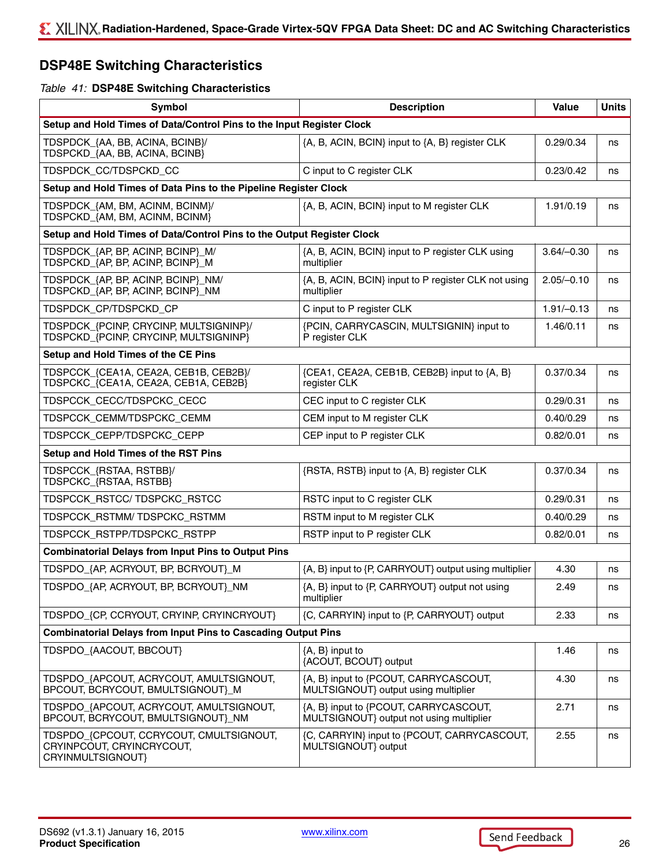## **DSP48E Switching Characteristics**

#### *Table 41:* **DSP48E Switching Characteristics**

| Symbol                                                                                    | <b>Description</b>                                                                | <b>Value</b> | <b>Units</b> |
|-------------------------------------------------------------------------------------------|-----------------------------------------------------------------------------------|--------------|--------------|
| Setup and Hold Times of Data/Control Pins to the Input Register Clock                     |                                                                                   |              |              |
| TDSPDCK_{AA, BB, ACINA, BCINB}/<br>TDSPCKD_{AA, BB, ACINA, BCINB}                         | {A, B, ACIN, BCIN} input to {A, B} register CLK                                   | 0.29/0.34    | ns           |
| TDSPDCK_CC/TDSPCKD_CC                                                                     | C input to C register CLK                                                         | 0.23/0.42    | ns           |
| Setup and Hold Times of Data Pins to the Pipeline Register Clock                          |                                                                                   |              |              |
| TDSPDCK_{AM, BM, ACINM, BCINM}/<br>TDSPCKD {AM, BM, ACINM, BCINM}                         | {A, B, ACIN, BCIN} input to M register CLK                                        | 1.91/0.19    | ns           |
| Setup and Hold Times of Data/Control Pins to the Output Register Clock                    |                                                                                   |              |              |
| TDSPDCK_{AP, BP, ACINP, BCINP}_M/<br>TDSPCKD_{AP, BP, ACINP, BCINP}_M                     | {A, B, ACIN, BCIN} input to P register CLK using<br>multiplier                    | $3.64/-0.30$ | ns           |
| TDSPDCK_{AP, BP, ACINP, BCINP}_NM/<br>TDSPCKD_{AP, BP, ACINP, BCINP}_NM                   | {A, B, ACIN, BCIN} input to P register CLK not using<br>multiplier                | $2.05/-0.10$ | ns           |
| TDSPDCK_CP/TDSPCKD_CP                                                                     | C input to P register CLK                                                         | $1.91/-0.13$ | ns           |
| TDSPDCK_{PCINP, CRYCINP, MULTSIGNINP}/<br>TDSPCKD_{PCINP, CRYCINP, MULTSIGNINP}           | {PCIN, CARRYCASCIN, MULTSIGNIN} input to<br>P register CLK                        | 1.46/0.11    | ns           |
| Setup and Hold Times of the CE Pins                                                       |                                                                                   |              |              |
| TDSPCCK_{CEA1A, CEA2A, CEB1B, CEB2B}/<br>TDSPCKC_{CEA1A, CEA2A, CEB1A, CEB2B}             | {CEA1, CEA2A, CEB1B, CEB2B} input to {A, B}<br>register CLK                       | 0.37/0.34    | ns           |
| TDSPCCK_CECC/TDSPCKC_CECC                                                                 | CEC input to C register CLK                                                       | 0.29/0.31    | ns           |
| TDSPCCK_CEMM/TDSPCKC_CEMM                                                                 | CEM input to M register CLK                                                       | 0.40/0.29    | ns           |
| TDSPCCK_CEPP/TDSPCKC_CEPP                                                                 | CEP input to P register CLK                                                       | 0.82/0.01    | ns           |
| Setup and Hold Times of the RST Pins                                                      |                                                                                   |              |              |
| TDSPCCK_{RSTAA, RSTBB}/<br>TDSPCKC_{RSTAA, RSTBB}                                         | {RSTA, RSTB} input to {A, B} register CLK                                         | 0.37/0.34    | ns           |
| TDSPCCK_RSTCC/TDSPCKC_RSTCC                                                               | RSTC input to C register CLK                                                      | 0.29/0.31    | ns           |
| TDSPCCK_RSTMM/TDSPCKC_RSTMM                                                               | RSTM input to M register CLK                                                      | 0.40/0.29    | ns           |
| TDSPCCK_RSTPP/TDSPCKC_RSTPP                                                               | RSTP input to P register CLK                                                      | 0.82/0.01    | ns           |
| <b>Combinatorial Delays from Input Pins to Output Pins</b>                                |                                                                                   |              |              |
| TDSPDO_{AP, ACRYOUT, BP, BCRYOUT}_M                                                       | {A, B} input to {P, CARRYOUT} output using multiplier                             | 4.30         | ns           |
| TDSPDO_{AP, ACRYOUT, BP, BCRYOUT}_NM                                                      | {A, B} input to {P, CARRYOUT} output not using<br>multiplier                      | 2.49         | ns           |
| TDSPDO_{CP, CCRYOUT, CRYINP, CRYINCRYOUT}                                                 | {C, CARRYIN} input to {P, CARRYOUT} output                                        | 2.33         | ns           |
| <b>Combinatorial Delays from Input Pins to Cascading Output Pins</b>                      |                                                                                   |              |              |
| TDSPDO_{AACOUT, BBCOUT}                                                                   | ${A, B}$ input to<br>{ACOUT, BCOUT} output                                        | 1.46         | ns           |
| TDSPDO_{APCOUT, ACRYCOUT, AMULTSIGNOUT,<br>BPCOUT, BCRYCOUT, BMULTSIGNOUT}_M              | {A, B} input to {PCOUT, CARRYCASCOUT,<br>MULTSIGNOUT} output using multiplier     | 4.30         | ns           |
| TDSPDO_{APCOUT, ACRYCOUT, AMULTSIGNOUT,<br>BPCOUT, BCRYCOUT, BMULTSIGNOUT}_NM             | {A, B} input to {PCOUT, CARRYCASCOUT,<br>MULTSIGNOUT} output not using multiplier | 2.71         | ns           |
| TDSPDO_{CPCOUT, CCRYCOUT, CMULTSIGNOUT,<br>CRYINPCOUT, CRYINCRYCOUT,<br>CRYINMULTSIGNOUT} | {C, CARRYIN} input to {PCOUT, CARRYCASCOUT,<br>MULTSIGNOUT} output                | 2.55         | ns           |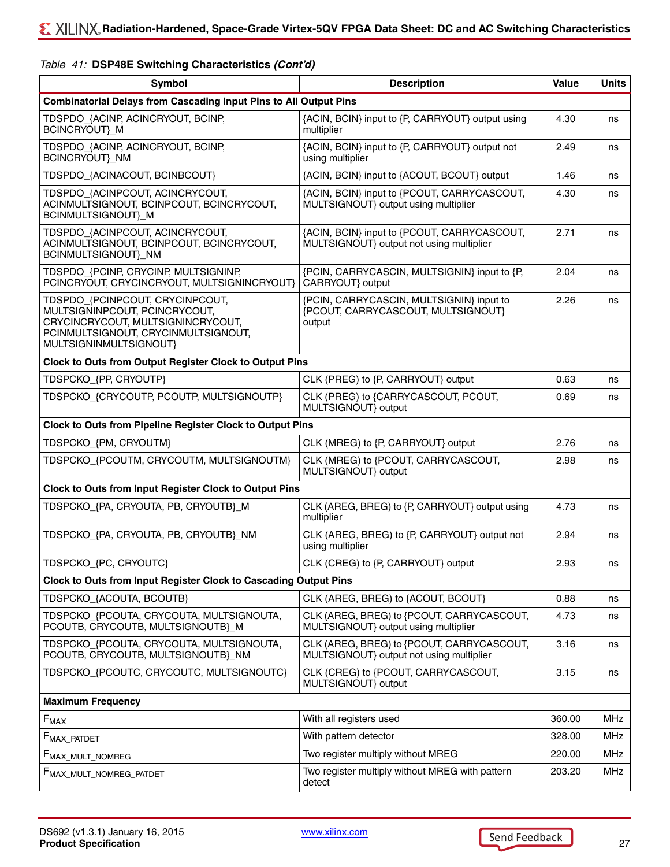| Table 41: DSP48E Switching Characteristics (Cont'd) |  |
|-----------------------------------------------------|--|
|-----------------------------------------------------|--|

| Symbol                                                                                                                                                                 | <b>Description</b>                                                                       | Value  | <b>Units</b> |
|------------------------------------------------------------------------------------------------------------------------------------------------------------------------|------------------------------------------------------------------------------------------|--------|--------------|
| <b>Combinatorial Delays from Cascading Input Pins to All Output Pins</b>                                                                                               |                                                                                          |        |              |
| TDSPDO_{ACINP, ACINCRYOUT, BCINP,<br>BCINCRYOUT} M                                                                                                                     | {ACIN, BCIN} input to {P, CARRYOUT} output using<br>multiplier                           | 4.30   | ns           |
| TDSPDO_{ACINP, ACINCRYOUT, BCINP,<br>BCINCRYOUT}_NM                                                                                                                    | {ACIN, BCIN} input to {P, CARRYOUT} output not<br>using multiplier                       | 2.49   | ns           |
| TDSPDO_{ACINACOUT, BCINBCOUT}                                                                                                                                          | {ACIN, BCIN} input to {ACOUT, BCOUT} output                                              | 1.46   | ns           |
| TDSPDO_{ACINPCOUT, ACINCRYCOUT,<br>ACINMULTSIGNOUT, BCINPCOUT, BCINCRYCOUT,<br>BCINMULTSIGNOUT}_M                                                                      | {ACIN, BCIN} input to {PCOUT, CARRYCASCOUT,<br>MULTSIGNOUT} output using multiplier      | 4.30   | ns           |
| TDSPDO_{ACINPCOUT, ACINCRYCOUT,<br>ACINMULTSIGNOUT, BCINPCOUT, BCINCRYCOUT,<br>BCINMULTSIGNOUT}_NM                                                                     | {ACIN, BCIN} input to {PCOUT, CARRYCASCOUT,<br>MULTSIGNOUT} output not using multiplier  | 2.71   | ns           |
| TDSPDO_{PCINP, CRYCINP, MULTSIGNINP,<br>PCINCRYOUT, CRYCINCRYOUT, MULTSIGNINCRYOUT}                                                                                    | {PCIN, CARRYCASCIN, MULTSIGNIN} input to {P,<br>CARRYOUT} output                         | 2.04   | ns           |
| TDSPDO_{PCINPCOUT, CRYCINPCOUT,<br>MULTSIGNINPCOUT, PCINCRYCOUT,<br>CRYCINCRYCOUT, MULTSIGNINCRYCOUT,<br>PCINMULTSIGNOUT, CRYCINMULTSIGNOUT,<br>MULTSIGNINMULTSIGNOUT} | {PCIN, CARRYCASCIN, MULTSIGNIN} input to<br>{PCOUT, CARRYCASCOUT, MULTSIGNOUT}<br>output | 2.26   | ns           |
| Clock to Outs from Output Register Clock to Output Pins                                                                                                                |                                                                                          |        |              |
| TDSPCKO_{PP, CRYOUTP}                                                                                                                                                  | CLK (PREG) to {P, CARRYOUT} output                                                       | 0.63   | ns           |
| TDSPCKO_{CRYCOUTP, PCOUTP, MULTSIGNOUTP}                                                                                                                               | CLK (PREG) to {CARRYCASCOUT, PCOUT,<br>MULTSIGNOUT} output                               | 0.69   | ns           |
| <b>Clock to Outs from Pipeline Register Clock to Output Pins</b>                                                                                                       |                                                                                          |        |              |
| TDSPCKO_{PM, CRYOUTM}                                                                                                                                                  | CLK (MREG) to {P, CARRYOUT} output                                                       | 2.76   | ns           |
| TDSPCKO_{PCOUTM, CRYCOUTM, MULTSIGNOUTM}                                                                                                                               | CLK (MREG) to {PCOUT, CARRYCASCOUT,<br>MULTSIGNOUT} output                               | 2.98   | ns           |
| Clock to Outs from Input Register Clock to Output Pins                                                                                                                 |                                                                                          |        |              |
| TDSPCKO_{PA, CRYOUTA, PB, CRYOUTB}_M                                                                                                                                   | CLK (AREG, BREG) to {P, CARRYOUT} output using<br>multiplier                             | 4.73   | ns           |
| TDSPCKO_{PA, CRYOUTA, PB, CRYOUTB}_NM                                                                                                                                  | CLK (AREG, BREG) to {P, CARRYOUT} output not<br>using multiplier                         | 2.94   | ns           |
| TDSPCKO_{PC, CRYOUTC}                                                                                                                                                  | CLK (CREG) to {P, CARRYOUT} output                                                       | 2.93   | ns           |
| Clock to Outs from Input Register Clock to Cascading Output Pins                                                                                                       |                                                                                          |        |              |
| TDSPCKO_{ACOUTA, BCOUTB}                                                                                                                                               | CLK (AREG, BREG) to {ACOUT, BCOUT}                                                       | 0.88   | ns           |
| TDSPCKO_{PCOUTA, CRYCOUTA, MULTSIGNOUTA,<br>PCOUTB, CRYCOUTB, MULTSIGNOUTB}_M                                                                                          | CLK (AREG, BREG) to {PCOUT, CARRYCASCOUT,<br>MULTSIGNOUT} output using multiplier        | 4.73   | ns           |
| TDSPCKO_{PCOUTA, CRYCOUTA, MULTSIGNOUTA,<br>PCOUTB, CRYCOUTB, MULTSIGNOUTB}_NM                                                                                         | CLK (AREG, BREG) to {PCOUT, CARRYCASCOUT,<br>MULTSIGNOUT} output not using multiplier    | 3.16   | ns           |
| TDSPCKO_{PCOUTC, CRYCOUTC, MULTSIGNOUTC}                                                                                                                               | CLK (CREG) to {PCOUT, CARRYCASCOUT,<br>MULTSIGNOUT} output                               | 3.15   | ns           |
| <b>Maximum Frequency</b>                                                                                                                                               |                                                                                          |        |              |
| $F_{MAX}$                                                                                                                                                              | With all registers used                                                                  | 360.00 | MHz          |
| $F_{MAX\_PATHET}$                                                                                                                                                      | With pattern detector                                                                    | 328.00 | MHz          |
| F <sub>MAX_MULT_NOMREG</sub>                                                                                                                                           | Two register multiply without MREG                                                       | 220.00 | MHz          |
| FMAX_MULT_NOMREG_PATDET                                                                                                                                                | Two register multiply without MREG with pattern<br>detect                                | 203.20 | MHz          |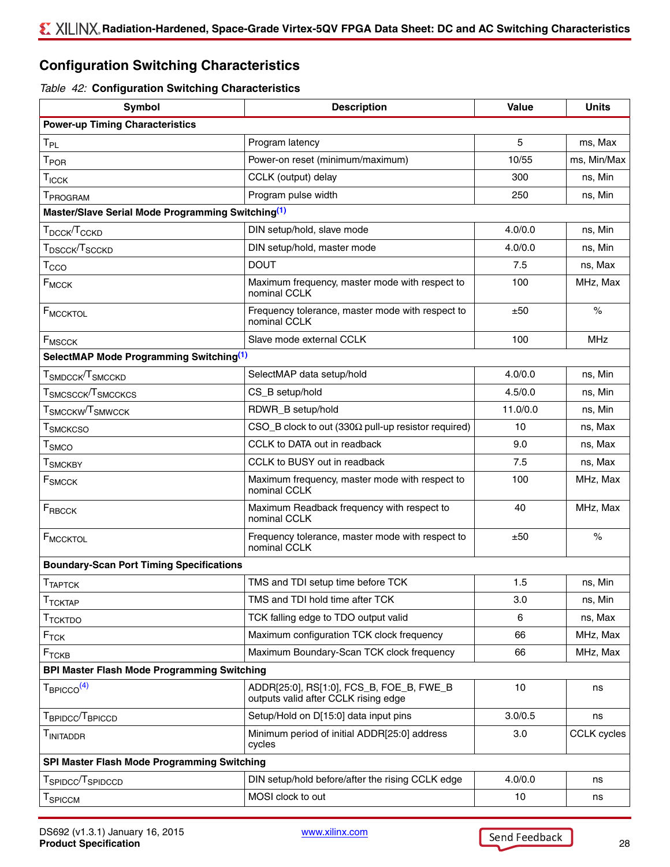## **Configuration Switching Characteristics**

#### <span id="page-27-0"></span>*Table 42:* **Configuration Switching Characteristics**

| Symbol                                                                    | <b>Description</b>                                                               | Value    | <b>Units</b>       |
|---------------------------------------------------------------------------|----------------------------------------------------------------------------------|----------|--------------------|
| <b>Power-up Timing Characteristics</b>                                    |                                                                                  |          |                    |
| $T_{PL}$                                                                  | Program latency                                                                  | 5        | ms, Max            |
| $T_{\mathsf{POR}}$                                                        | Power-on reset (minimum/maximum)                                                 | 10/55    | ms, Min/Max        |
| $T_{ICCK}$                                                                | CCLK (output) delay                                                              | 300      | ns, Min            |
| T <sub>PROGRAM</sub>                                                      | Program pulse width                                                              | 250      | ns, Min            |
| Master/Slave Serial Mode Programming Switching <sup>(1)</sup>             |                                                                                  |          |                    |
| Т $_{\rm DCGK}$ /Т $_{\rm CCKD}$                                          | DIN setup/hold, slave mode                                                       | 4.0/0.0  | ns, Min            |
| ${\sf T}_{\sf DSCCK}/{\sf T}_{\sf SCCKD}$                                 | DIN setup/hold, master mode                                                      | 4.0/0.0  | ns, Min            |
| $T_{\rm CCO}$                                                             | <b>DOUT</b>                                                                      | 7.5      | ns, Max            |
| $F_{MCCK}$                                                                | Maximum frequency, master mode with respect to<br>nominal CCLK                   | 100      | MHz, Max           |
| F <sub>MCCKTOL</sub>                                                      | Frequency tolerance, master mode with respect to<br>nominal CCLK                 | ±50      | $\%$               |
| <b>F<sub>MSCCK</sub></b>                                                  | Slave mode external CCLK                                                         | 100      | <b>MHz</b>         |
| SelectMAP Mode Programming Switching <sup>(1)</sup>                       |                                                                                  |          |                    |
| ${\sf T}_{\sf SMDCCK}/{\sf T}_{\sf SMCCKD}$                               | SelectMAP data setup/hold                                                        | 4.0/0.0  | ns, Min            |
| $\tau_{\scriptsize\textsf{SMCSCCK}}$ $\tau_{\scriptsize\textsf{SMCCKCS}}$ | CS_B setup/hold                                                                  | 4.5/0.0  | ns, Min            |
| $T_{\rm SMCCKW}/T_{\rm SMWCCK}$                                           | RDWR_B setup/hold                                                                | 11.0/0.0 | ns, Min            |
| $\mathsf{T}_{\mathsf{SMCKCSO}}$                                           | CSO_B clock to out (330 $\Omega$ pull-up resistor required)                      | 10       | ns, Max            |
| $\mathsf{T}_{\mathsf{SMCO}}$                                              | CCLK to DATA out in readback                                                     | 9.0      | ns, Max            |
| $\mathsf{T}_{\mathsf{SMCKBY}}$                                            | CCLK to BUSY out in readback                                                     | 7.5      | ns, Max            |
| F <sub>SMCCK</sub>                                                        | Maximum frequency, master mode with respect to<br>nominal CCLK                   | 100      | MHz, Max           |
| $F_{RBCCK}$                                                               | Maximum Readback frequency with respect to<br>nominal CCLK                       | 40       | MHz, Max           |
| FMCCKTOL                                                                  | Frequency tolerance, master mode with respect to<br>nominal CCLK                 | ±50      | $\%$               |
| <b>Boundary-Scan Port Timing Specifications</b>                           |                                                                                  |          |                    |
| <b>TTAPTCK</b>                                                            | TMS and TDI setup time before TCK                                                | 1.5      | ns, Min            |
| $T_{TCKTAP}$                                                              | TMS and TDI hold time after TCK                                                  | 3.0      | ns, Min            |
| $\textcolor{black}{\mathsf{T}}$ тсктро                                    | TCK falling edge to TDO output valid                                             | 6        | ns, Max            |
| $F_{TCK}$                                                                 | Maximum configuration TCK clock frequency                                        | 66       | MHz, Max           |
| $F_{TCKB}$                                                                | Maximum Boundary-Scan TCK clock frequency                                        | 66       | MHz, Max           |
| <b>BPI Master Flash Mode Programming Switching</b>                        |                                                                                  |          |                    |
| T <sub>BPICCO</sub> <sup>(4)</sup>                                        | ADDR[25:0], RS[1:0], FCS_B, FOE_B, FWE_B<br>outputs valid after CCLK rising edge | 10       | ns                 |
| ${\sf T}_{\sf BPIDCC}/{\sf T}_{\sf BPICCD}$                               | Setup/Hold on D[15:0] data input pins                                            | 3.0/0.5  | ns                 |
| T <sub>initaddr</sub>                                                     | Minimum period of initial ADDR[25:0] address<br>cycles                           | 3.0      | <b>CCLK</b> cycles |
| SPI Master Flash Mode Programming Switching                               |                                                                                  |          |                    |
| ${\sf T}_{\sf SPIDCC}/{\sf T}_{\sf SPIDCCD}$                              | DIN setup/hold before/after the rising CCLK edge                                 | 4.0/0.0  | ns                 |
| $\mathsf{T}_{\mathsf{SPICCM}}$                                            | MOSI clock to out                                                                | 10       | ns                 |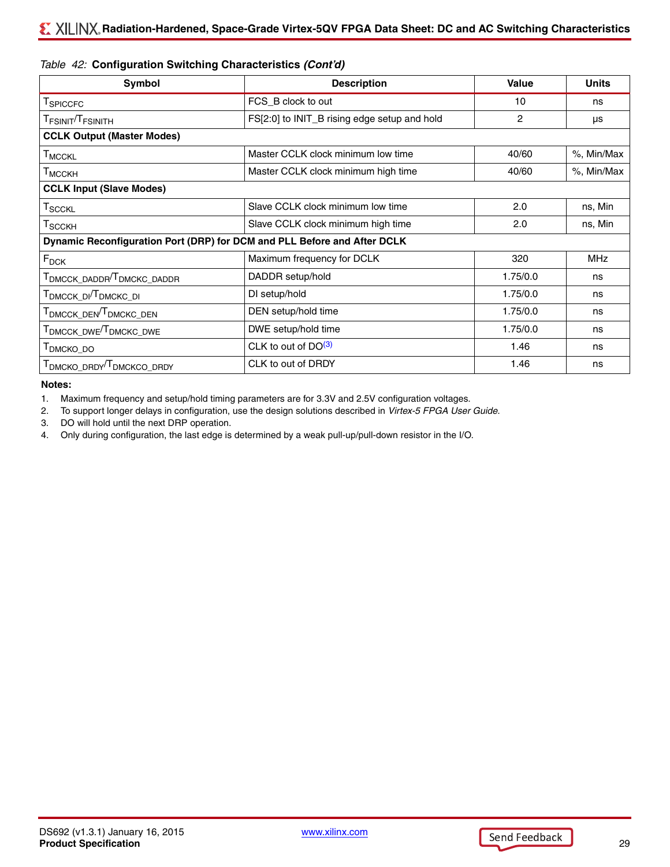#### *Table 42:* **Configuration Switching Characteristics** *(Cont'd)*

| Symbol                                                                   | <b>Description</b>                           | Value    | <b>Units</b> |
|--------------------------------------------------------------------------|----------------------------------------------|----------|--------------|
| T <sub>SPICCFC</sub>                                                     | FCS_B clock to out                           | 10       | ns           |
| T <sub>FSINIT</sub> /T <sub>FSINITH</sub>                                | FS[2:0] to INIT_B rising edge setup and hold | 2        | μs           |
| <b>CCLK Output (Master Modes)</b>                                        |                                              |          |              |
| T <sub>MCCKL</sub>                                                       | Master CCLK clock minimum low time           | 40/60    | %, Min/Max   |
| T <sub>MCCKH</sub>                                                       | Master CCLK clock minimum high time          | 40/60    | %, Min/Max   |
| <b>CCLK Input (Slave Modes)</b>                                          |                                              |          |              |
| $T_{\text{SCCKL}}$                                                       | Slave CCLK clock minimum low time            | 2.0      | ns, Min      |
| T <sub>SCCKH</sub>                                                       | Slave CCLK clock minimum high time           | 2.0      | ns, Min      |
| Dynamic Reconfiguration Port (DRP) for DCM and PLL Before and After DCLK |                                              |          |              |
| $F_{DCK}$                                                                | Maximum frequency for DCLK                   | 320      | <b>MHz</b>   |
| T <sub>DMCCK</sub> _DADDR <sup>/T</sup> DMCKC_DADDR                      | DADDR setup/hold                             | 1.75/0.0 | ns           |
| T <sub>DMCCK_DI</sub> /T <sub>DMCKC_DI</sub>                             | DI setup/hold                                | 1.75/0.0 | ns           |
| T <sub>DMCCK</sub> _DEN <sup>T</sup> DMCKC_DEN                           | DEN setup/hold time                          | 1.75/0.0 | ns           |
| T <sub>DMCCK</sub> _DWE <sup>/T</sup> DMCKC_DWE                          | DWE setup/hold time                          | 1.75/0.0 | ns           |
| <b>I</b> DMCKO_DO                                                        | CLK to out of $DO(3)$                        | 1.46     | ns           |
| T <sub>DMCKO</sub> DRDY <sup>/T</sup> DMCKCO DRDY                        | CLK to out of DRDY                           | 1.46     | ns           |

**Notes:** 

<span id="page-28-0"></span>1. Maximum frequency and setup/hold timing parameters are for 3.3V and 2.5V configuration voltages.

2. To support longer delays in configuration, use the design solutions described in *Virtex-5 FPGA User Guide*.

<span id="page-28-2"></span>3. DO will hold until the next DRP operation.

<span id="page-28-1"></span>4. Only during configuration, the last edge is determined by a weak pull-up/pull-down resistor in the I/O.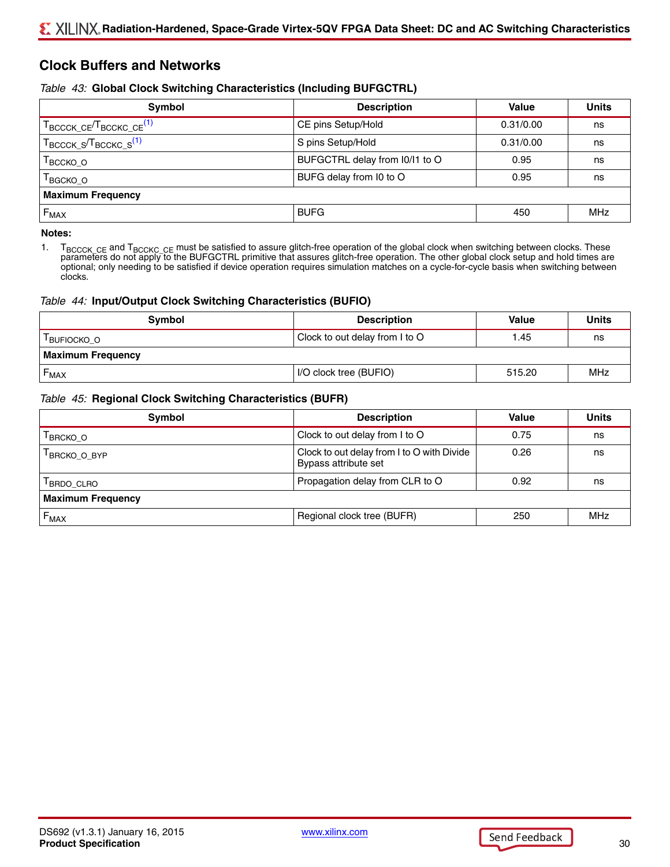## **Clock Buffers and Networks**

#### <span id="page-29-1"></span>*Table 43:* **Global Clock Switching Characteristics (Including BUFGCTRL)**

| Symbol                                                      | <b>Description</b>               | Value     | <b>Units</b> |
|-------------------------------------------------------------|----------------------------------|-----------|--------------|
| T <sub>BCCCK</sub> _CE <sup>T</sup> BCCKC_CE <sup>(1)</sup> | CE pins Setup/Hold               | 0.31/0.00 | ns           |
| $T_{\text{BCCCK\_S}}/T_{\text{BCCKC\_S}}^{(1)}$             | S pins Setup/Hold                | 0.31/0.00 | ns           |
| Твсско_о                                                    | BUFGCTRL delay from $10/11$ to O | 0.95      | ns           |
| <sup>Т</sup> васко_о                                        | BUFG delay from I0 to O          | 0.95      | ns           |
| <b>Maximum Frequency</b>                                    |                                  |           |              |
| $F_{MAX}$                                                   | <b>BUFG</b>                      | 450       | MHz          |

#### **Notes:**

<span id="page-29-0"></span>1. T<sub>BCCCK</sub> <sub>CE</sub> and T<sub>BCCK</sub> <sub>CE</sub> must be satisfied to assure glitch-free operation of the global clock when switching between clocks. These<br>parameters do not apply to the BUFGCTRL primitive that assures glitch-free operat optional; only needing to be satisfied if device operation requires simulation matches on a cycle-for-cycle basis when switching between clocks.

#### *Table 44:* **Input/Output Clock Switching Characteristics (BUFIO)**

| <b>Symbol</b>            | <b>Description</b>             | Value  | <b>Units</b> |
|--------------------------|--------------------------------|--------|--------------|
| <b>BUFIOCKO O</b>        | Clock to out delay from I to O | 1.45   | ns           |
| <b>Maximum Frequency</b> |                                |        |              |
| ►мах                     | I/O clock tree (BUFIO)         | 515.20 | MHz          |

#### *Table 45:* **Regional Clock Switching Characteristics (BUFR)**

| <b>Symbol</b>               | <b>Description</b>                                                 | Value | <b>Units</b> |
|-----------------------------|--------------------------------------------------------------------|-------|--------------|
| <b>BRCKO O</b>              | Clock to out delay from I to O                                     | 0.75  | ns           |
| <b>BRCKO O BYP</b>          | Clock to out delay from I to O with Divide<br>Bypass attribute set | 0.26  | ns           |
| BRDO_CLRO                   | Propagation delay from CLR to O                                    | 0.92  | ns           |
| <b>Maximum Frequency</b>    |                                                                    |       |              |
| $\mathsf{F}_{\mathsf{MAX}}$ | Regional clock tree (BUFR)                                         | 250   | <b>MHz</b>   |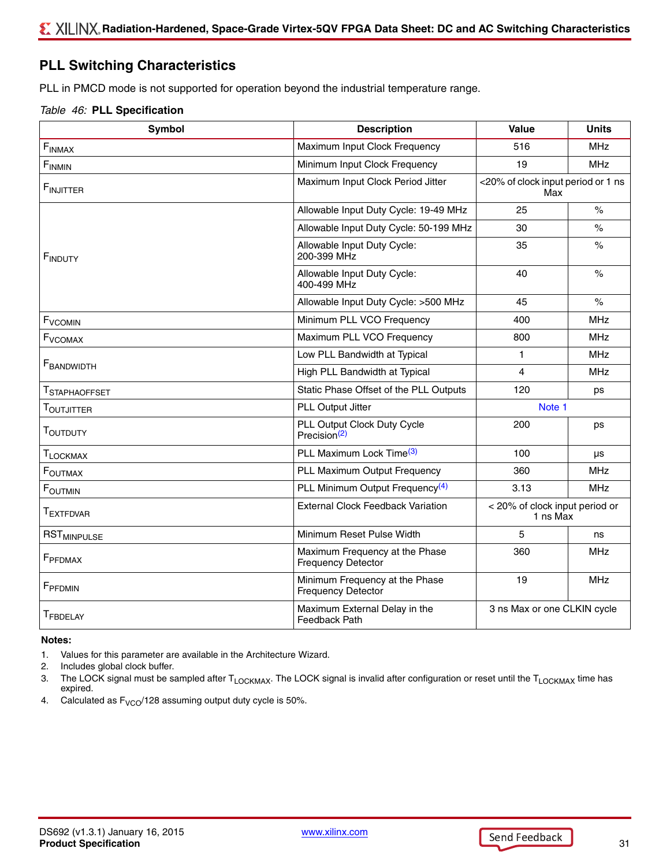## <span id="page-30-4"></span>**PLL Switching Characteristics**

PLL in PMCD mode is not supported for operation beyond the industrial temperature range.

#### <span id="page-30-5"></span>*Table 46:* **PLL Specification**

| <b>Symbol</b>                 | <b>Description</b>                                          | Value                                      | <b>Units</b>       |
|-------------------------------|-------------------------------------------------------------|--------------------------------------------|--------------------|
| $\mathsf{F}_{\mathsf{INMAX}}$ | Maximum Input Clock Frequency                               | 516                                        | <b>MHz</b>         |
| $F_{INMIN}$                   | Minimum Input Clock Frequency                               | 19                                         | <b>MHz</b>         |
| <b>FINJITTER</b>              | Maximum Input Clock Period Jitter                           | <20% of clock input period or 1 ns<br>Max  |                    |
|                               | Allowable Input Duty Cycle: 19-49 MHz                       | 25                                         | $\frac{1}{\alpha}$ |
|                               | Allowable Input Duty Cycle: 50-199 MHz                      | 30                                         | $\%$               |
| <b>FINDUTY</b>                | Allowable Input Duty Cycle:<br>200-399 MHz                  | 35                                         | $\%$               |
|                               | Allowable Input Duty Cycle:<br>400-499 MHz                  | 40                                         | $\%$               |
|                               | Allowable Input Duty Cycle: >500 MHz                        | 45                                         | $\%$               |
| <b>F<sub>VCOMIN</sub></b>     | Minimum PLL VCO Frequency                                   | 400                                        | <b>MHz</b>         |
| F <sub>VCOMAX</sub>           | Maximum PLL VCO Frequency                                   | 800                                        | <b>MHz</b>         |
| <b>FBANDWIDTH</b>             | Low PLL Bandwidth at Typical                                | $\mathbf{1}$                               | <b>MHz</b>         |
|                               | High PLL Bandwidth at Typical                               | 4                                          | <b>MHz</b>         |
| T <sub>STAPHAOFFSET</sub>     | Static Phase Offset of the PLL Outputs                      | 120                                        | ps                 |
| T <sub>OUTJITTER</sub>        | PLL Output Jitter                                           | Note 1                                     |                    |
| T <sub>OUTDUTY</sub>          | PLL Output Clock Duty Cycle<br>Precision <sup>(2)</sup>     | 200                                        | ps                 |
| T <sub>LOCKMAX</sub>          | PLL Maximum Lock Time <sup>(3)</sup>                        | 100                                        | μs                 |
| <b>FOUTMAX</b>                | PLL Maximum Output Frequency                                | 360                                        | <b>MHz</b>         |
| <b>FOUTMIN</b>                | PLL Minimum Output Frequency <sup>(4)</sup>                 | 3.13                                       | <b>MHz</b>         |
| <b>TEXTFDVAR</b>              | <b>External Clock Feedback Variation</b>                    | < 20% of clock input period or<br>1 ns Max |                    |
| <b>RST<sub>MINPULSE</sub></b> | Minimum Reset Pulse Width                                   | 5                                          | ns                 |
| F <sub>PFDMAX</sub>           | Maximum Frequency at the Phase<br><b>Frequency Detector</b> | 360                                        | <b>MHz</b>         |
| FPFDMIN                       | Minimum Frequency at the Phase<br><b>Frequency Detector</b> | 19                                         | <b>MHz</b>         |
| T <sub>FBDELAY</sub>          | Maximum External Delay in the<br>Feedback Path              | 3 ns Max or one CLKIN cycle                |                    |

#### **Notes:**

- <span id="page-30-0"></span>1. Values for this parameter are available in the Architecture Wizard.
- <span id="page-30-1"></span>2. Includes global clock buffer.
- <span id="page-30-2"></span>3. The LOCK signal must be sampled after T<sub>LOCKMAX</sub>. The LOCK signal is invalid after configuration or reset until the T<sub>LOCKMAX</sub> time has expired.
- <span id="page-30-3"></span>4. Calculated as  $F_{VCO}$  128 assuming output duty cycle is 50%.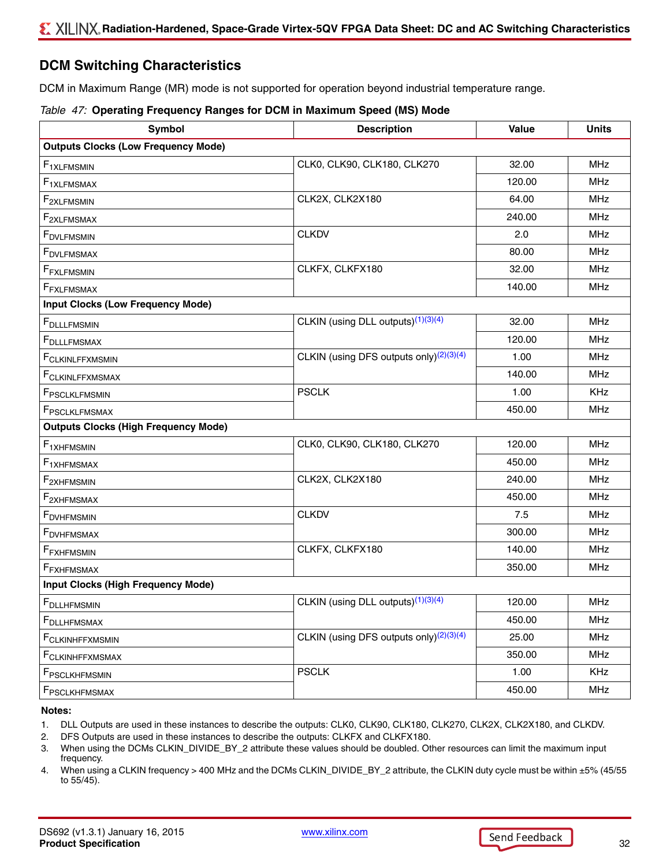## <span id="page-31-4"></span>**DCM Switching Characteristics**

DCM in Maximum Range (MR) mode is not supported for operation beyond industrial temperature range.

#### *Table 47:* **Operating Frequency Ranges for DCM in Maximum Speed (MS) Mode**

| Symbol                                      | <b>Description</b>                                  | Value  | <b>Units</b> |
|---------------------------------------------|-----------------------------------------------------|--------|--------------|
| <b>Outputs Clocks (Low Frequency Mode)</b>  |                                                     |        |              |
| F <sub>1XLFMSMIN</sub>                      | CLK0, CLK90, CLK180, CLK270                         | 32.00  | <b>MHz</b>   |
| $F_{1XLFMSMAX}$                             |                                                     | 120.00 | <b>MHz</b>   |
| F <sub>2XLFMSMIN</sub>                      | CLK2X, CLK2X180                                     | 64.00  | <b>MHz</b>   |
| $F_{2XLFMSMAX}$                             |                                                     | 240.00 | <b>MHz</b>   |
| F <sub>DVLFMSMIN</sub>                      | <b>CLKDV</b>                                        | 2.0    | <b>MHz</b>   |
| <b>FDVLFMSMAX</b>                           |                                                     | 80.00  | <b>MHz</b>   |
| F <sub>FXLFMSMIN</sub>                      | CLKFX, CLKFX180                                     | 32.00  | MHz          |
| F <sub>FXLFMSMAX</sub>                      |                                                     | 140.00 | <b>MHz</b>   |
| <b>Input Clocks (Low Frequency Mode)</b>    |                                                     |        |              |
| <b>F</b> DLLLFMSMIN                         | CLKIN (using DLL outputs) <sup>(1)(3)(4)</sup>      | 32.00  | <b>MHz</b>   |
| F <sub>DLLLFMSMAX</sub>                     |                                                     | 120.00 | <b>MHz</b>   |
| FCLKINLFFXMSMIN                             | CLKIN (using DFS outputs only) $(2)(3)(4)$          | 1.00   | <b>MHz</b>   |
| FCLKINLFFXMSMAX                             |                                                     | 140.00 | <b>MHz</b>   |
| FPSCLKLFMSMIN                               | <b>PSCLK</b>                                        | 1.00   | <b>KHz</b>   |
| FPSCLKLFMSMAX                               |                                                     | 450.00 | MHz          |
| <b>Outputs Clocks (High Frequency Mode)</b> |                                                     |        |              |
| F <sub>1</sub> XHFMSMIN                     | CLK0, CLK90, CLK180, CLK270                         | 120.00 | <b>MHz</b>   |
| $F_{1XHFMSMAX}$                             |                                                     | 450.00 | <b>MHz</b>   |
| F <sub>2XHFMSMIN</sub>                      | CLK2X, CLK2X180                                     | 240.00 | <b>MHz</b>   |
| $F_{2XHFMSMAX}$                             |                                                     | 450.00 | <b>MHz</b>   |
| <b>FDVHFMSMIN</b>                           | <b>CLKDV</b>                                        | 7.5    | <b>MHz</b>   |
| <b>F</b> DVHFMSMAX                          |                                                     | 300.00 | <b>MHz</b>   |
| F <sub>FXHFMSMIN</sub>                      | CLKFX, CLKFX180                                     | 140.00 | <b>MHz</b>   |
| F <sub>FXHFMSMAX</sub>                      |                                                     | 350.00 | MHz          |
| <b>Input Clocks (High Frequency Mode)</b>   |                                                     |        |              |
| <b>F</b> DLLHFMSMIN                         | CLKIN (using DLL outputs) <sup>(1)(3)(4)</sup>      | 120.00 | <b>MHz</b>   |
| F <sub>DLLHFMSMAX</sub>                     |                                                     | 450.00 | <b>MHz</b>   |
| FCLKINHFFXMSMIN                             | CLKIN (using DFS outputs only) <sup>(2)(3)(4)</sup> | 25.00  | <b>MHz</b>   |
| FCLKINHFFXMSMAX                             |                                                     | 350.00 | <b>MHz</b>   |
| FPSCLKHFMSMIN                               | <b>PSCLK</b>                                        | 1.00   | <b>KHz</b>   |
| FPSCLKHFMSMAX                               |                                                     | 450.00 | <b>MHz</b>   |

**Notes:** 

<span id="page-31-0"></span>1. DLL Outputs are used in these instances to describe the outputs: CLK0, CLK90, CLK180, CLK270, CLK2X, CLK2X180, and CLKDV.

<span id="page-31-3"></span>2. DFS Outputs are used in these instances to describe the outputs: CLKFX and CLKFX180.

<span id="page-31-1"></span>3. When using the DCMs CLKIN\_DIVIDE\_BY\_2 attribute these values should be doubled. Other resources can limit the maximum input frequency.

<span id="page-31-2"></span>4. When using a CLKIN frequency > 400 MHz and the DCMs CLKIN\_DIVIDE\_BY\_2 attribute, the CLKIN duty cycle must be within ±5% (45/55 to 55/45).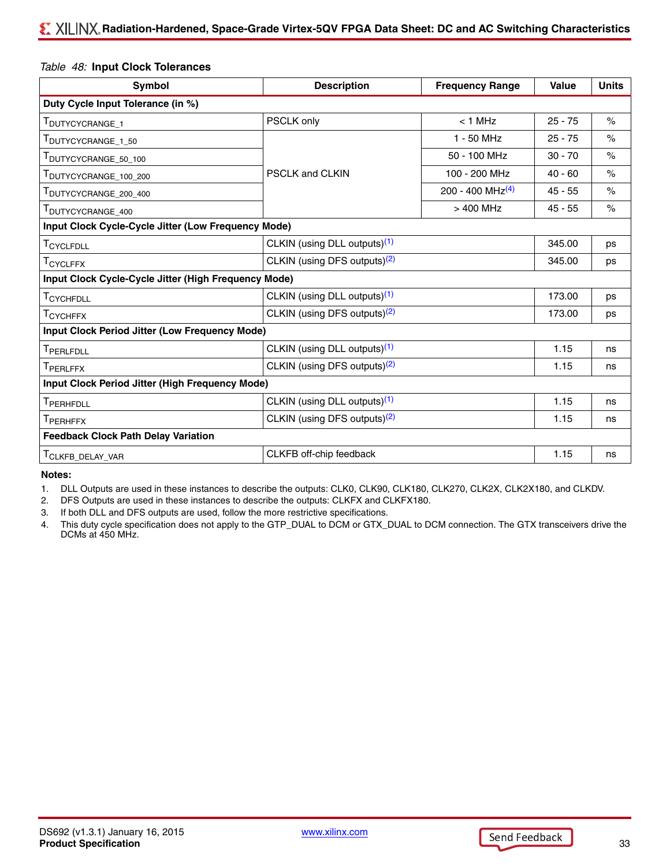#### *Table 48:* **Input Clock Tolerances**

| Symbol                                                | <b>Description</b>                       | <b>Frequency Range</b>       | <b>Value</b> | <b>Units</b>         |
|-------------------------------------------------------|------------------------------------------|------------------------------|--------------|----------------------|
| Duty Cycle Input Tolerance (in %)                     |                                          |                              |              |                      |
| T <sub>DUTYCYCRANGE_1</sub>                           | PSCLK only                               | $< 1$ MHz                    | $25 - 75$    | $\frac{1}{\sqrt{2}}$ |
| TDUTYCYCRANGE_1_50                                    |                                          | $1 - 50$ MHz                 | $25 - 75$    | $\%$                 |
| DUTYCYCRANGE_50_100                                   |                                          | 50 - 100 MHz                 | $30 - 70$    | $\%$                 |
| TDUTYCYCRANGE_100_200                                 | <b>PSCLK and CLKIN</b>                   | 100 - 200 MHz                | $40 - 60$    | $\frac{1}{\sqrt{2}}$ |
| TDUTYCYCRANGE_200_400                                 |                                          | 200 - 400 MHz <sup>(4)</sup> | $45 - 55$    | $\%$                 |
| <b>DUTYCYCRANGE 400</b>                               |                                          | $>400$ MHz                   | $45 - 55$    | $\frac{1}{\sqrt{2}}$ |
| Input Clock Cycle-Cycle Jitter (Low Frequency Mode)   |                                          |                              |              |                      |
| T <sub>CYCLFDLL</sub>                                 | CLKIN (using DLL outputs) <sup>(1)</sup> |                              | 345.00       | ps                   |
| T <sub>CYCLFFX</sub>                                  | CLKIN (using DFS outputs) <sup>(2)</sup> |                              | 345.00       | ps                   |
| Input Clock Cycle-Cycle Jitter (High Frequency Mode)  |                                          |                              |              |                      |
| T <sub>CYCHFDLL</sub>                                 | CLKIN (using DLL outputs) <sup>(1)</sup> |                              | 173.00       | ps                   |
| $\mathsf{T}_{\mathsf{CYCHFFX}}$                       | CLKIN (using DFS outputs) <sup>(2)</sup> |                              |              | ps                   |
| <b>Input Clock Period Jitter (Low Frequency Mode)</b> |                                          |                              |              |                      |
| T <sub>PERLFDLL</sub>                                 | CLKIN (using DLL outputs) <sup>(1)</sup> |                              | 1.15         | ns                   |
| T <sub>PERLFFX</sub>                                  | CLKIN (using DFS outputs) <sup>(2)</sup> |                              | 1.15         | ns                   |
| Input Clock Period Jitter (High Frequency Mode)       |                                          |                              |              |                      |
| TPERHFDLL                                             | CLKIN (using DLL outputs) <sup>(1)</sup> |                              | 1.15         | ns                   |
| T <sub>PERHFFX</sub>                                  | CLKIN (using DFS outputs) <sup>(2)</sup> |                              | 1.15         | ns                   |
| <b>Feedback Clock Path Delay Variation</b>            |                                          |                              |              |                      |
| T <sub>CLKFB</sub> _DELAY_VAR                         | CLKFB off-chip feedback                  |                              | 1.15         | ns                   |

**Notes:** 

<span id="page-32-0"></span>1. DLL Outputs are used in these instances to describe the outputs: CLK0, CLK90, CLK180, CLK270, CLK2X, CLK2X180, and CLKDV.

<span id="page-32-1"></span>2. DFS Outputs are used in these instances to describe the outputs: CLKFX and CLKFX180.

3. If both DLL and DFS outputs are used, follow the more restrictive specifications.

<span id="page-32-2"></span>4. This duty cycle specification does not apply to the GTP\_DUAL to DCM or GTX\_DUAL to DCM connection. The GTX transceivers drive the DCMs at 450 MHz.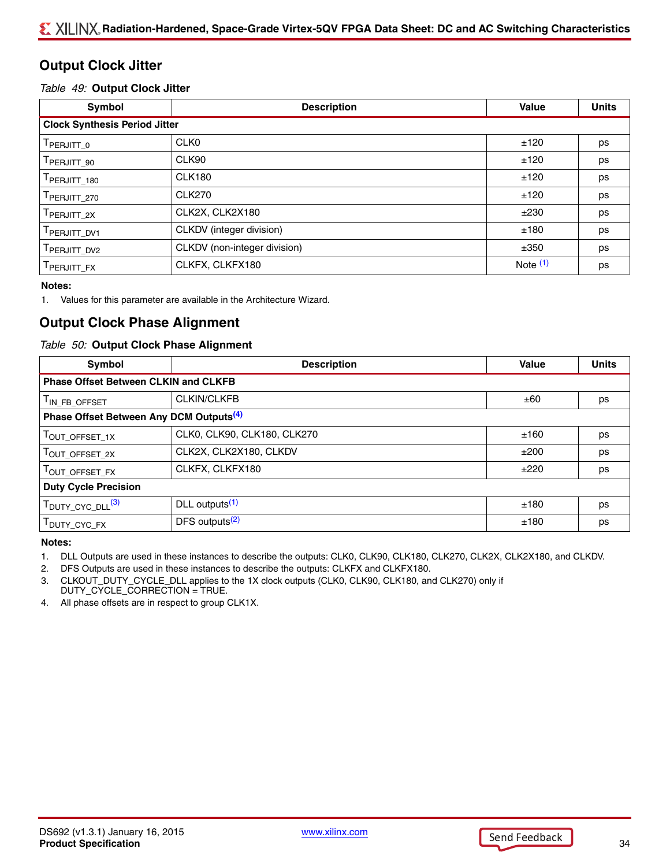## **Output Clock Jitter**

#### *Table 49:* **Output Clock Jitter**

| Symbol                               | <b>Description</b>           | <b>Value</b> | <b>Units</b> |
|--------------------------------------|------------------------------|--------------|--------------|
| <b>Clock Synthesis Period Jitter</b> |                              |              |              |
| $\mathsf{T}_{\mathsf{PERJITT\_0}}$   | CLK <sub>0</sub>             | ±120         | ps           |
| TPERJITT_90                          | CLK90                        | ±120         | ps           |
| PERJITT_180                          | <b>CLK180</b>                | ±120         | ps           |
| TPERJITT_270                         | <b>CLK270</b>                | ±120         | ps           |
| TPERJITT_2X                          | CLK2X, CLK2X180              | ±230         | ps           |
| PERJITT_DV1                          | CLKDV (integer division)     | ±180         | ps           |
| TPERJITT_DV2                         | CLKDV (non-integer division) | ±350         | ps           |
| <b>PERJITT FX</b>                    | CLKFX, CLKFX180              | Note $(1)$   | ps           |

#### **Notes:**

<span id="page-33-2"></span>1. Values for this parameter are available in the Architecture Wizard.

## **Output Clock Phase Alignment**

#### *Table 50:* **Output Clock Phase Alignment**

| Symbol                                              | <b>Description</b>          | Value | <b>Units</b> |
|-----------------------------------------------------|-----------------------------|-------|--------------|
| <b>Phase Offset Between CLKIN and CLKFB</b>         |                             |       |              |
| T <sub>IN_FB_OFFSET</sub>                           | <b>CLKIN/CLKFB</b>          | ±60   | ps           |
| Phase Offset Between Any DCM Outputs <sup>(4)</sup> |                             |       |              |
| T <sub>OUT_OFFSET_1X</sub>                          | CLK0, CLK90, CLK180, CLK270 | ±160  | ps           |
| T <sub>OUT_OFFSET_2X</sub>                          | CLK2X, CLK2X180, CLKDV      | ±200  | ps           |
| TOUT_OFFSET_FX                                      | CLKFX, CLKFX180             | ±220  | ps           |
| <b>Duty Cycle Precision</b>                         |                             |       |              |
| T <sub>DUTY_CYC_DLL</sub> <sup>(3)</sup>            | DLL outputs <sup>(1)</sup>  | ±180  | ps           |
| T <sub>DUTY</sub> _CYC_FX                           | DFS outputs $(2)$           | ±180  | ps           |

#### **Notes:**

<span id="page-33-4"></span>1. DLL Outputs are used in these instances to describe the outputs: CLK0, CLK90, CLK180, CLK270, CLK2X, CLK2X180, and CLKDV.

<span id="page-33-0"></span>2. DFS Outputs are used in these instances to describe the outputs: CLKFX and CLKFX180.

<span id="page-33-1"></span>3. CLKOUT\_DUTY\_CYCLE\_DLL applies to the 1X clock outputs (CLK0, CLK90, CLK180, and CLK270) only if DUTY\_CYCLE\_CORRECTION = TRUE.

<span id="page-33-3"></span>4. All phase offsets are in respect to group CLK1X.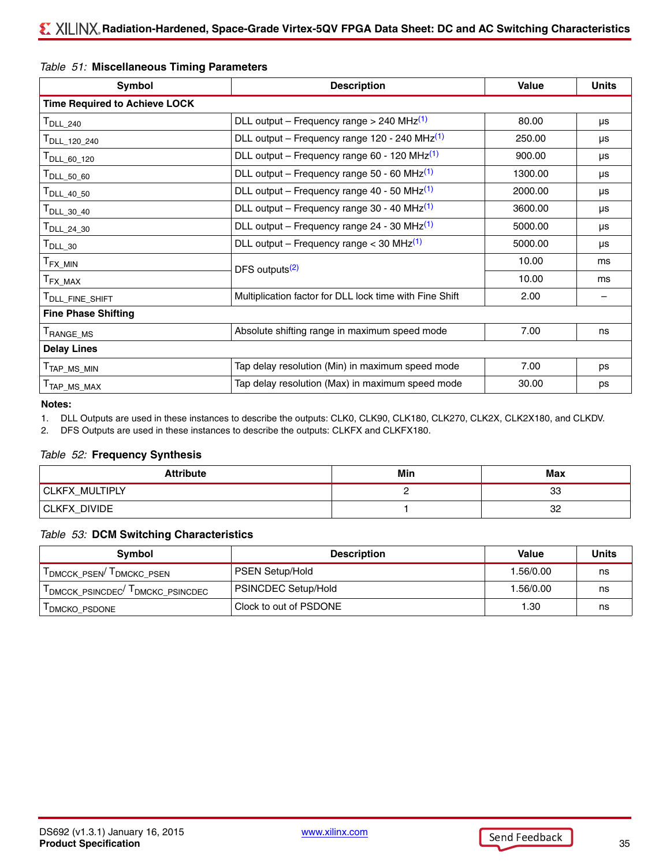#### <span id="page-34-2"></span>*Table 51:* **Miscellaneous Timing Parameters**

| Symbol                               | <b>Description</b>                                        |         | <b>Units</b> |
|--------------------------------------|-----------------------------------------------------------|---------|--------------|
| <b>Time Required to Achieve LOCK</b> |                                                           |         |              |
| $T_{\sf DLL\_240}$                   | DLL output – Frequency range > 240 MHz $(1)$              | 80.00   | μs           |
| T <sub>DLL_120_240</sub>             | DLL output - Frequency range 120 - 240 MHz <sup>(1)</sup> | 250.00  | μs           |
| T <sub>DLL_60_120</sub>              | DLL output – Frequency range 60 - 120 MHz <sup>(1)</sup>  | 900.00  | μs           |
| $T_{\sf DLL\_50\_60}$                | DLL output – Frequency range 50 - 60 MHz $(1)$            | 1300.00 | μs           |
| T <sub>DLL_40_50</sub>               | DLL output – Frequency range 40 - 50 MHz <sup>(1)</sup>   | 2000.00 | μs           |
| $\mathsf{T}_{\mathsf{DLL}\_30}\_40$  | DLL output – Frequency range 30 - 40 MHz <sup>(1)</sup>   | 3600.00 | μs           |
| $\mathsf{T}_{\mathsf{DLL}\_24}\_30$  | DLL output – Frequency range 24 - 30 MHz <sup>(1)</sup>   | 5000.00 | μs           |
| $T_{\sf DLL\_30}$                    | DLL output – Frequency range < 30 MHz $(1)$               | 5000.00 | μs           |
| $T_{\sf FX\_MIN}$                    | DFS outputs <sup>(2)</sup>                                | 10.00   | ms           |
| ${\sf T}_{\sf FX\_MAX}$              |                                                           | 10.00   | ms           |
| T <sub>DLL_FINE_SHIFT</sub>          | Multiplication factor for DLL lock time with Fine Shift   | 2.00    |              |
| <b>Fine Phase Shifting</b>           |                                                           |         |              |
| <b>FANGE MS</b>                      | Absolute shifting range in maximum speed mode             | 7.00    | ns           |
| <b>Delay Lines</b>                   |                                                           |         |              |
| T <sub>TAP_MS_MIN</sub>              | Tap delay resolution (Min) in maximum speed mode          | 7.00    | ps           |
| T <sub>TAP_MS_MAX</sub>              | Tap delay resolution (Max) in maximum speed mode          | 30.00   | ps           |

#### **Notes:**

<span id="page-34-0"></span>1. DLL Outputs are used in these instances to describe the outputs: CLK0, CLK90, CLK180, CLK270, CLK2X, CLK2X180, and CLKDV.

<span id="page-34-1"></span>2. DFS Outputs are used in these instances to describe the outputs: CLKFX and CLKFX180.

#### *Table 52:* **Frequency Synthesis**

| <b>Attribute</b>    | Min | Max |
|---------------------|-----|-----|
| CLKFX_MULTIPLY      |     | 33  |
| <b>CLKFX_DIVIDE</b> |     | 32  |

#### *Table 53:* **DCM Switching Characteristics**

| Symbol                                      | <b>Description</b>         | Value     | <b>Units</b> |
|---------------------------------------------|----------------------------|-----------|--------------|
| I DMCCK PSEN <sup>/ I</sup> DMCKC PSEN      | <b>PSEN Setup/Hold</b>     | 1.56/0.00 | ns           |
| $T_{DMCCK\_PSINCDEC}$ $T_{DMCKC\_PSINCDEC}$ | <b>PSINCDEC Setup/Hold</b> | 1.56/0.00 | ns           |
| <b>I DMCKO PSDONE</b>                       | Clock to out of PSDONE     | 1.30      | ns           |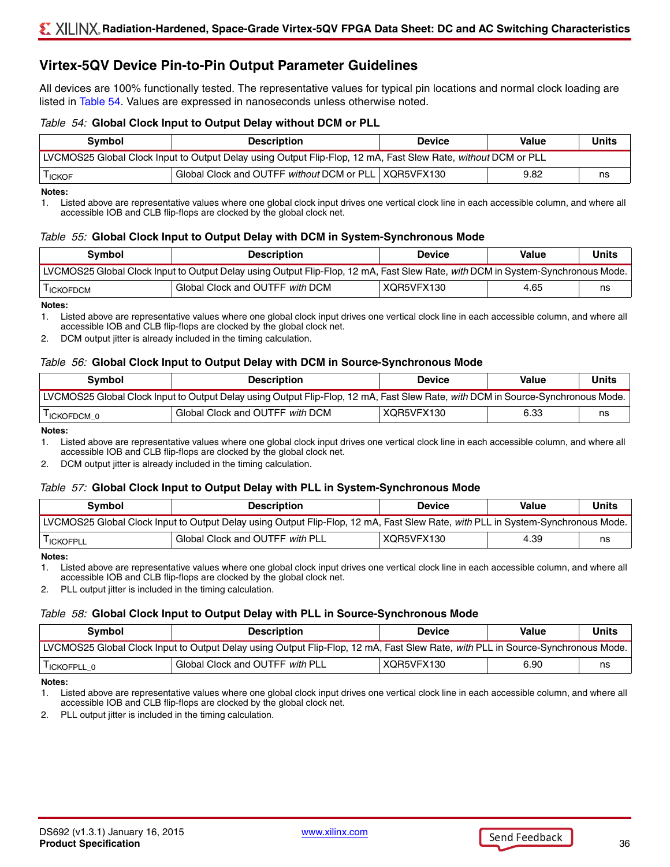## **Virtex-5QV Device Pin-to-Pin Output Parameter Guidelines**

All devices are 100% functionally tested. The representative values for typical pin locations and normal clock loading are listed in [Table 54](#page-35-0). Values are expressed in nanoseconds unless otherwise noted.

#### <span id="page-35-0"></span>*Table 54:* **Global Clock Input to Output Delay without DCM or PLL**

| Symbol                                                                                                        | <b>Description</b>                                     | <b>Device</b> | Value | Units |  |
|---------------------------------------------------------------------------------------------------------------|--------------------------------------------------------|---------------|-------|-------|--|
| LVCMOS25 Global Clock Input to Output Delay using Output Flip-Flop, 12 mA, Fast Slew Rate, without DCM or PLL |                                                        |               |       |       |  |
| <sup>I</sup> ICKOF                                                                                            | Global Clock and OUTFF without DCM or PLL   XQR5VFX130 |               | 9.82  | ns    |  |

#### **Notes:**

1. Listed above are representative values where one global clock input drives one vertical clock line in each accessible column, and where all accessible IOB and CLB flip-flops are clocked by the global clock net.

#### *Table 55:* **Global Clock Input to Output Delay with DCM in System-Synchronous Mode**

| <b>Symbol</b>                                                                                                                   | <b>Description</b>              | <b>Device</b> | <b>Value</b> | <b>Units</b> |  |
|---------------------------------------------------------------------------------------------------------------------------------|---------------------------------|---------------|--------------|--------------|--|
| LVCMOS25 Global Clock Input to Output Delay using Output Flip-Flop, 12 mA, Fast Slew Rate, with DCM in System-Synchronous Mode. |                                 |               |              |              |  |
| <sup>I</sup> ICKOFDCM                                                                                                           | Global Clock and OUTFF with DCM | XQR5VFX130    | 4.65         | ns           |  |

#### **Notes:**

1. Listed above are representative values where one global clock input drives one vertical clock line in each accessible column, and where all accessible IOB and CLB flip-flops are clocked by the global clock net.

2. DCM output jitter is already included in the timing calculation.

#### *Table 56:* **Global Clock Input to Output Delay with DCM in Source-Synchronous Mode**

| Symbol                                                                                                                          | <b>Description</b>              | <b>Device</b> | <b>Value</b> | <b>Units</b> |  |
|---------------------------------------------------------------------------------------------------------------------------------|---------------------------------|---------------|--------------|--------------|--|
| LVCMOS25 Global Clock Input to Output Delay using Output Flip-Flop, 12 mA, Fast Slew Rate, with DCM in Source-Synchronous Mode. |                                 |               |              |              |  |
| <sup>I</sup> ICKOFDCM 0                                                                                                         | Global Clock and OUTFF with DCM | XQR5VFX130    | 6.33         | ns           |  |

**Notes:** 

1. Listed above are representative values where one global clock input drives one vertical clock line in each accessible column, and where all accessible IOB and CLB flip-flops are clocked by the global clock net.

2. DCM output jitter is already included in the timing calculation.

#### *Table 57:* **Global Clock Input to Output Delay with PLL in System-Synchronous Mode**

| <b>Symbol</b>                                                                                                                   | <b>Description</b>              | <b>Device</b> | Value | Units |  |
|---------------------------------------------------------------------------------------------------------------------------------|---------------------------------|---------------|-------|-------|--|
| LVCMOS25 Global Clock Input to Output Delay using Output Flip-Flop, 12 mA, Fast Slew Rate, with PLL in System-Synchronous Mode. |                                 |               |       |       |  |
| <sup>I</sup> ICKOFPLL                                                                                                           | Global Clock and OUTFF with PLL | XQR5VFX130    | 4.39  | ns    |  |

**Notes:** 

1. Listed above are representative values where one global clock input drives one vertical clock line in each accessible column, and where all accessible IOB and CLB flip-flops are clocked by the global clock net.

2. PLL output jitter is included in the timing calculation.

#### *Table 58:* **Global Clock Input to Output Delay with PLL in Source-Synchronous Mode**

| Symbol                                                                                                                          | <b>Description</b>              | <b>Device</b> | Value | <b>Units</b> |  |
|---------------------------------------------------------------------------------------------------------------------------------|---------------------------------|---------------|-------|--------------|--|
| LVCMOS25 Global Clock Input to Output Delay using Output Flip-Flop, 12 mA, Fast Slew Rate, with PLL in Source-Synchronous Mode. |                                 |               |       |              |  |
| <sup>I</sup> ICKOFPLL 0                                                                                                         | Global Clock and OUTFF with PLL | XQR5VFX130    | 6.90  | ns           |  |

**Notes:** 

1. Listed above are representative values where one global clock input drives one vertical clock line in each accessible column, and where all accessible IOB and CLB flip-flops are clocked by the global clock net.

2. PLL output jitter is included in the timing calculation.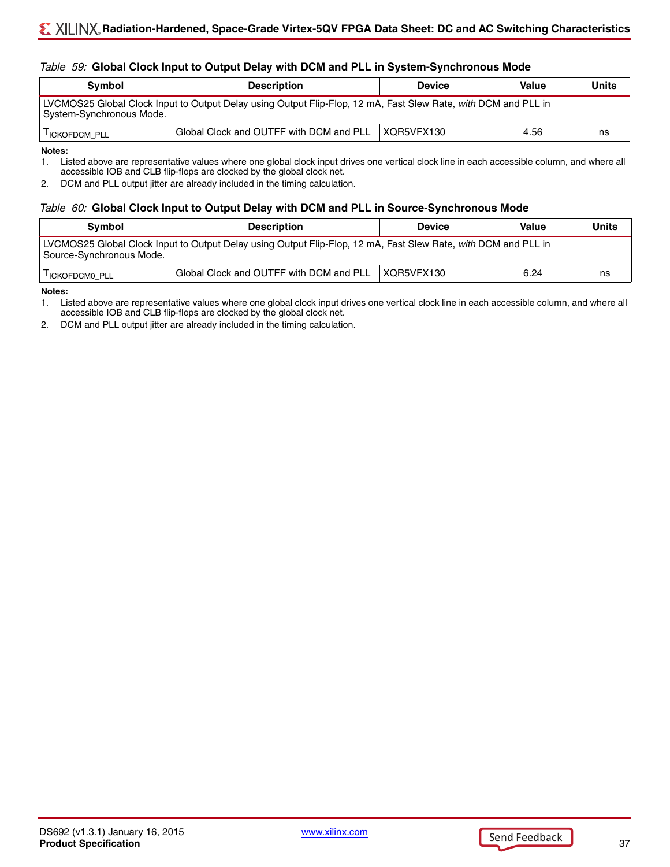#### *Table 59:* **Global Clock Input to Output Delay with DCM and PLL in System-Synchronous Mode**

| Symbol                                                                                                                                     | <b>Description</b>                      | <b>Device</b>      | Value | <b>Units</b> |  |  |
|--------------------------------------------------------------------------------------------------------------------------------------------|-----------------------------------------|--------------------|-------|--------------|--|--|
| LVCMOS25 Global Clock Input to Output Delay using Output Flip-Flop, 12 mA, Fast Slew Rate, with DCM and PLL in<br>System-Synchronous Mode. |                                         |                    |       |              |  |  |
| <b>I ICKOFDCM PLL</b>                                                                                                                      | Global Clock and OUTFF with DCM and PLL | $\vert$ XQR5VFX130 | 4.56  | ns           |  |  |

**Notes:** 

1. Listed above are representative values where one global clock input drives one vertical clock line in each accessible column, and where all accessible IOB and CLB flip-flops are clocked by the global clock net.

2. DCM and PLL output jitter are already included in the timing calculation.

#### *Table 60:* **Global Clock Input to Output Delay with DCM and PLL in Source-Synchronous Mode**

| <b>Symbol</b>                                                                                                                              | <b>Description</b>                      | <b>Device</b> | Value | <b>Units</b> |  |  |
|--------------------------------------------------------------------------------------------------------------------------------------------|-----------------------------------------|---------------|-------|--------------|--|--|
| LVCMOS25 Global Clock Input to Output Delay using Output Flip-Flop, 12 mA, Fast Slew Rate, with DCM and PLL in<br>Source-Synchronous Mode. |                                         |               |       |              |  |  |
| <b>I ICKOFDCMO PLL</b>                                                                                                                     | Global Clock and OUTFF with DCM and PLL | XQR5VFX130    | 6.24  | ns           |  |  |

**Notes:** 

1. Listed above are representative values where one global clock input drives one vertical clock line in each accessible column, and where all accessible IOB and CLB flip-flops are clocked by the global clock net.

2. DCM and PLL output jitter are already included in the timing calculation.

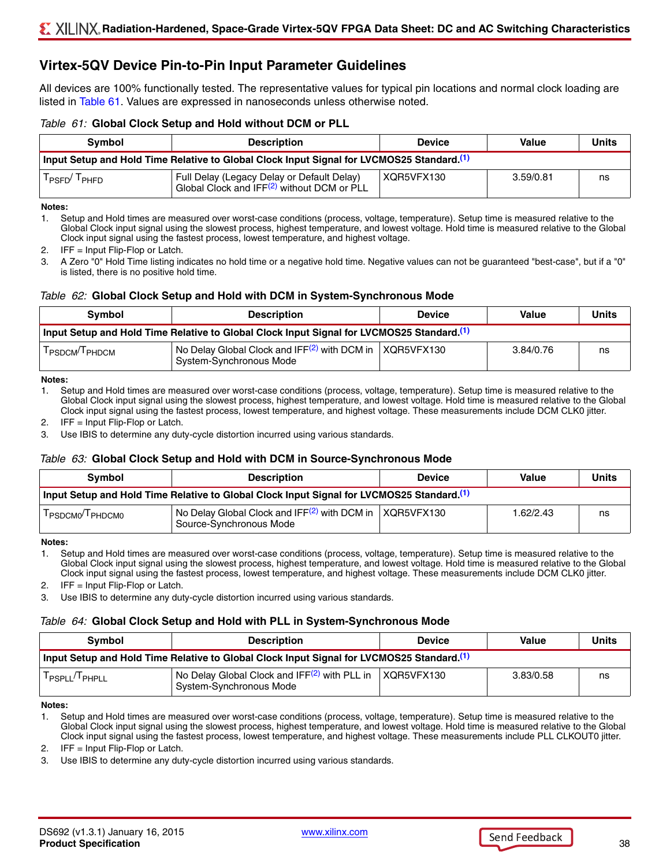## **Virtex-5QV Device Pin-to-Pin Input Parameter Guidelines**

All devices are 100% functionally tested. The representative values for typical pin locations and normal clock loading are listed in [Table 61](#page-37-0). Values are expressed in nanoseconds unless otherwise noted.

#### <span id="page-37-0"></span>*Table 61:* **Global Clock Setup and Hold without DCM or PLL**

| <b>Symbol</b>                                                                                         | <b>Description</b>                                                                                   | <b>Device</b> | Value     | Units |  |
|-------------------------------------------------------------------------------------------------------|------------------------------------------------------------------------------------------------------|---------------|-----------|-------|--|
| Input Setup and Hold Time Relative to Global Clock Input Signal for LVCMOS25 Standard. <sup>(1)</sup> |                                                                                                      |               |           |       |  |
| PSFD <sup>/</sup><br><sup>I</sup> PHFD                                                                | Full Delay (Legacy Delay or Default Delay)<br>Global Clock and IFF <sup>(2)</sup> without DCM or PLL | XQR5VFX130    | 3.59/0.81 | ns    |  |

#### **Notes:**

<span id="page-37-1"></span>1. Setup and Hold times are measured over worst-case conditions (process, voltage, temperature). Setup time is measured relative to the Global Clock input signal using the slowest process, highest temperature, and lowest voltage. Hold time is measured relative to the Global Clock input signal using the fastest process, lowest temperature, and highest voltage.

<span id="page-37-2"></span>2. IFF = Input Flip-Flop or Latch.

3. A Zero "0" Hold Time listing indicates no hold time or a negative hold time. Negative values can not be guaranteed "best-case", but if a "0" is listed, there is no positive hold time.

#### *Table 62:* **Global Clock Setup and Hold with DCM in System-Synchronous Mode**

| <b>Symbol</b>                                                                                         | <b>Description</b>                                                                      | <b>Device</b> | Value     | <b>Units</b> |  |
|-------------------------------------------------------------------------------------------------------|-----------------------------------------------------------------------------------------|---------------|-----------|--------------|--|
| Input Setup and Hold Time Relative to Global Clock Input Signal for LVCMOS25 Standard. <sup>(1)</sup> |                                                                                         |               |           |              |  |
| <b>I PSDCM<sup>/I</sup> PHDCM</b>                                                                     | No Delay Global Clock and IFF $(2)$ with DCM in   XQR5VFX130<br>System-Synchronous Mode |               | 3.84/0.76 | ns           |  |

**Notes:** 

<span id="page-37-3"></span>1. Setup and Hold times are measured over worst-case conditions (process, voltage, temperature). Setup time is measured relative to the Global Clock input signal using the slowest process, highest temperature, and lowest voltage. Hold time is measured relative to the Global Clock input signal using the fastest process, lowest temperature, and highest voltage. These measurements include DCM CLK0 jitter.

<span id="page-37-4"></span>2. IFF = Input Flip-Flop or Latch.

3. Use IBIS to determine any duty-cycle distortion incurred using various standards.

#### *Table 63:* **Global Clock Setup and Hold with DCM in Source-Synchronous Mode**

| <b>Symbol</b> | <b>Description</b>                                                                                    | <b>Device</b> | Value     | <b>Units</b> |
|---------------|-------------------------------------------------------------------------------------------------------|---------------|-----------|--------------|
|               | Input Setup and Hold Time Relative to Global Clock Input Signal for LVCMOS25 Standard. <sup>(1)</sup> |               |           |              |
| PSDCMO PHDCMO | No Delay Global Clock and $IFF(2)$ with DCM in XQR5VFX130<br>Source-Synchronous Mode                  |               | 1.62/2.43 | ns           |

**Notes:** 

<span id="page-37-5"></span>1. Setup and Hold times are measured over worst-case conditions (process, voltage, temperature). Setup time is measured relative to the Global Clock input signal using the slowest process, highest temperature, and lowest voltage. Hold time is measured relative to the Global Clock input signal using the fastest process, lowest temperature, and highest voltage. These measurements include DCM CLK0 jitter.

<span id="page-37-6"></span>2. IFF = Input Flip-Flop or Latch.

3. Use IBIS to determine any duty-cycle distortion incurred using various standards.

#### *Table 64:* **Global Clock Setup and Hold with PLL in System-Synchronous Mode**

| <b>Symbol</b>         | <b>Description</b>                                                                                    | <b>Device</b> | <b>Value</b> | Units |
|-----------------------|-------------------------------------------------------------------------------------------------------|---------------|--------------|-------|
|                       | Input Setup and Hold Time Relative to Global Clock Input Signal for LVCMOS25 Standard. <sup>(1)</sup> |               |              |       |
| $I_{PSPLL}/I_{PHPLL}$ | No Delay Global Clock and IFF <sup>(2)</sup> with PLL in<br>System-Synchronous Mode                   | XQR5VFX130    | 3.83/0.58    | ns    |

**Notes:** 

<span id="page-37-7"></span>1. Setup and Hold times are measured over worst-case conditions (process, voltage, temperature). Setup time is measured relative to the Global Clock input signal using the slowest process, highest temperature, and lowest voltage. Hold time is measured relative to the Global Clock input signal using the fastest process, lowest temperature, and highest voltage. These measurements include PLL CLKOUT0 jitter.

<span id="page-37-8"></span>2. IFF = Input Flip-Flop or Latch.

3. Use IBIS to determine any duty-cycle distortion incurred using various standards.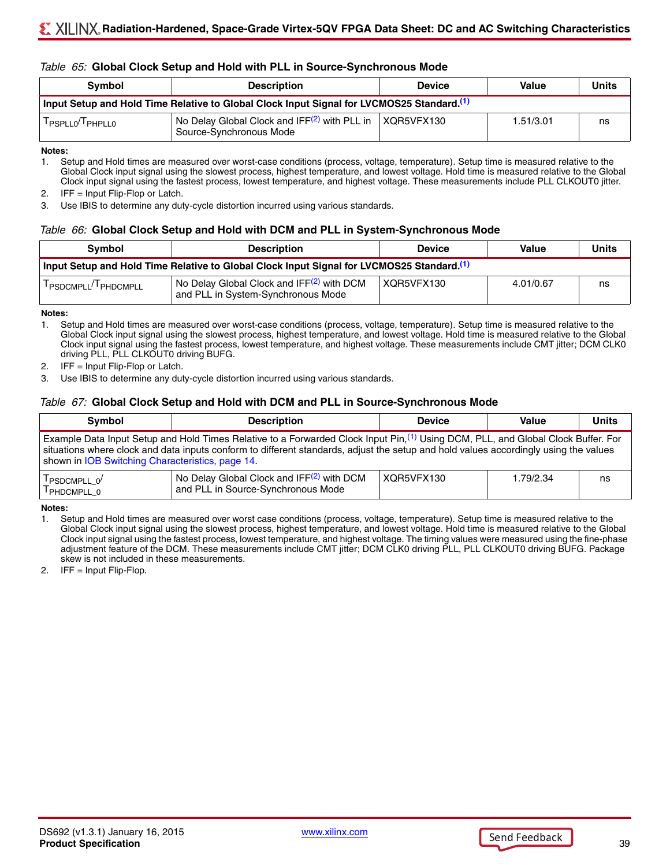#### *Table 65:* **Global Clock Setup and Hold with PLL in Source-Synchronous Mode**

| <b>Symbol</b>                            | <b>Description</b>                                                                                    | <b>Device</b> | Value     | <b>Units</b> |
|------------------------------------------|-------------------------------------------------------------------------------------------------------|---------------|-----------|--------------|
|                                          | Input Setup and Hold Time Relative to Global Clock Input Signal for LVCMOS25 Standard. <sup>(1)</sup> |               |           |              |
| T <sub>PSPLL0</sub> /T <sub>PHPLL0</sub> | $\vert$ No Delay Global Clock and IFF $(2)$ with PLL in<br>Source-Synchronous Mode                    | XQR5VFX130    | 1.51/3.01 | ns           |

**Notes:** 

<span id="page-38-0"></span>1. Setup and Hold times are measured over worst-case conditions (process, voltage, temperature). Setup time is measured relative to the Global Clock input signal using the slowest process, highest temperature, and lowest voltage. Hold time is measured relative to the Global Clock input signal using the fastest process, lowest temperature, and highest voltage. These measurements include PLL CLKOUT0 jitter.

<span id="page-38-1"></span>2. IFF = Input Flip-Flop or Latch.

3. Use IBIS to determine any duty-cycle distortion incurred using various standards.

#### *Table 66:* **Global Clock Setup and Hold with DCM and PLL in System-Synchronous Mode**

| <b>Symbol</b>                     | <b>Description</b>                                                                                    | <b>Device</b> | Value     | <b>Units</b> |
|-----------------------------------|-------------------------------------------------------------------------------------------------------|---------------|-----------|--------------|
|                                   | Input Setup and Hold Time Relative to Global Clock Input Signal for LVCMOS25 Standard. <sup>(1)</sup> |               |           |              |
| I PSDCMPLL <sup>/I</sup> PHDCMPLL | No Delay Global Clock and IFF <sup>(2)</sup> with DCM<br>and PLL in System-Synchronous Mode           | XQR5VFX130    | 4.01/0.67 | ns           |

#### **Notes:**

<span id="page-38-2"></span>1. Setup and Hold times are measured over worst-case conditions (process, voltage, temperature). Setup time is measured relative to the Global Clock input signal using the slowest process, highest temperature, and lowest voltage. Hold time is measured relative to the Global Clock input signal using the fastest process, lowest temperature, and highest voltage. These measurements include CMT jitter; DCM CLK0 driving PLL, PLL CLKOUT0 driving BUFG.

<span id="page-38-3"></span>2. IFF = Input Flip-Flop or Latch.

3. Use IBIS to determine any duty-cycle distortion incurred using various standards.

#### *Table 67:* **Global Clock Setup and Hold with DCM and PLL in Source-Synchronous Mode**

| <b>Symbol</b>                                                                                                                                                                                                                                                                                                                            | <b>Description</b> | <b>Device</b> | Value     | <b>Units</b> |
|------------------------------------------------------------------------------------------------------------------------------------------------------------------------------------------------------------------------------------------------------------------------------------------------------------------------------------------|--------------------|---------------|-----------|--------------|
| Example Data Input Setup and Hold Times Relative to a Forwarded Clock Input Pin, <sup>(1)</sup> Using DCM, PLL, and Global Clock Buffer. For<br>situations where clock and data inputs conform to different standards, adjust the setup and hold values accordingly using the values<br>shown in IOB Switching Characteristics, page 14. |                    |               |           |              |
| No Delay Global Clock and IFF <sup>(2)</sup> with DCM<br>$T_{\text{PSDCMPLL\_0}}$<br>and PLL in Source-Synchronous Mode<br>PHDCMPLL 0                                                                                                                                                                                                    |                    | XQR5VFX130    | 1.79/2.34 | ns           |

**Notes:** 

<span id="page-38-4"></span>1. Setup and Hold times are measured over worst case conditions (process, voltage, temperature). Setup time is measured relative to the Global Clock input signal using the slowest process, highest temperature, and lowest voltage. Hold time is measured relative to the Global Clock input signal using the fastest process, lowest temperature, and highest voltage. The timing values were measured using the fine-phase adjustment feature of the DCM. These measurements include CMT jitter; DCM CLK0 driving PLL, PLL CLKOUT0 driving BUFG. Package skew is not included in these measurements.

<span id="page-38-5"></span>2. IFF = Input Flip-Flop.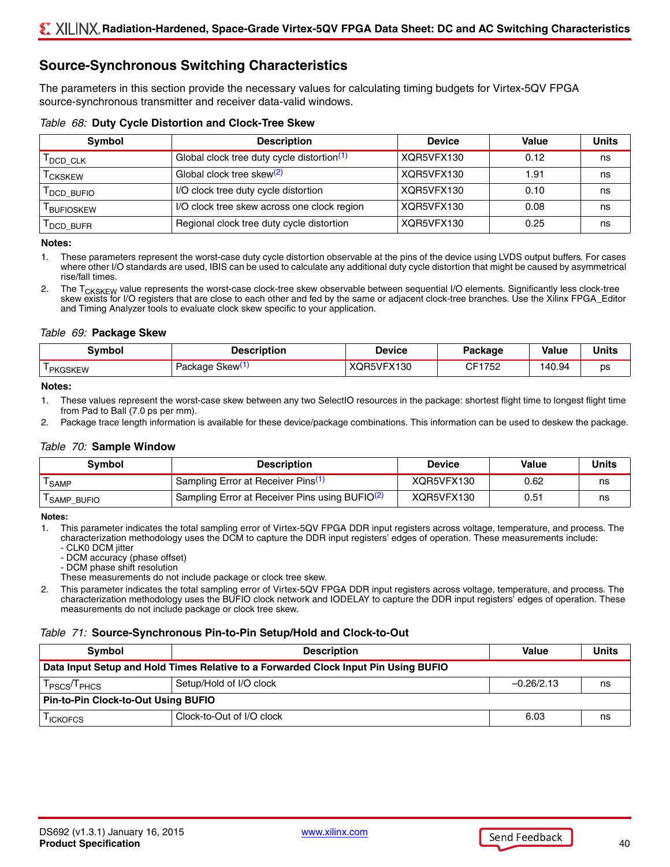## **Source-Synchronous Switching Characteristics**

The parameters in this section provide the necessary values for calculating timing budgets for Virtex-5QV FPGA source-synchronous transmitter and receiver data-valid windows.

|  |  |  |  |  | Table 68: Duty Cycle Distortion and Clock-Tree Skew |  |  |  |
|--|--|--|--|--|-----------------------------------------------------|--|--|--|
|--|--|--|--|--|-----------------------------------------------------|--|--|--|

| Symbol                 | <b>Description</b>                            | <b>Device</b> | Value | <b>Units</b> |
|------------------------|-----------------------------------------------|---------------|-------|--------------|
| <b>I</b> DCD CLK       | Global clock tree duty cycle distortion $(1)$ | XQR5VFX130    | 0.12  | ns           |
| <sup>I</sup> CKSKEW    | Global clock tree skew <sup>(2)</sup>         | XQR5VFX130    | 1.91  | ns           |
| DCD BUFIO              | I/O clock tree duty cycle distortion          | XQR5VFX130    | 0.10  | ns           |
| <sup>I</sup> BUFIOSKEW | I/O clock tree skew across one clock region   | XQR5VFX130    | 0.08  | ns           |
| DCD BUFR               | Regional clock tree duty cycle distortion     | XQR5VFX130    | 0.25  | ns           |

#### **Notes:**

- <span id="page-39-0"></span>1. These parameters represent the worst-case duty cycle distortion observable at the pins of the device using LVDS output buffers. For cases where other I/O standards are used, IBIS can be used to calculate any additional duty cycle distortion that might be caused by asymmetrical rise/fall times.
- <span id="page-39-1"></span>2. The T<sub>CKSKEW</sub> value represents the worst-case clock-tree skew observable between sequential I/O elements. Significantly less clock-tree skew exists for I/O registers that are close to each other and fed by the same or adjacent clock-tree branches. Use the Xilinx FPGA\_Editor and Timing Analyzer tools to evaluate clock skew specific to your application.

#### <span id="page-39-5"></span>*Table 69:* **Package Skew**

| svmbol                     | <b>Description</b>         | <b>Device</b>  | Package | Value | <b>Units</b> |
|----------------------------|----------------------------|----------------|---------|-------|--------------|
| <u>—</u><br><b>PKGSKFW</b> | 5kew\<br>0.01000<br>ackaue | X130<br>)R5VF) | CF1752  | 40.94 | ps           |

#### **Notes:**

- <span id="page-39-2"></span>1. These values represent the worst-case skew between any two SelectIO resources in the package: shortest flight time to longest flight time from Pad to Ball (7.0 ps per mm).
- 2. Package trace length information is available for these device/package combinations. This information can be used to deskew the package.

#### <span id="page-39-6"></span>*Table 70:* **Sample Window**

| Symbol                  | <b>Description</b>                                                      | Device     | Value | Units |
|-------------------------|-------------------------------------------------------------------------|------------|-------|-------|
| <sup>I</sup> SAMP       | ' Sampling Error at Receiver Pins <sup>(1)</sup>                        | XQR5VFX130 | 0.62  | ns    |
| <sup>I</sup> SAMP_BUFIO | <sup>1</sup> Sampling Error at Receiver Pins using BUFIO <sup>(2)</sup> | XQR5VFX130 | 0.51  | ns    |

#### **Notes:**

<span id="page-39-3"></span>1. This parameter indicates the total sampling error of Virtex-5QV FPGA DDR input registers across voltage, temperature, and process. The characterization methodology uses the DCM to capture the DDR input registers' edges of operation. These measurements include:

- CLK0 DCM jitter
- DCM accuracy (phase offset)
- DCM phase shift resolution
- These measurements do not include package or clock tree skew.
- <span id="page-39-4"></span>2. This parameter indicates the total sampling error of Virtex-5QV FPGA DDR input registers across voltage, temperature, and process. The characterization methodology uses the BUFIO clock network and IODELAY to capture the DDR input registers' edges of operation. These measurements do not include package or clock tree skew.

#### *Table 71:* **Source-Synchronous Pin-to-Pin Setup/Hold and Clock-to-Out**

| <b>Symbol</b>                                                                       | <b>Description</b>        | Value        | <b>Units</b> |  |
|-------------------------------------------------------------------------------------|---------------------------|--------------|--------------|--|
| Data Input Setup and Hold Times Relative to a Forwarded Clock Input Pin Using BUFIO |                           |              |              |  |
| T <sub>PSCS</sub> /T <sub>PHCS</sub>                                                | Setup/Hold of I/O clock   | $-0.26/2.13$ | ns           |  |
| <b>Pin-to-Pin Clock-to-Out Using BUFIO</b>                                          |                           |              |              |  |
| <sup>I</sup> ICKOFCS                                                                | Clock-to-Out of I/O clock | 6.03         | ns           |  |